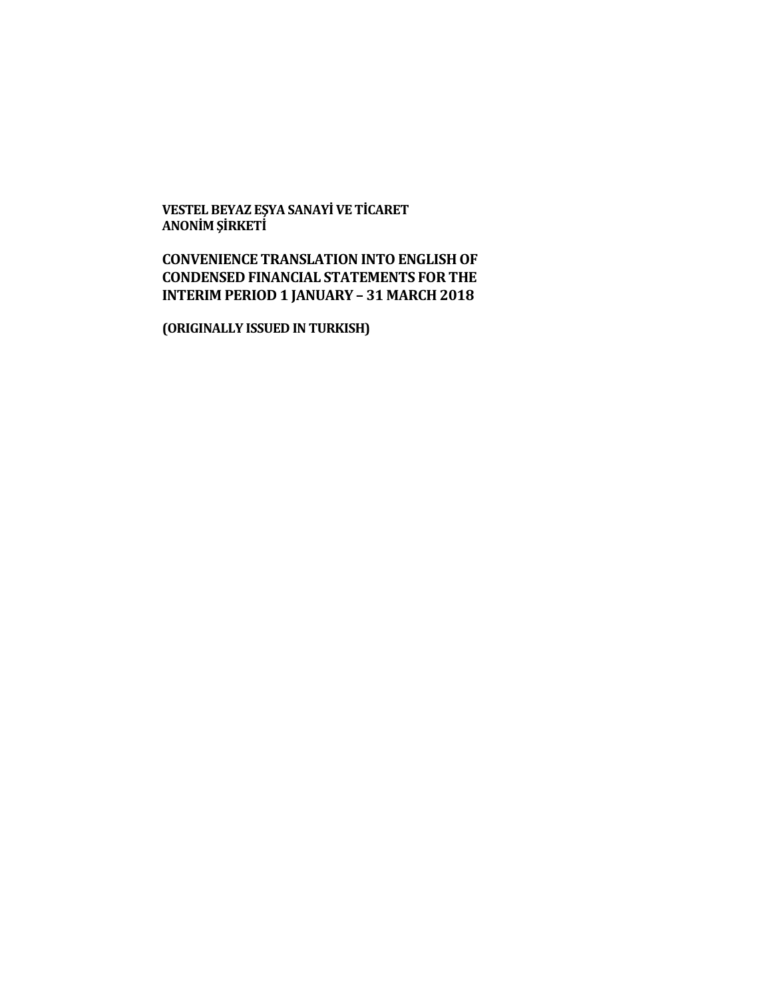**VESTEL BEYAZ EŞYA SANAYİ VE TİCARET ANONİM ŞİRKETİ**

# **CONVENIENCE TRANSLATION INTO ENGLISH OF CONDENSED FINANCIAL STATEMENTS FOR THE INTERIM PERIOD 1 JANUARY – 31 MARCH 2018**

**(ORIGINALLY ISSUED IN TURKISH)**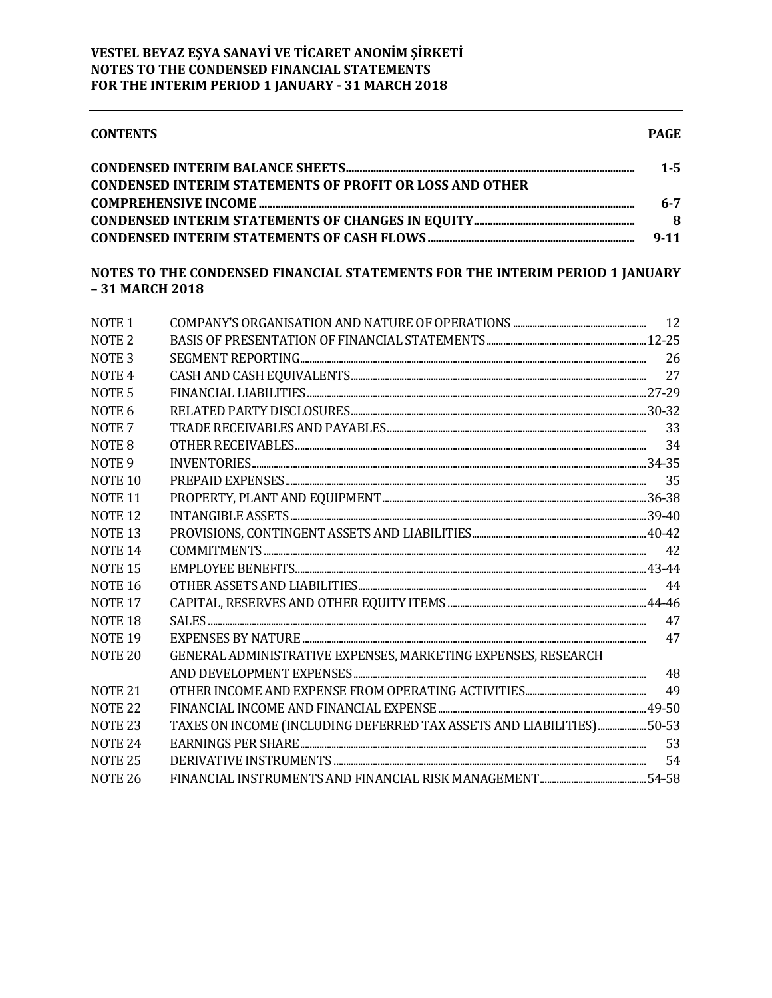| <b>CONTENTS</b>                                                 | <b>PAGE</b> |
|-----------------------------------------------------------------|-------------|
|                                                                 | $1 - 5$     |
| <b>CONDENSED INTERIM STATEMENTS OF PROFIT OR LOSS AND OTHER</b> |             |
|                                                                 | 6-7         |
|                                                                 | 8           |

## NOTES TO THE CONDENSED FINANCIAL STATEMENTS FOR THE INTERIM PERIOD 1 JANUARY -31 MARCH 2018

| NOTE <sub>1</sub>  |                                                                      |    |
|--------------------|----------------------------------------------------------------------|----|
| NOTE <sub>2</sub>  |                                                                      |    |
| NOTE <sub>3</sub>  |                                                                      | 26 |
| NOTE <sub>4</sub>  |                                                                      | 27 |
| NOTE <sub>5</sub>  |                                                                      |    |
| NOTE 6             |                                                                      |    |
| NOTE <sub>7</sub>  |                                                                      | 33 |
|                    |                                                                      | 34 |
| NOTE <sub>8</sub>  |                                                                      |    |
| NOTE <sub>9</sub>  |                                                                      |    |
| NOTE <sub>10</sub> |                                                                      |    |
| <b>NOTE 11</b>     |                                                                      |    |
| <b>NOTE 12</b>     |                                                                      |    |
| <b>NOTE 13</b>     |                                                                      |    |
| <b>NOTE 14</b>     |                                                                      |    |
| NOTE <sub>15</sub> |                                                                      |    |
| NOTE <sub>16</sub> |                                                                      | 44 |
| NOTE <sub>17</sub> |                                                                      |    |
| NOTE <sub>18</sub> |                                                                      | 47 |
| <b>NOTE 19</b>     |                                                                      | 47 |
| NOTE <sub>20</sub> | GENERAL ADMINISTRATIVE EXPENSES, MARKETING EXPENSES, RESEARCH        |    |
|                    |                                                                      | 48 |
| <b>NOTE 21</b>     |                                                                      |    |
| NOTE <sub>22</sub> |                                                                      |    |
| NOTE <sub>23</sub> | TAXES ON INCOME (INCLUDING DEFERRED TAX ASSETS AND LIABILITIES)50-53 |    |
| <b>NOTE 24</b>     |                                                                      | 53 |
| <b>NOTE 25</b>     |                                                                      | 54 |
| <b>NOTE 26</b>     |                                                                      |    |
|                    |                                                                      |    |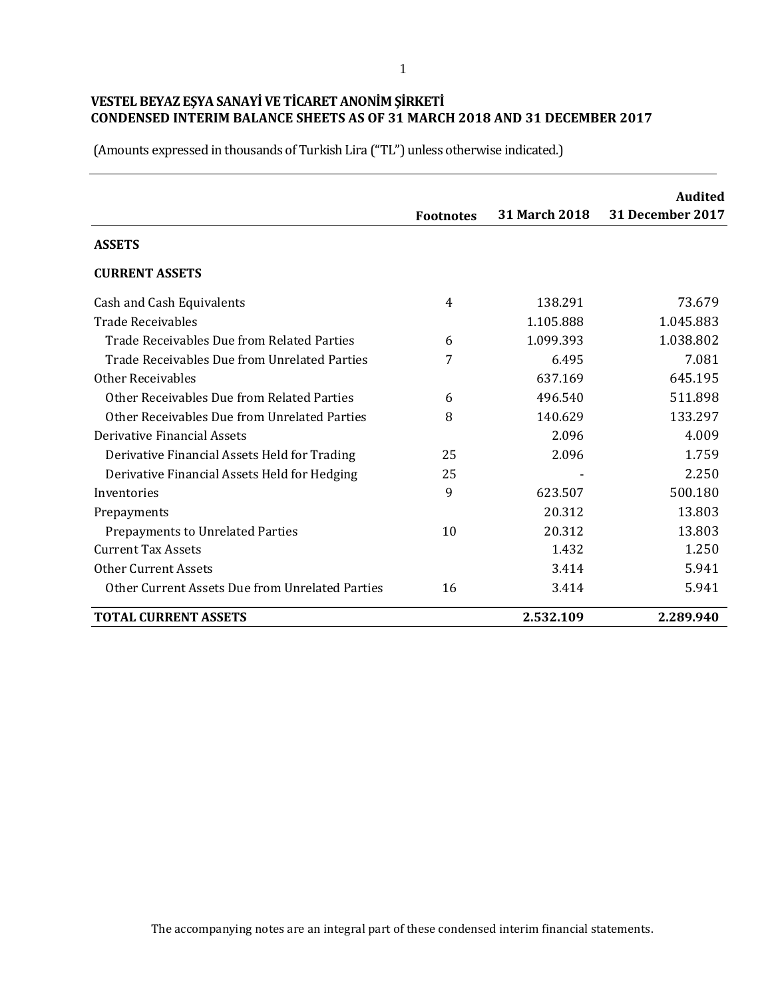|                                                 | <b>Footnotes</b> | 31 March 2018 | <b>Audited</b><br><b>31 December 2017</b> |
|-------------------------------------------------|------------------|---------------|-------------------------------------------|
| <b>ASSETS</b>                                   |                  |               |                                           |
| <b>CURRENT ASSETS</b>                           |                  |               |                                           |
| Cash and Cash Equivalents                       | 4                | 138.291       | 73.679                                    |
| <b>Trade Receivables</b>                        |                  | 1.105.888     | 1.045.883                                 |
| Trade Receivables Due from Related Parties      | 6                | 1.099.393     | 1.038.802                                 |
| Trade Receivables Due from Unrelated Parties    | 7                | 6.495         | 7.081                                     |
| <b>Other Receivables</b>                        |                  | 637.169       | 645.195                                   |
| Other Receivables Due from Related Parties      | 6                | 496.540       | 511.898                                   |
| Other Receivables Due from Unrelated Parties    | 8                | 140.629       | 133.297                                   |
| Derivative Financial Assets                     |                  | 2.096         | 4.009                                     |
| Derivative Financial Assets Held for Trading    | 25               | 2.096         | 1.759                                     |
| Derivative Financial Assets Held for Hedging    | 25               |               | 2.250                                     |
| Inventories                                     | 9                | 623.507       | 500.180                                   |
| Prepayments                                     |                  | 20.312        | 13.803                                    |
| Prepayments to Unrelated Parties                | 10               | 20.312        | 13.803                                    |
| <b>Current Tax Assets</b>                       |                  | 1.432         | 1.250                                     |
| <b>Other Current Assets</b>                     |                  | 3.414         | 5.941                                     |
| Other Current Assets Due from Unrelated Parties | 16               | 3.414         | 5.941                                     |
| <b>TOTAL CURRENT ASSETS</b>                     |                  | 2.532.109     | 2.289.940                                 |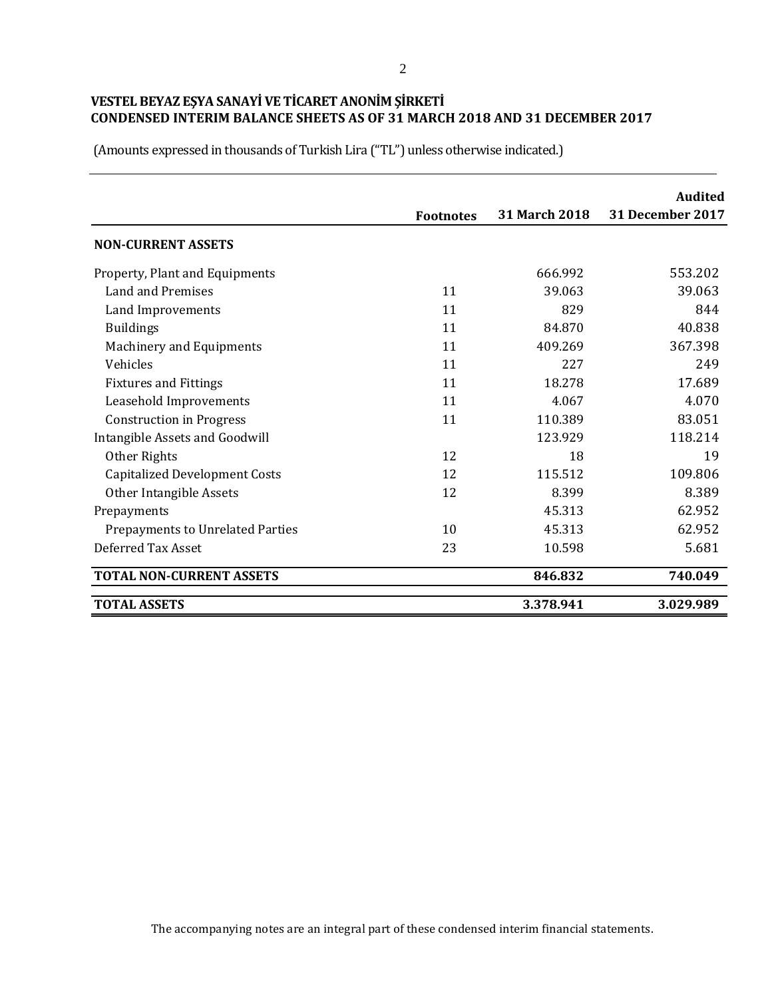|                                         |                  |                      | <b>Audited</b>          |
|-----------------------------------------|------------------|----------------------|-------------------------|
|                                         | <b>Footnotes</b> | <b>31 March 2018</b> | <b>31 December 2017</b> |
| <b>NON-CURRENT ASSETS</b>               |                  |                      |                         |
| Property, Plant and Equipments          |                  | 666.992              | 553.202                 |
| Land and Premises                       | 11               | 39.063               | 39.063                  |
| Land Improvements                       | 11               | 829                  | 844                     |
| <b>Buildings</b>                        | 11               | 84.870               | 40.838                  |
| <b>Machinery and Equipments</b>         | 11               | 409.269              | 367.398                 |
| Vehicles                                | 11               | 227                  | 249                     |
| <b>Fixtures and Fittings</b>            | 11               | 18.278               | 17.689                  |
| Leasehold Improvements                  | 11               | 4.067                | 4.070                   |
| <b>Construction in Progress</b>         | 11               | 110.389              | 83.051                  |
| Intangible Assets and Goodwill          |                  | 123.929              | 118.214                 |
| Other Rights                            | 12               | 18                   | 19                      |
| <b>Capitalized Development Costs</b>    | 12               | 115.512              | 109.806                 |
| Other Intangible Assets                 | 12               | 8.399                | 8.389                   |
| Prepayments                             |                  | 45.313               | 62.952                  |
| <b>Prepayments to Unrelated Parties</b> | 10               | 45.313               | 62.952                  |
| Deferred Tax Asset                      | 23               | 10.598               | 5.681                   |
| <b>TOTAL NON-CURRENT ASSETS</b>         |                  | 846.832              | 740.049                 |
| <b>TOTAL ASSETS</b>                     |                  | 3.378.941            | 3.029.989               |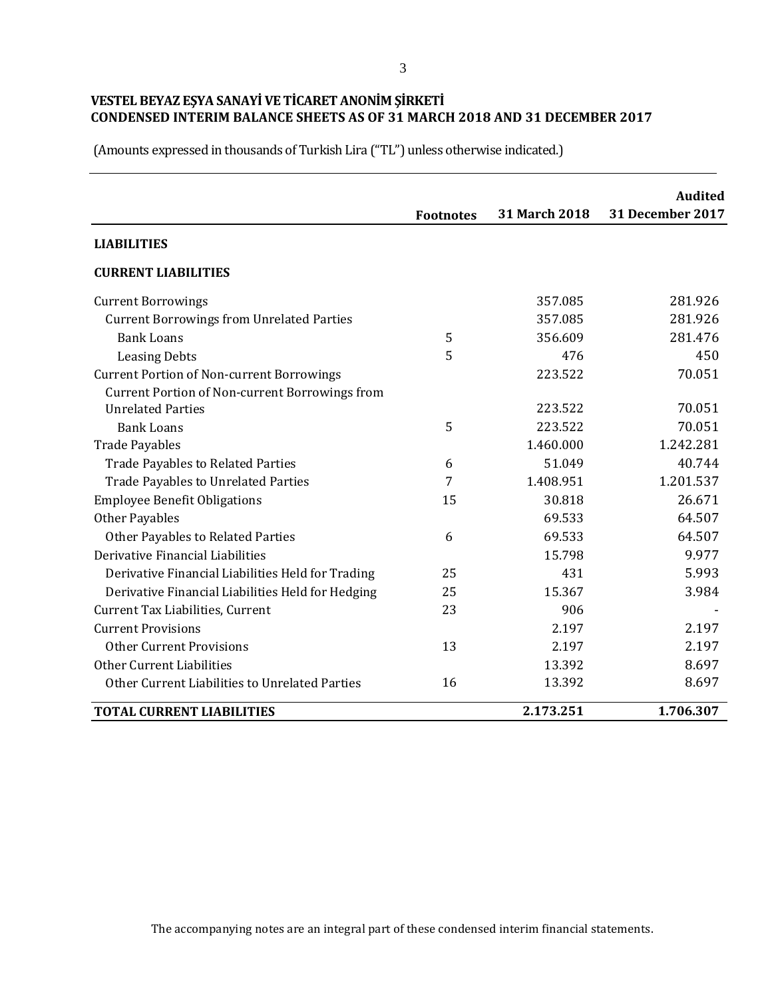|                                                   |                  | 31 March 2018 | <b>Audited</b><br>31 December 2017 |
|---------------------------------------------------|------------------|---------------|------------------------------------|
|                                                   | <b>Footnotes</b> |               |                                    |
| <b>LIABILITIES</b>                                |                  |               |                                    |
| <b>CURRENT LIABILITIES</b>                        |                  |               |                                    |
| <b>Current Borrowings</b>                         |                  | 357.085       | 281.926                            |
| <b>Current Borrowings from Unrelated Parties</b>  |                  | 357.085       | 281.926                            |
| <b>Bank Loans</b>                                 | 5                | 356.609       | 281.476                            |
| <b>Leasing Debts</b>                              | 5                | 476           | 450                                |
| <b>Current Portion of Non-current Borrowings</b>  |                  | 223.522       | 70.051                             |
| Current Portion of Non-current Borrowings from    |                  |               |                                    |
| <b>Unrelated Parties</b>                          |                  | 223.522       | 70.051                             |
| <b>Bank Loans</b>                                 | 5                | 223.522       | 70.051                             |
| <b>Trade Payables</b>                             |                  | 1.460.000     | 1.242.281                          |
| <b>Trade Payables to Related Parties</b>          | 6                | 51.049        | 40.744                             |
| <b>Trade Payables to Unrelated Parties</b>        | 7                | 1.408.951     | 1.201.537                          |
| <b>Employee Benefit Obligations</b>               | 15               | 30.818        | 26.671                             |
| <b>Other Payables</b>                             |                  | 69.533        | 64.507                             |
| Other Payables to Related Parties                 | 6                | 69.533        | 64.507                             |
| Derivative Financial Liabilities                  |                  | 15.798        | 9.977                              |
| Derivative Financial Liabilities Held for Trading | 25               | 431           | 5.993                              |
| Derivative Financial Liabilities Held for Hedging | 25               | 15.367        | 3.984                              |
| Current Tax Liabilities, Current                  | 23               | 906           |                                    |
| <b>Current Provisions</b>                         |                  | 2.197         | 2.197                              |
| <b>Other Current Provisions</b>                   | 13               | 2.197         | 2.197                              |
| Other Current Liabilities                         |                  | 13.392        | 8.697                              |
| Other Current Liabilities to Unrelated Parties    | 16               | 13.392        | 8.697                              |
| <b>TOTAL CURRENT LIABILITIES</b>                  |                  | 2.173.251     | 1.706.307                          |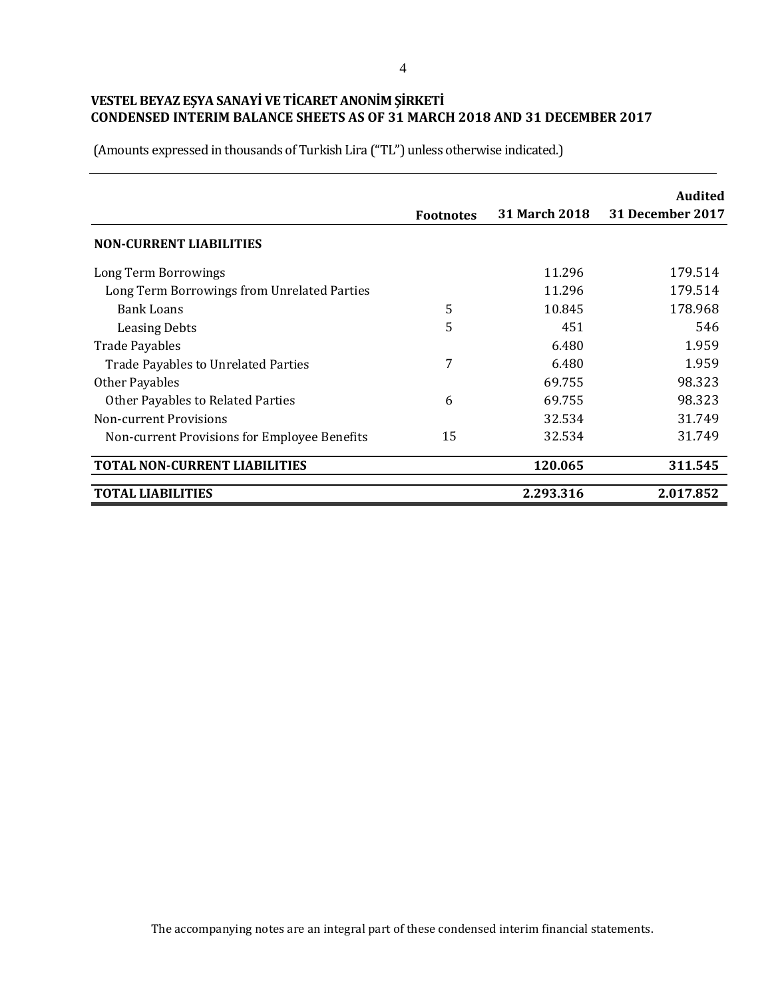|                                              |                  |                      | <b>Audited</b>   |
|----------------------------------------------|------------------|----------------------|------------------|
|                                              | <b>Footnotes</b> | <b>31 March 2018</b> | 31 December 2017 |
| <b>NON-CURRENT LIABILITIES</b>               |                  |                      |                  |
| Long Term Borrowings                         |                  | 11.296               | 179.514          |
| Long Term Borrowings from Unrelated Parties  |                  | 11.296               | 179.514          |
| <b>Bank Loans</b>                            | 5                | 10.845               | 178.968          |
| <b>Leasing Debts</b>                         | 5                | 451                  | 546              |
| <b>Trade Payables</b>                        |                  | 6.480                | 1.959            |
| <b>Trade Payables to Unrelated Parties</b>   | 7                | 6.480                | 1.959            |
| Other Payables                               |                  | 69.755               | 98.323           |
| <b>Other Payables to Related Parties</b>     | 6                | 69.755               | 98.323           |
| Non-current Provisions                       |                  | 32.534               | 31.749           |
| Non-current Provisions for Employee Benefits | 15               | 32.534               | 31.749           |
| <b>TOTAL NON-CURRENT LIABILITIES</b>         |                  | 120.065              | 311.545          |
| <b>TOTAL LIABILITIES</b>                     |                  | 2.293.316            | 2.017.852        |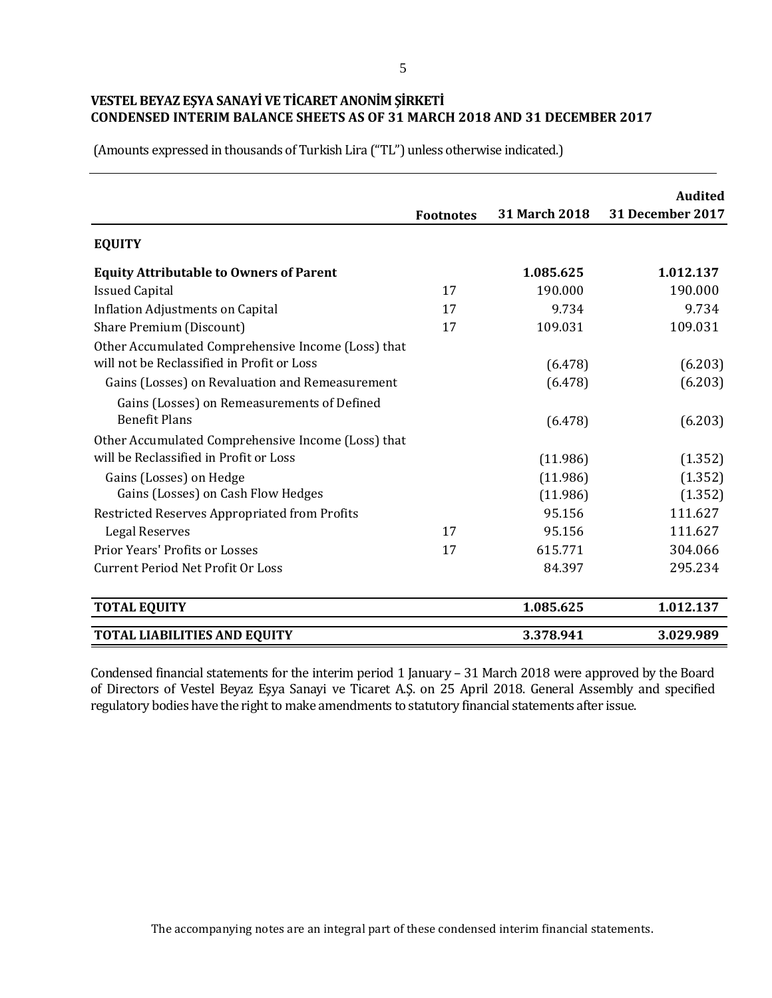(Amounts expressed in thousands of Turkish Lira ("TL") unless otherwise indicated.)

|                                                                                                                         | <b>Footnotes</b> | <b>31 March 2018</b> | <b>Audited</b><br><b>31 December 2017</b> |
|-------------------------------------------------------------------------------------------------------------------------|------------------|----------------------|-------------------------------------------|
| <b>EQUITY</b>                                                                                                           |                  |                      |                                           |
| <b>Equity Attributable to Owners of Parent</b>                                                                          |                  | 1.085.625            | 1.012.137                                 |
| <b>Issued Capital</b>                                                                                                   | 17               | 190.000              | 190.000                                   |
| <b>Inflation Adjustments on Capital</b>                                                                                 | 17               | 9.734                | 9.734                                     |
| Share Premium (Discount)                                                                                                | 17               | 109.031              | 109.031                                   |
| Other Accumulated Comprehensive Income (Loss) that<br>will not be Reclassified in Profit or Loss                        |                  | (6.478)              | (6.203)                                   |
| Gains (Losses) on Revaluation and Remeasurement                                                                         |                  | (6.478)              | (6.203)                                   |
| Gains (Losses) on Remeasurements of Defined<br><b>Benefit Plans</b>                                                     |                  | (6.478)              | (6.203)                                   |
| Other Accumulated Comprehensive Income (Loss) that<br>will be Reclassified in Profit or Loss<br>Gains (Losses) on Hedge |                  | (11.986)<br>(11.986) | (1.352)<br>(1.352)                        |
| Gains (Losses) on Cash Flow Hedges                                                                                      |                  | (11.986)             | (1.352)                                   |
| Restricted Reserves Appropriated from Profits                                                                           |                  | 95.156               | 111.627                                   |
| <b>Legal Reserves</b>                                                                                                   | 17               | 95.156               | 111.627                                   |
| Prior Years' Profits or Losses                                                                                          | 17               | 615.771              | 304.066                                   |
| <b>Current Period Net Profit Or Loss</b>                                                                                |                  | 84.397               | 295.234                                   |
| <b>TOTAL EQUITY</b>                                                                                                     |                  | 1.085.625            | 1.012.137                                 |
| <b>TOTAL LIABILITIES AND EQUITY</b>                                                                                     |                  | 3.378.941            | 3.029.989                                 |

Condensed financial statements for the interim period 1 January – 31 March 2018 were approved by the Board of Directors of Vestel Beyaz Eşya Sanayi ve Ticaret A.Ş. on 25 April 2018. General Assembly and specified regulatory bodies have the right to make amendments to statutory financial statements after issue.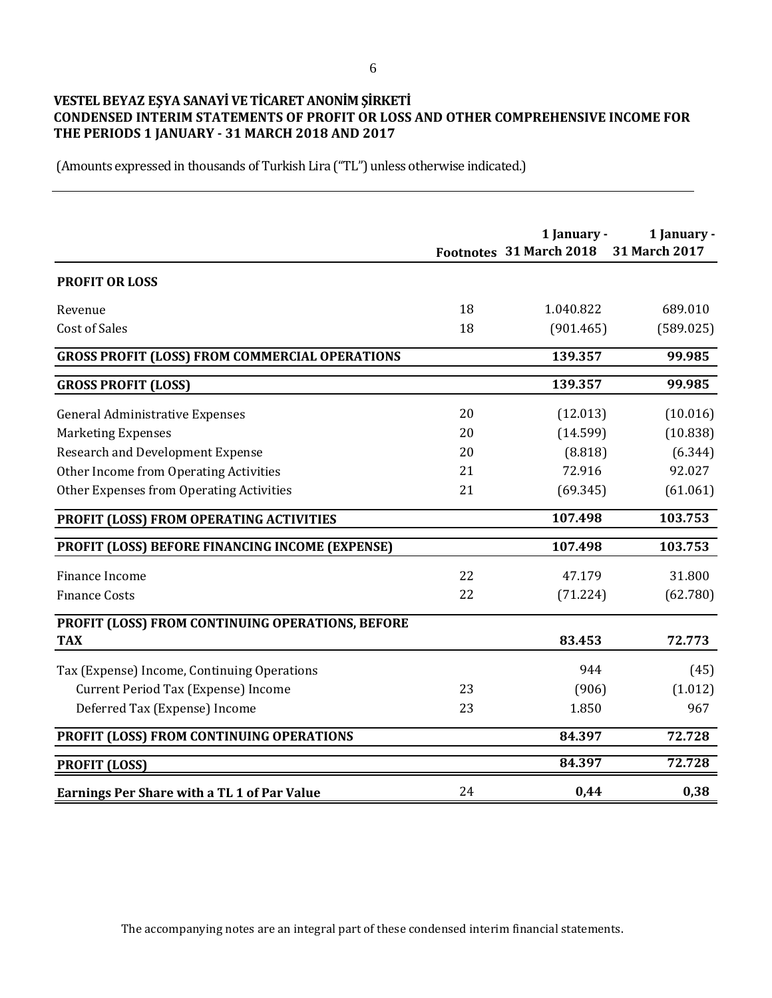## **VESTEL BEYAZ EŞYA SANAYİ VE TİCARET ANONİM ŞİRKETİ CONDENSED INTERIM STATEMENTS OF PROFIT OR LOSS AND OTHER COMPREHENSIVE INCOME FOR THE PERIODS 1 JANUARY - 31 MARCH 2018 AND 2017**

(Amounts expressed in thousands of Turkish Lira ("TL") unless otherwise indicated.)

|                                                       |    | 1 January -<br>Footnotes 31 March 2018 | 1 January -<br>31 March 2017 |
|-------------------------------------------------------|----|----------------------------------------|------------------------------|
| <b>PROFIT OR LOSS</b>                                 |    |                                        |                              |
| Revenue                                               | 18 | 1.040.822                              | 689.010                      |
| <b>Cost of Sales</b>                                  | 18 | (901.465)                              | (589.025)                    |
| <b>GROSS PROFIT (LOSS) FROM COMMERCIAL OPERATIONS</b> |    | 139.357                                | 99.985                       |
| <b>GROSS PROFIT (LOSS)</b>                            |    | 139.357                                | 99.985                       |
| <b>General Administrative Expenses</b>                | 20 | (12.013)                               | (10.016)                     |
| <b>Marketing Expenses</b>                             | 20 | (14.599)                               | (10.838)                     |
| <b>Research and Development Expense</b>               | 20 | (8.818)                                | (6.344)                      |
| Other Income from Operating Activities                | 21 | 72.916                                 | 92.027                       |
| Other Expenses from Operating Activities              | 21 | (69.345)                               | (61.061)                     |
| PROFIT (LOSS) FROM OPERATING ACTIVITIES               |    | 107.498                                | 103.753                      |
| PROFIT (LOSS) BEFORE FINANCING INCOME (EXPENSE)       |    | 107.498                                | 103.753                      |
| Finance Income                                        | 22 | 47.179                                 | 31.800                       |
| <b>Finance Costs</b>                                  | 22 | (71.224)                               | (62.780)                     |
| PROFIT (LOSS) FROM CONTINUING OPERATIONS, BEFORE      |    |                                        |                              |
| <b>TAX</b>                                            |    | 83.453                                 | 72.773                       |
| Tax (Expense) Income, Continuing Operations           |    | 944                                    | (45)                         |
| Current Period Tax (Expense) Income                   | 23 | (906)                                  | (1.012)                      |
| Deferred Tax (Expense) Income                         | 23 | 1.850                                  | 967                          |
| PROFIT (LOSS) FROM CONTINUING OPERATIONS              |    | 84.397                                 | 72.728                       |
| <b>PROFIT (LOSS)</b>                                  |    | 84.397                                 | 72.728                       |
| <b>Earnings Per Share with a TL 1 of Par Value</b>    | 24 | 0,44                                   | 0,38                         |

The accompanying notes are an integral part of these condensed interim financial statements.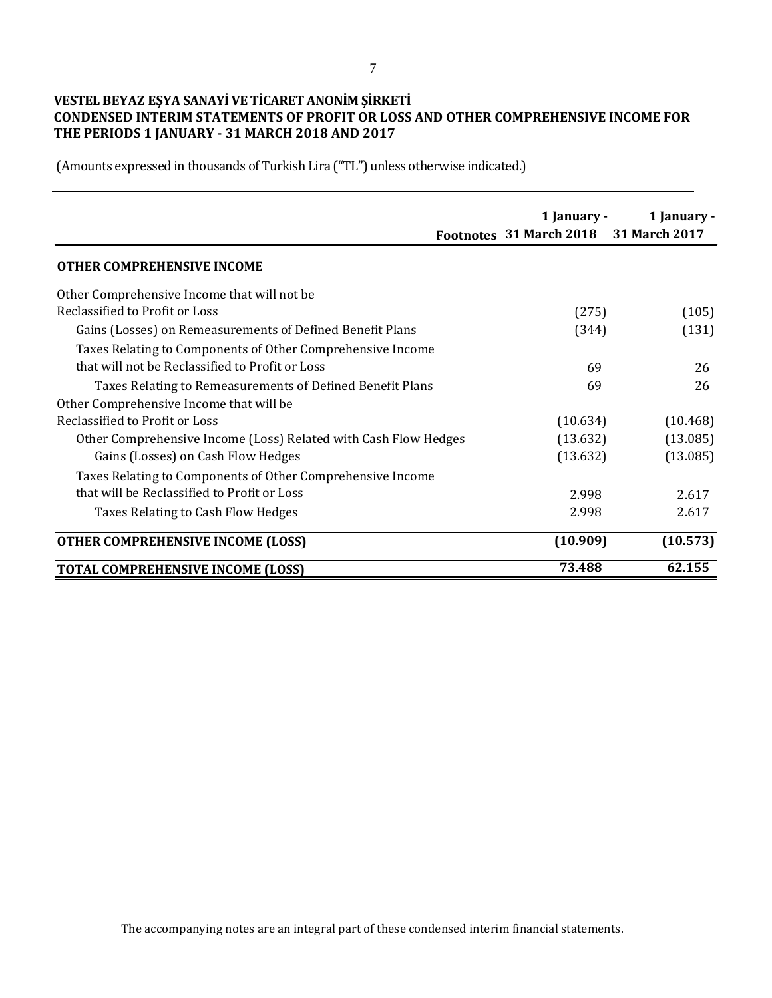## **VESTEL BEYAZ EŞYA SANAYİ VE TİCARET ANONİM ŞİRKETİ CONDENSED INTERIM STATEMENTS OF PROFIT OR LOSS AND OTHER COMPREHENSIVE INCOME FOR THE PERIODS 1 JANUARY - 31 MARCH 2018 AND 2017**

|                                                                 | 1 January -<br>Footnotes 31 March 2018 31 March 2017 | 1 January - |
|-----------------------------------------------------------------|------------------------------------------------------|-------------|
| <b>OTHER COMPREHENSIVE INCOME</b>                               |                                                      |             |
| Other Comprehensive Income that will not be                     |                                                      |             |
| Reclassified to Profit or Loss                                  | (275)                                                | (105)       |
| Gains (Losses) on Remeasurements of Defined Benefit Plans       | (344)                                                | (131)       |
| Taxes Relating to Components of Other Comprehensive Income      |                                                      |             |
| that will not be Reclassified to Profit or Loss                 | 69                                                   | 26          |
| Taxes Relating to Remeasurements of Defined Benefit Plans       | 69                                                   | 26          |
| Other Comprehensive Income that will be                         |                                                      |             |
| Reclassified to Profit or Loss                                  | (10.634)                                             | (10.468)    |
| Other Comprehensive Income (Loss) Related with Cash Flow Hedges | (13.632)                                             | (13.085)    |
| Gains (Losses) on Cash Flow Hedges                              | (13.632)                                             | (13.085)    |
| Taxes Relating to Components of Other Comprehensive Income      |                                                      |             |
| that will be Reclassified to Profit or Loss                     | 2.998                                                | 2.617       |
| Taxes Relating to Cash Flow Hedges                              | 2.998                                                | 2.617       |
| <b>OTHER COMPREHENSIVE INCOME (LOSS)</b>                        | (10.909)                                             | (10.573)    |
| <b>TOTAL COMPREHENSIVE INCOME (LOSS)</b>                        | 73.488                                               | 62.155      |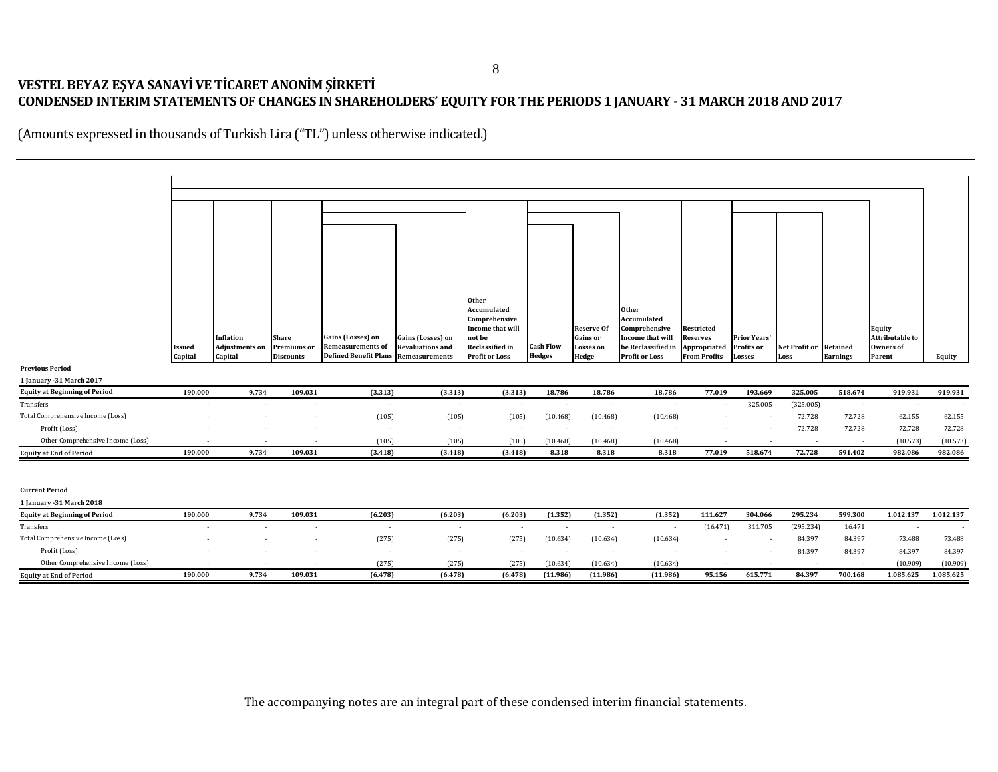# **VESTEL BEYAZ EŞYA SANAYİ VE TİCARET ANONİM ŞİRKETİ CONDENSED INTERIM STATEMENTS OF CHANGES IN SHAREHOLDERS' EQUITY FOR THE PERIODS 1 JANUARY - 31 MARCH 2018 AND 2017**

|                                      |                   |                                  |                                 |                                                          |                                                  | Other                                           |                          |                    |                                             |                                     |                          |                                |                          |                            |           |
|--------------------------------------|-------------------|----------------------------------|---------------------------------|----------------------------------------------------------|--------------------------------------------------|-------------------------------------------------|--------------------------|--------------------|---------------------------------------------|-------------------------------------|--------------------------|--------------------------------|--------------------------|----------------------------|-----------|
|                                      |                   |                                  |                                 |                                                          |                                                  | Accumulated<br>Comprehensive                    |                          |                    | Other<br>Accumulated                        |                                     |                          |                                |                          |                            |           |
|                                      |                   |                                  |                                 |                                                          |                                                  | Income that will                                |                          | <b>Reserve Of</b>  | Comprehensive                               | Restricted                          |                          |                                |                          | Equity                     |           |
|                                      |                   | Inflation                        | <b>Share</b>                    | Gains (Losses) on                                        | Gains (Losses) on                                | not be                                          |                          | Gains or           | Income that will                            | Reserves                            | <b>Prior Years'</b>      |                                |                          | Attributable to            |           |
|                                      | Issued<br>Capital | <b>Adjustments on</b><br>Capital | Premiums or<br><b>Discounts</b> | <b>Remeasurements of</b><br><b>Defined Benefit Plans</b> | <b>Revaluations and</b><br><b>Remeasurements</b> | <b>Reclassified in</b><br><b>Profit or Loss</b> | Cash Flow<br>Hedges      | Losses or<br>Hedge | be Reclassified in<br><b>Profit or Loss</b> | Appropriated<br><b>From Profits</b> | Profits or<br>Losses     | Net Profit or Retained<br>Loss | <b>Earnings</b>          | <b>Owners of</b><br>Parent | Equity    |
| <b>Previous Period</b>               |                   |                                  |                                 |                                                          |                                                  |                                                 |                          |                    |                                             |                                     |                          |                                |                          |                            |           |
| 1 January - 31 March 2017            |                   |                                  |                                 |                                                          |                                                  |                                                 |                          |                    |                                             |                                     |                          |                                |                          |                            |           |
| <b>Equity at Beginning of Period</b> | 190.000           | 9.734                            | 109.031                         | (3.313)                                                  | (3.313)                                          | (3.313)                                         | 18.786                   | 18.786             | 18.786                                      | 77.019                              | 193.669                  | 325.005                        | 518.674                  | 919.931                    | 919.931   |
| Transfers                            |                   |                                  | ٠                               | $\overline{\phantom{a}}$                                 | $\overline{\phantom{a}}$                         | $\sim$                                          | $\overline{\phantom{a}}$ | $\sim$             | $\overline{\phantom{a}}$                    |                                     | 325.005                  | (325.005)                      | $\sim$                   | $\overline{\phantom{a}}$   |           |
| Total Comprehensive Income (Loss)    |                   |                                  |                                 | (105)                                                    | (105)                                            | (105)                                           | (10.468)                 | (10.468)           | (10.468)                                    |                                     | $\sim$                   | 72.728                         | 72.728                   | 62.155                     | 62.155    |
| Profit (Loss)                        |                   |                                  |                                 | $\blacksquare$                                           | $\overline{\phantom{a}}$                         | $\sim$                                          | $\overline{\phantom{a}}$ | $\sim$             |                                             |                                     |                          | 72.728                         | 72.728                   | 72.728                     | 72.728    |
| Other Comprehensive Income (Loss)    |                   |                                  |                                 | (105)                                                    | (105)                                            | (105)                                           | (10.468)                 | (10.468)           | (10.468)                                    |                                     |                          |                                | $\sim$                   | (10.573)                   | (10.573)  |
| <b>Equity at End of Period</b>       | 190.000           | 9.734                            | 109.031                         | (3.418)                                                  | (3.418)                                          | (3.418)                                         | 8.318                    | 8.318              | 8.318                                       | 77.019                              | 518.674                  | 72.728                         | 591.402                  | 982.086                    | 982.086   |
|                                      |                   |                                  |                                 |                                                          |                                                  |                                                 |                          |                    |                                             |                                     |                          |                                |                          |                            |           |
| <b>Current Period</b>                |                   |                                  |                                 |                                                          |                                                  |                                                 |                          |                    |                                             |                                     |                          |                                |                          |                            |           |
| 1 January - 31 March 2018            |                   |                                  |                                 |                                                          |                                                  |                                                 |                          |                    |                                             |                                     |                          |                                |                          |                            |           |
| <b>Equity at Beginning of Period</b> | 190.000           | 9.734                            | 109.031                         | (6.203)                                                  | (6.203)                                          | (6.203)                                         | (1.352)                  | (1.352)            | (1.352)                                     | 111.627                             | 304.066                  | 295.234                        | 599.300                  | 1.012.137                  | 1.012.137 |
| Transfers                            |                   |                                  |                                 | $\overline{\phantom{a}}$                                 | $\overline{\phantom{a}}$                         |                                                 |                          |                    |                                             | (16.471)                            | 311.705                  | (295.234)                      | 16.471                   |                            |           |
| Total Comprehensive Income (Loss)    |                   |                                  |                                 | (275)                                                    | (275)                                            | (275)                                           | (10.634)                 | (10.634)           | (10.634)                                    |                                     | $\overline{\phantom{a}}$ | 84.397                         | 84.397                   | 73.488                     | 73.488    |
| Profit (Loss)                        |                   |                                  |                                 | $\overline{\phantom{a}}$                                 | $\overline{\phantom{a}}$                         | $\sim$                                          | $\overline{\phantom{a}}$ | $\sim$             | $\overline{\phantom{a}}$                    |                                     |                          | 84.397                         | 84.397                   | 84.397                     | 84.397    |
| Other Comprehensive Income (Loss)    |                   |                                  |                                 | (275)                                                    | (275)                                            | (275)                                           | (10.634)                 | (10.634)           | (10.634)                                    |                                     |                          | $\overline{\phantom{a}}$       | $\overline{\phantom{a}}$ | (10.909)                   | (10.909)  |
| <b>Equity at End of Period</b>       | 190.000           | 9.734                            | 109.031                         | (6.478)                                                  | (6.478)                                          | (6.478)                                         | (11.986)                 | (11.986)           | (11.986)                                    | 95.156                              | 615.771                  | 84.397                         | 700.168                  | 1.085.625                  | 1.085.625 |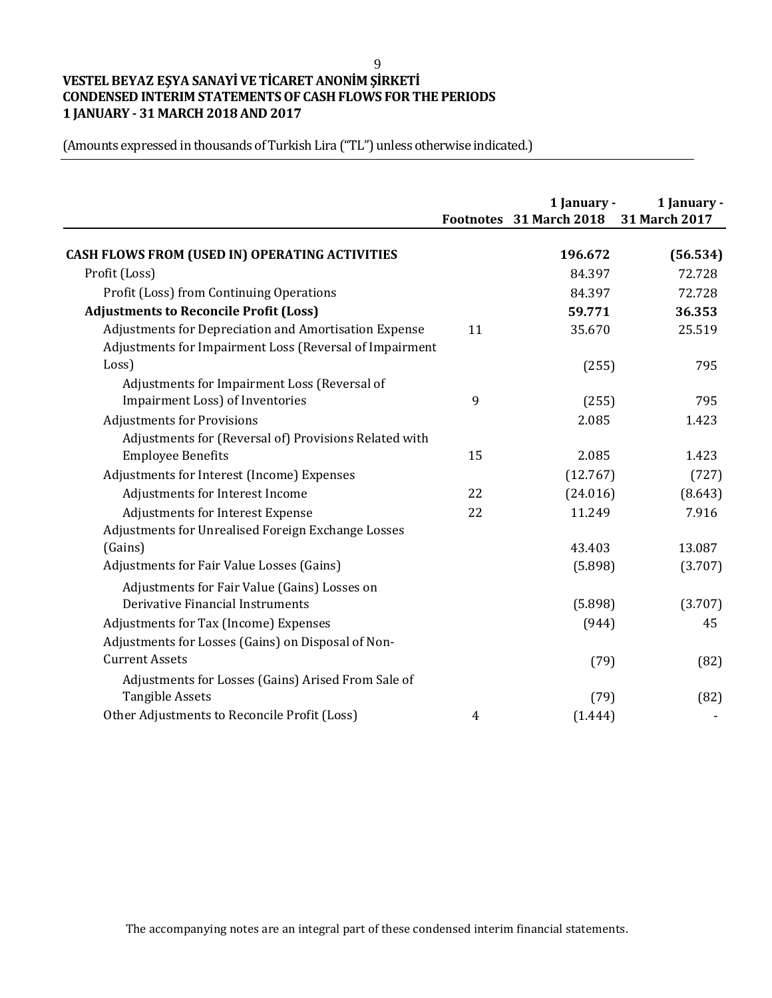#### 9

# **VESTEL BEYAZ EŞYA SANAYİ VE TİCARET ANONİM ŞİRKETİ CONDENSED INTERIM STATEMENTS OF CASH FLOWS FOR THE PERIODS 1 JANUARY - 31 MARCH 2018 AND 2017**

(Amounts expressed in thousands of Turkish Lira ("TL") unless otherwise indicated.)

|                                                         |    | 1 January -<br>Footnotes 31 March 2018 | 1 January -<br>31 March 2017 |
|---------------------------------------------------------|----|----------------------------------------|------------------------------|
| <b>CASH FLOWS FROM (USED IN) OPERATING ACTIVITIES</b>   |    | 196.672                                | (56.534)                     |
| Profit (Loss)                                           |    | 84.397                                 | 72.728                       |
| Profit (Loss) from Continuing Operations                |    | 84.397                                 | 72.728                       |
| <b>Adjustments to Reconcile Profit (Loss)</b>           |    | 59.771                                 | 36.353                       |
| Adjustments for Depreciation and Amortisation Expense   | 11 | 35.670                                 | 25.519                       |
| Adjustments for Impairment Loss (Reversal of Impairment |    |                                        |                              |
| Loss)                                                   |    | (255)                                  | 795                          |
| Adjustments for Impairment Loss (Reversal of            |    |                                        |                              |
| Impairment Loss) of Inventories                         | 9  | (255)                                  | 795                          |
| <b>Adjustments for Provisions</b>                       |    | 2.085                                  | 1.423                        |
| Adjustments for (Reversal of) Provisions Related with   |    |                                        |                              |
| <b>Employee Benefits</b>                                | 15 | 2.085                                  | 1.423                        |
| Adjustments for Interest (Income) Expenses              |    | (12.767)                               | (727)                        |
| Adjustments for Interest Income                         | 22 | (24.016)                               | (8.643)                      |
| Adjustments for Interest Expense                        | 22 | 11.249                                 | 7.916                        |
| Adjustments for Unrealised Foreign Exchange Losses      |    |                                        |                              |
| (Gains)                                                 |    | 43.403                                 | 13.087                       |
| Adjustments for Fair Value Losses (Gains)               |    | (5.898)                                | (3.707)                      |
| Adjustments for Fair Value (Gains) Losses on            |    |                                        |                              |
| Derivative Financial Instruments                        |    | (5.898)                                | (3.707)                      |
| Adjustments for Tax (Income) Expenses                   |    | (944)                                  | 45                           |
| Adjustments for Losses (Gains) on Disposal of Non-      |    |                                        |                              |
| <b>Current Assets</b>                                   |    | (79)                                   | (82)                         |
| Adjustments for Losses (Gains) Arised From Sale of      |    |                                        |                              |
| <b>Tangible Assets</b>                                  |    | (79)                                   | (82)                         |
| Other Adjustments to Reconcile Profit (Loss)            | 4  | (1.444)                                |                              |

The accompanying notes are an integral part of these condensed interim financial statements.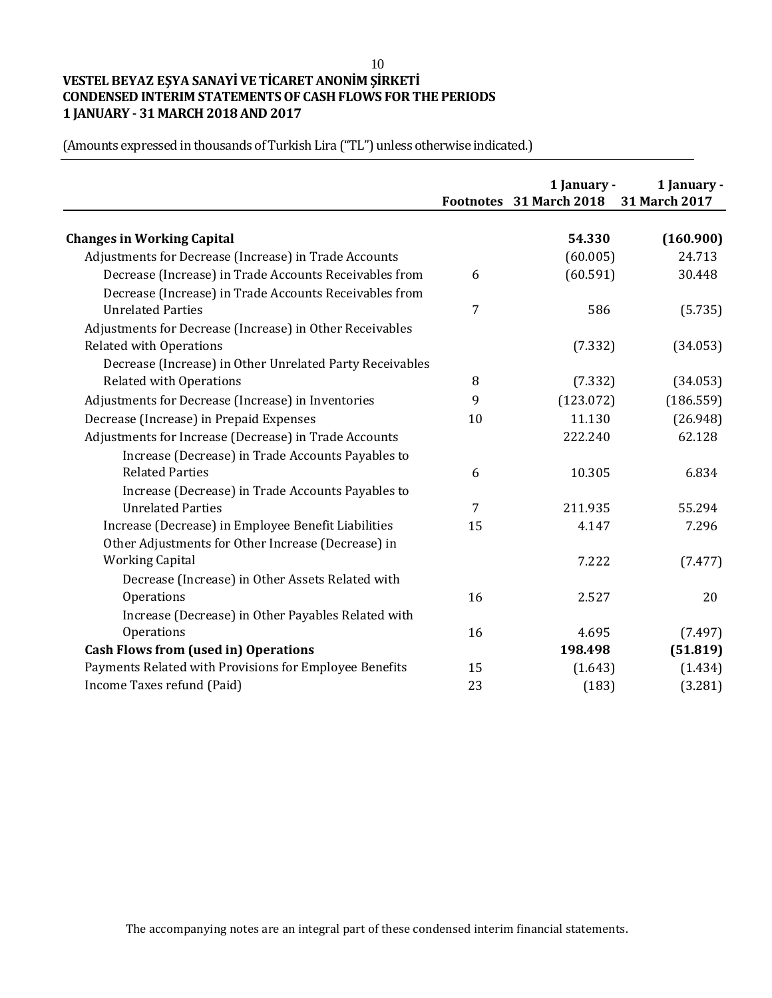# **VESTEL BEYAZ EŞYA SANAYİ VE TİCARET ANONİM ŞİRKETİ CONDENSED INTERIM STATEMENTS OF CASH FLOWS FOR THE PERIODS 1 JANUARY - 31 MARCH 2018 AND 2017**

**1 January - 1 January - Footnotes 31 March 2018 31 March 2017 Changes in Working Capital 54.330 (160.900)** (60.005) 24.713 6 (60.591) 30.448 7 586 (5.735) (7.332) (34.053) 8 (7.332) (34.053) Adjustments for Decrease (Increase) in Inventories  $\qquad \qquad 9$  (123.072) (186.559) Decrease (Increase) in Prepaid Expenses 10 10 11.130 (26.948) 222.240 62.128 Increase (Decrease) in Trade Accounts Payables to Related Parties 6 10.305 6.834 Increase (Decrease) in Trade Accounts Payables to Unrelated Parties 7 211.935 55.294 15 4.147 7.296 7.222 (7.477) Decrease (Increase) in Other Assets Related with Operations 2.527 20 Increase (Decrease) in Other Payables Related with Operations (7.497) **Cash Flows from (used in) Operations 198.498 (51.819)** 15 (1.643) (1.434) Income Taxes refund (Paid) 23 (183) (3.281) Adjustments for Decrease (Increase) in Trade Accounts Decrease (Increase) in Trade Accounts Receivables from Decrease (Increase) in Trade Accounts Receivables from Unrelated Parties Adjustments for Decrease (Increase) in Other Receivables Related with Operations Decrease (Increase) in Other Unrelated Party Receivables Related with Operations Adjustments for Increase (Decrease) in Trade Accounts Increase (Decrease) in Employee Benefit Liabilities Other Adjustments for Other Increase (Decrease) in Working Capital Payments Related with Provisions for Employee Benefits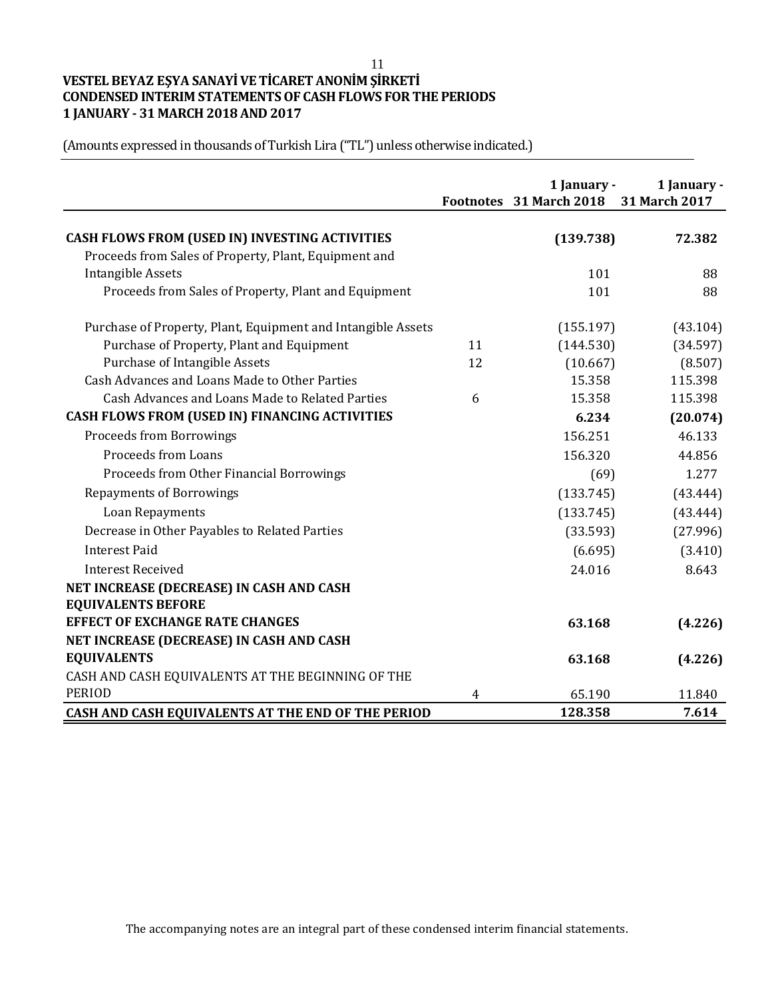#### 11

# **VESTEL BEYAZ EŞYA SANAYİ VE TİCARET ANONİM ŞİRKETİ CONDENSED INTERIM STATEMENTS OF CASH FLOWS FOR THE PERIODS 1 JANUARY - 31 MARCH 2018 AND 2017**

(Amounts expressed in thousands of Turkish Lira ("TL") unless otherwise indicated.)

|                                                              |    | 1 January -<br>Footnotes 31 March 2018 | 1 January -<br>31 March 2017 |
|--------------------------------------------------------------|----|----------------------------------------|------------------------------|
| <b>CASH FLOWS FROM (USED IN) INVESTING ACTIVITIES</b>        |    | (139.738)                              | 72.382                       |
| Proceeds from Sales of Property, Plant, Equipment and        |    |                                        |                              |
| <b>Intangible Assets</b>                                     |    | 101                                    | 88                           |
| Proceeds from Sales of Property, Plant and Equipment         |    | 101                                    | 88                           |
| Purchase of Property, Plant, Equipment and Intangible Assets |    | (155.197)                              | (43.104)                     |
| Purchase of Property, Plant and Equipment                    | 11 | (144.530)                              | (34.597)                     |
| <b>Purchase of Intangible Assets</b>                         | 12 | (10.667)                               | (8.507)                      |
| Cash Advances and Loans Made to Other Parties                |    | 15.358                                 | 115.398                      |
| Cash Advances and Loans Made to Related Parties              | 6  | 15.358                                 | 115.398                      |
| CASH FLOWS FROM (USED IN) FINANCING ACTIVITIES               |    | 6.234                                  | (20.074)                     |
| <b>Proceeds from Borrowings</b>                              |    | 156.251                                | 46.133                       |
| <b>Proceeds from Loans</b>                                   |    | 156.320                                | 44.856                       |
| Proceeds from Other Financial Borrowings                     |    | (69)                                   | 1.277                        |
| <b>Repayments of Borrowings</b>                              |    | (133.745)                              | (43.444)                     |
| Loan Repayments                                              |    | (133.745)                              | (43.444)                     |
| Decrease in Other Payables to Related Parties                |    | (33.593)                               | (27.996)                     |
| <b>Interest Paid</b>                                         |    | (6.695)                                | (3.410)                      |
| <b>Interest Received</b>                                     |    | 24.016                                 | 8.643                        |
| NET INCREASE (DECREASE) IN CASH AND CASH                     |    |                                        |                              |
| <b>EQUIVALENTS BEFORE</b>                                    |    |                                        |                              |
| <b>EFFECT OF EXCHANGE RATE CHANGES</b>                       |    | 63.168                                 | (4.226)                      |
| NET INCREASE (DECREASE) IN CASH AND CASH                     |    |                                        |                              |
| <b>EQUIVALENTS</b>                                           |    | 63.168                                 | (4.226)                      |
| CASH AND CASH EQUIVALENTS AT THE BEGINNING OF THE            |    |                                        |                              |
| <b>PERIOD</b>                                                | 4  | 65.190                                 | 11.840                       |
| CASH AND CASH EQUIVALENTS AT THE END OF THE PERIOD           |    | 128.358                                | 7.614                        |

The accompanying notes are an integral part of these condensed interim financial statements.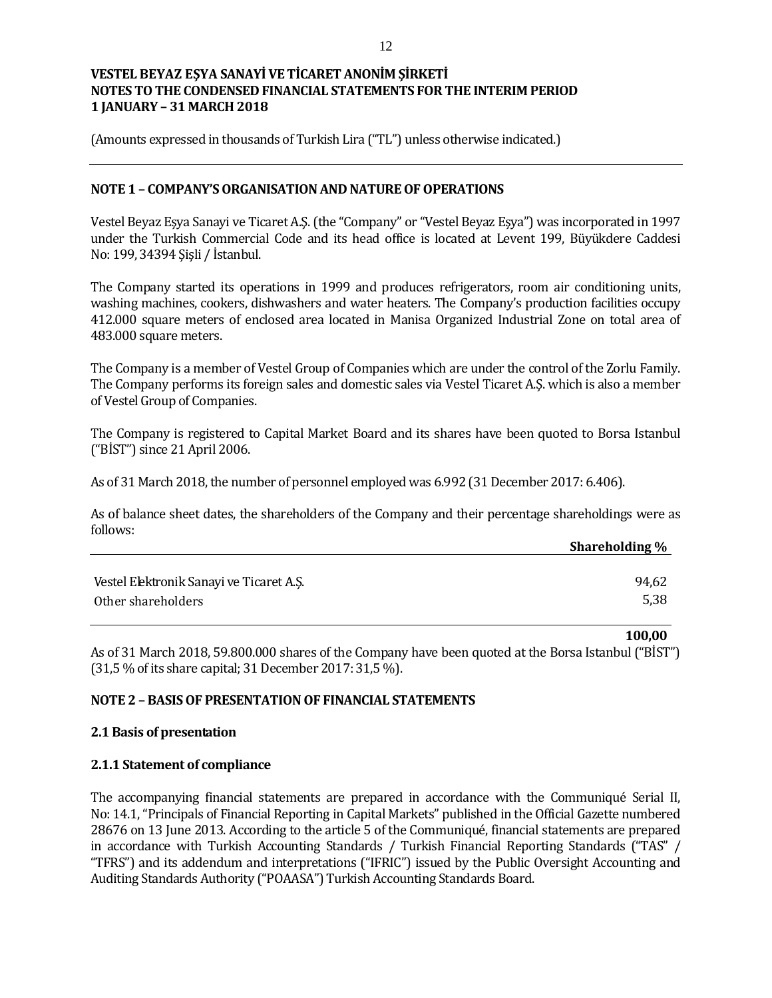(Amounts expressed in thousands of Turkish Lira ("TL") unless otherwise indicated.)

### **NOTE 1 – COMPANY'S ORGANISATION AND NATURE OF OPERATIONS**

Vestel Beyaz Eşya Sanayi ve Ticaret A.Ş. (the "Company" or "Vestel Beyaz Eşya") was incorporated in 1997 under the Turkish Commercial Code and its head office is located at Levent 199, Büyükdere Caddesi No: 199, 34394 Şişli / İstanbul.

The Company started its operations in 1999 and produces refrigerators, room air conditioning units, washing machines, cookers, dishwashers and water heaters. The Company's production facilities occupy 412.000 square meters of enclosed area located in Manisa Organized Industrial Zone on total area of 483.000 square meters.

The Company is a member of Vestel Group of Companies which are under the control of the Zorlu Family. The Company performs its foreign sales and domestic sales via Vestel Ticaret A.Ş. which is also a member of Vestel Group of Companies.

The Company is registered to Capital Market Board and its shares have been quoted to Borsa Istanbul ("BİST") since 21 April 2006.

As of 31 March 2018, the number of personnel employed was 6.992 (31 December 2017: 6.406).

As of balance sheet dates, the shareholders of the Company and their percentage shareholdings were as follows:

|                                          | Shareholding % |
|------------------------------------------|----------------|
|                                          |                |
| Vestel Elektronik Sanayi ve Ticaret A.S. | 94,62          |
| Other shareholders                       | 5,38           |

As of 31 March 2018, 59.800.000 shares of the Company have been quoted at the Borsa Istanbul ("BİST") (31,5 % of its share capital; 31 December 2017: 31,5 %).

**100,00**

## **NOTE 2 – BASIS OF PRESENTATION OF FINANCIAL STATEMENTS**

### **2.1 Basis of presentation**

### **2.1.1 Statement of compliance**

The accompanying financial statements are prepared in accordance with the Communiqué Serial II, No: 14.1, "Principals of Financial Reporting in Capital Markets" published in the Official Gazette numbered 28676 on 13 June 2013. According to the article 5 of the Communiqué, financial statements are prepared in accordance with Turkish Accounting Standards / Turkish Financial Reporting Standards ("TAS" / "TFRS") and its addendum and interpretations ("IFRIC") issued by the Public Oversight Accounting and Auditing Standards Authority ("POAASA") Turkish Accounting Standards Board.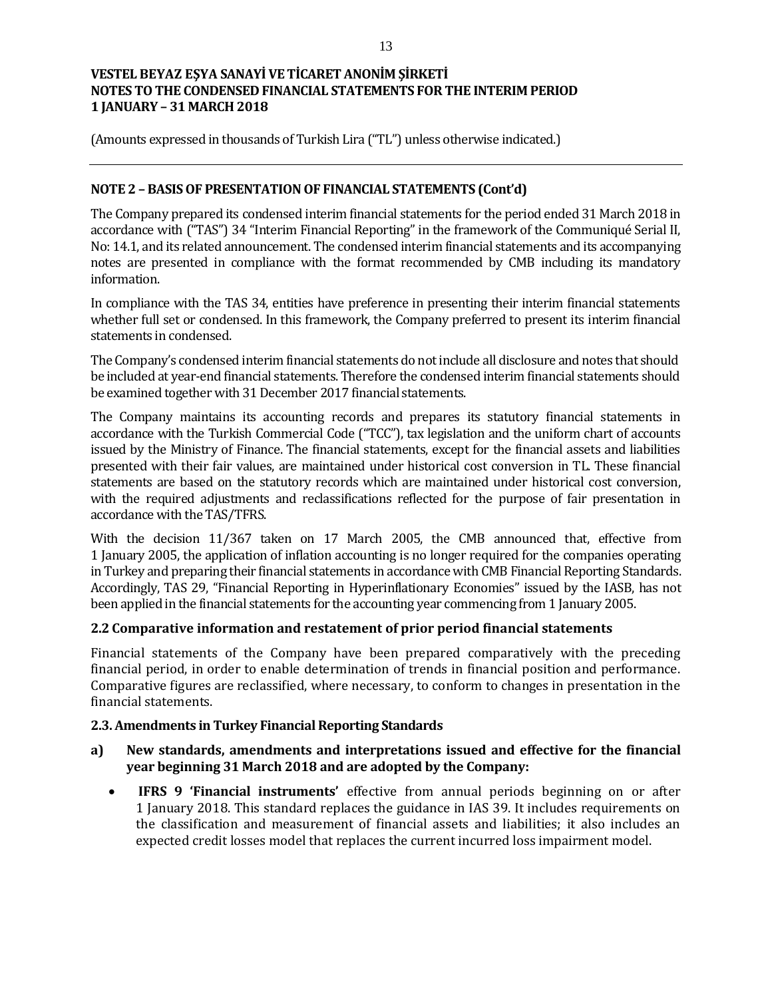(Amounts expressed in thousands of Turkish Lira ("TL") unless otherwise indicated.)

## **NOTE 2 – BASIS OF PRESENTATION OF FINANCIAL STATEMENTS (Cont'd)**

The Company prepared its condensed interim financial statements for the period ended 31 March 2018 in accordance with ("TAS") 34 "Interim Financial Reporting" in the framework of the Communiqué Serial II, No: 14.1, and its related announcement. The condensed interim financial statements and its accompanying notes are presented in compliance with the format recommended by CMB including its mandatory information.

In compliance with the TAS 34, entities have preference in presenting their interim financial statements whether full set or condensed. In this framework, the Company preferred to present its interim financial statements in condensed.

The Company's condensed interim financial statements do not include all disclosure and notes that should be included at year-end financial statements. Therefore the condensed interim financial statements should be examined together with 31 December 2017 financial statements.

The Company maintains its accounting records and prepares its statutory financial statements in accordance with the Turkish Commercial Code ("TCC"), tax legislation and the uniform chart of accounts issued by the Ministry of Finance. The financial statements, except for the financial assets and liabilities presented with their fair values, are maintained under historical cost conversion in TL. These financial statements are based on the statutory records which are maintained under historical cost conversion, with the required adjustments and reclassifications reflected for the purpose of fair presentation in accordance with the TAS/TFRS.

With the decision 11/367 taken on 17 March 2005, the CMB announced that, effective from 1 January 2005, the application of inflation accounting is no longer required for the companies operating in Turkey and preparing their financial statements in accordance with CMB Financial Reporting Standards. Accordingly, TAS 29, "Financial Reporting in Hyperinflationary Economies" issued by the IASB, has not been applied in the financial statements for the accounting year commencing from 1 January 2005.

### **2.2 Comparative information and restatement of prior period financial statements**

Financial statements of the Company have been prepared comparatively with the preceding financial period, in order to enable determination of trends in financial position and performance. Comparative figures are reclassified, where necessary, to conform to changes in presentation in the financial statements.

### **2.3. Amendments in Turkey Financial Reporting Standards**

## **a) New standards, amendments and interpretations issued and effective for the financial year beginning 31 March 2018 and are adopted by the Company:**

 **IFRS 9 'Financial instruments'** effective from annual periods beginning on or after 1 January 2018. This standard replaces the guidance in IAS 39. It includes requirements on the classification and measurement of financial assets and liabilities; it also includes an expected credit losses model that replaces the current incurred loss impairment model.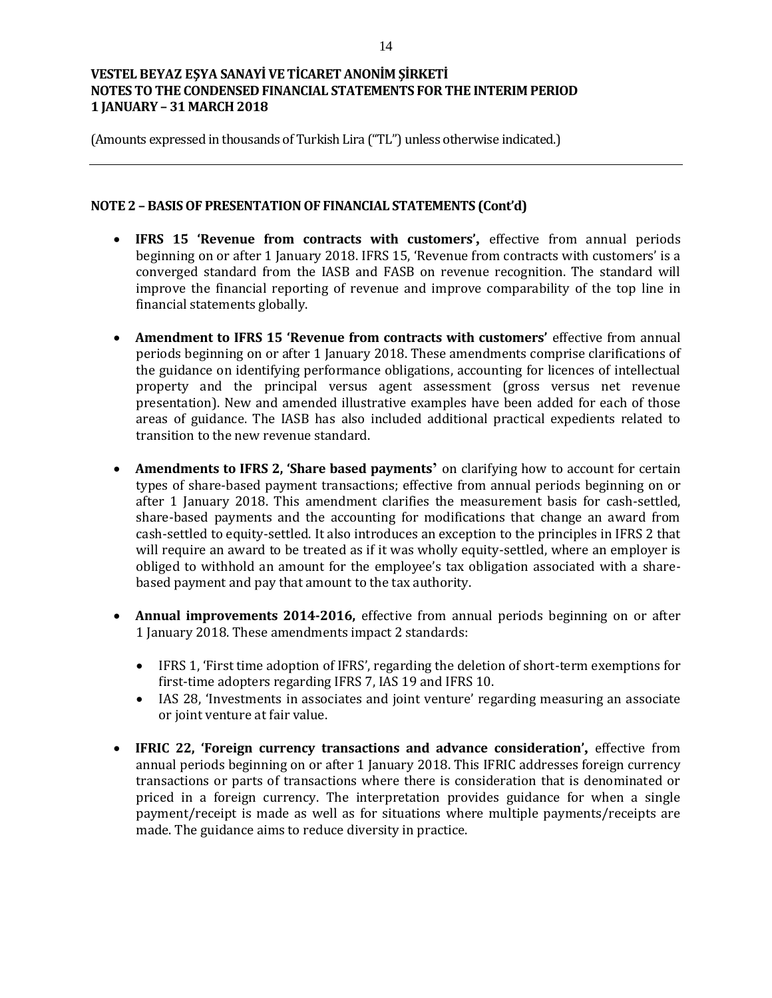(Amounts expressed in thousands of Turkish Lira ("TL") unless otherwise indicated.)

### **NOTE 2 – BASIS OF PRESENTATION OF FINANCIAL STATEMENTS (Cont'd)**

- **IFRS 15 'Revenue from contracts with customers',** effective from annual periods beginning on or after 1 January 2018. IFRS 15, 'Revenue from contracts with customers' is a converged standard from the IASB and FASB on revenue recognition. The standard will improve the financial reporting of revenue and improve comparability of the top line in financial statements globally.
- **Amendment to IFRS 15 'Revenue from contracts with customers'** effective from annual periods beginning on or after 1 January 2018. These amendments comprise clarifications of the guidance on identifying performance obligations, accounting for licences of intellectual property and the principal versus agent assessment (gross versus net revenue presentation). New and amended illustrative examples have been added for each of those areas of guidance. The IASB has also included additional practical expedients related to transition to the new revenue standard.
- **Amendments to IFRS 2, 'Share based payments'** on clarifying how to account for certain types of share-based payment transactions; effective from annual periods beginning on or after 1 January 2018. This amendment clarifies the measurement basis for cash-settled, share-based payments and the accounting for modifications that change an award from cash-settled to equity-settled. It also introduces an exception to the principles in IFRS 2 that will require an award to be treated as if it was wholly equity-settled, where an employer is obliged to withhold an amount for the employee's tax obligation associated with a sharebased payment and pay that amount to the tax authority.
- **Annual improvements 2014-2016,** effective from annual periods beginning on or after 1 January 2018. These amendments impact 2 standards:
	- IFRS 1, 'First time adoption of IFRS', regarding the deletion of short-term exemptions for first-time adopters regarding IFRS 7, IAS 19 and IFRS 10.
	- IAS 28, 'Investments in associates and joint venture' regarding measuring an associate or joint venture at fair value.
- **IFRIC 22, 'Foreign currency transactions and advance consideration',** effective from annual periods beginning on or after 1 January 2018. This IFRIC addresses foreign currency transactions or parts of transactions where there is consideration that is denominated or priced in a foreign currency. The interpretation provides guidance for when a single payment/receipt is made as well as for situations where multiple payments/receipts are made. The guidance aims to reduce diversity in practice.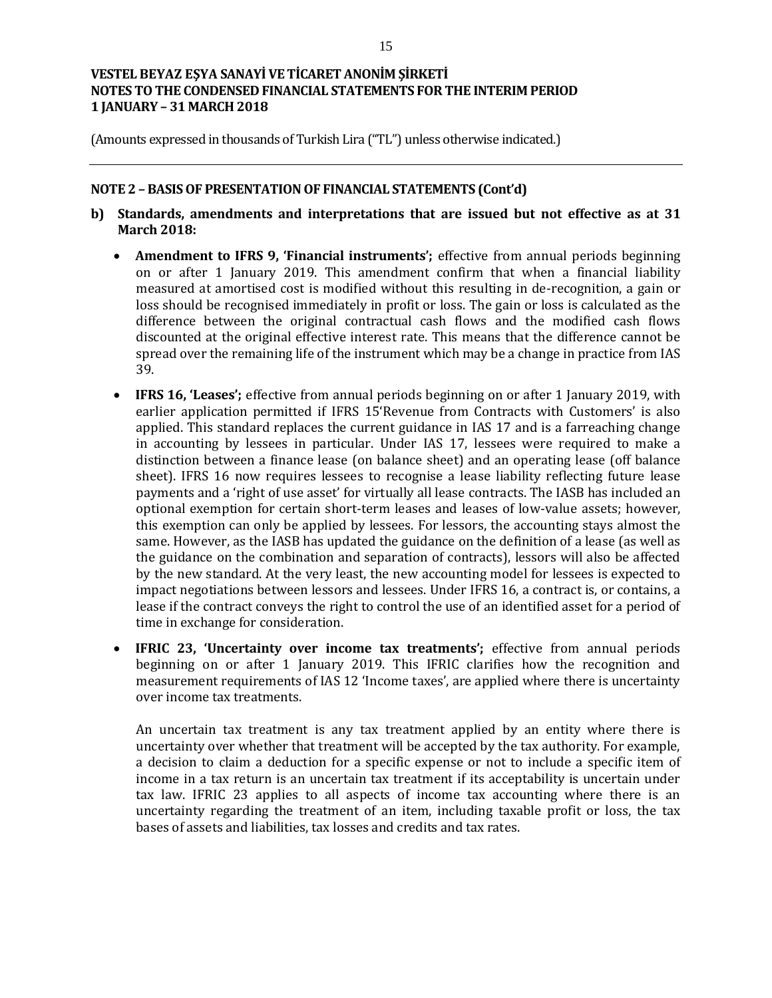(Amounts expressed in thousands of Turkish Lira ("TL") unless otherwise indicated.)

## **NOTE 2 – BASIS OF PRESENTATION OF FINANCIAL STATEMENTS (Cont'd)**

- **b) Standards, amendments and interpretations that are issued but not effective as at 31 March 2018:**
	- **Amendment to IFRS 9, 'Financial instruments';** effective from annual periods beginning on or after 1 January 2019. This amendment confirm that when a financial liability measured at amortised cost is modified without this resulting in de-recognition, a gain or loss should be recognised immediately in profit or loss. The gain or loss is calculated as the difference between the original contractual cash flows and the modified cash flows discounted at the original effective interest rate. This means that the difference cannot be spread over the remaining life of the instrument which may be a change in practice from IAS 39.
	- **IFRS 16, 'Leases';** effective from annual periods beginning on or after 1 January 2019, with earlier application permitted if IFRS 15'Revenue from Contracts with Customers' is also applied. This standard replaces the current guidance in IAS 17 and is a farreaching change in accounting by lessees in particular. Under IAS 17, lessees were required to make a distinction between a finance lease (on balance sheet) and an operating lease (off balance sheet). IFRS 16 now requires lessees to recognise a lease liability reflecting future lease payments and a 'right of use asset' for virtually all lease contracts. The IASB has included an optional exemption for certain short-term leases and leases of low-value assets; however, this exemption can only be applied by lessees. For lessors, the accounting stays almost the same. However, as the IASB has updated the guidance on the definition of a lease (as well as the guidance on the combination and separation of contracts), lessors will also be affected by the new standard. At the very least, the new accounting model for lessees is expected to impact negotiations between lessors and lessees. Under IFRS 16, a contract is, or contains, a lease if the contract conveys the right to control the use of an identified asset for a period of time in exchange for consideration.
	- **IFRIC 23, 'Uncertainty over income tax treatments';** effective from annual periods beginning on or after 1 January 2019. This IFRIC clarifies how the recognition and measurement requirements of IAS 12 'Income taxes', are applied where there is uncertainty over income tax treatments.

An uncertain tax treatment is any tax treatment applied by an entity where there is uncertainty over whether that treatment will be accepted by the tax authority. For example, a decision to claim a deduction for a specific expense or not to include a specific item of income in a tax return is an uncertain tax treatment if its acceptability is uncertain under tax law. IFRIC 23 applies to all aspects of income tax accounting where there is an uncertainty regarding the treatment of an item, including taxable profit or loss, the tax bases of assets and liabilities, tax losses and credits and tax rates.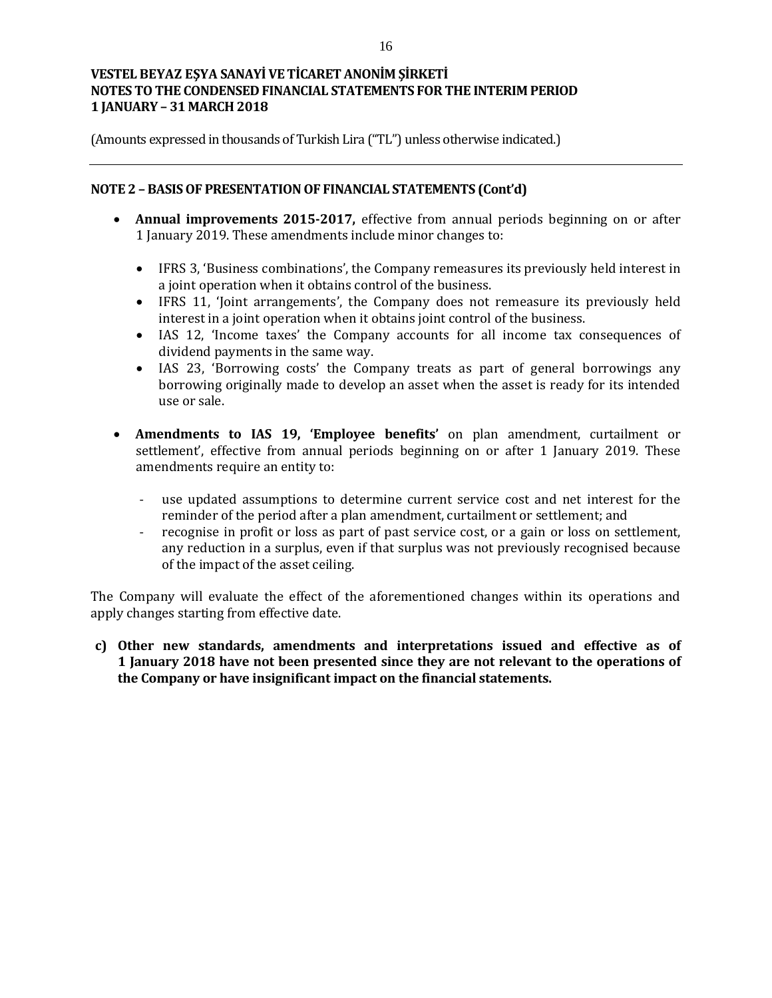(Amounts expressed in thousands of Turkish Lira ("TL") unless otherwise indicated.)

## **NOTE 2 – BASIS OF PRESENTATION OF FINANCIAL STATEMENTS (Cont'd)**

- **Annual improvements 2015-2017,** effective from annual periods beginning on or after 1 January 2019. These amendments include minor changes to:
	- IFRS 3, 'Business combinations', the Company remeasures its previously held interest in a joint operation when it obtains control of the business.
	- IFRS 11, 'Joint arrangements', the Company does not remeasure its previously held interest in a joint operation when it obtains joint control of the business.
	- IAS 12, 'Income taxes' the Company accounts for all income tax consequences of dividend payments in the same way.
	- IAS 23, 'Borrowing costs' the Company treats as part of general borrowings any borrowing originally made to develop an asset when the asset is ready for its intended use or sale.
- **Amendments to IAS 19, 'Employee benefits'** on plan amendment, curtailment or settlement', effective from annual periods beginning on or after 1 January 2019. These amendments require an entity to:
	- use updated assumptions to determine current service cost and net interest for the reminder of the period after a plan amendment, curtailment or settlement; and
	- recognise in profit or loss as part of past service cost, or a gain or loss on settlement, any reduction in a surplus, even if that surplus was not previously recognised because of the impact of the asset ceiling.

The Company will evaluate the effect of the aforementioned changes within its operations and apply changes starting from effective date.

**c) Other new standards, amendments and interpretations issued and effective as of 1 January 2018 have not been presented since they are not relevant to the operations of the Company or have insignificant impact on the financial statements.**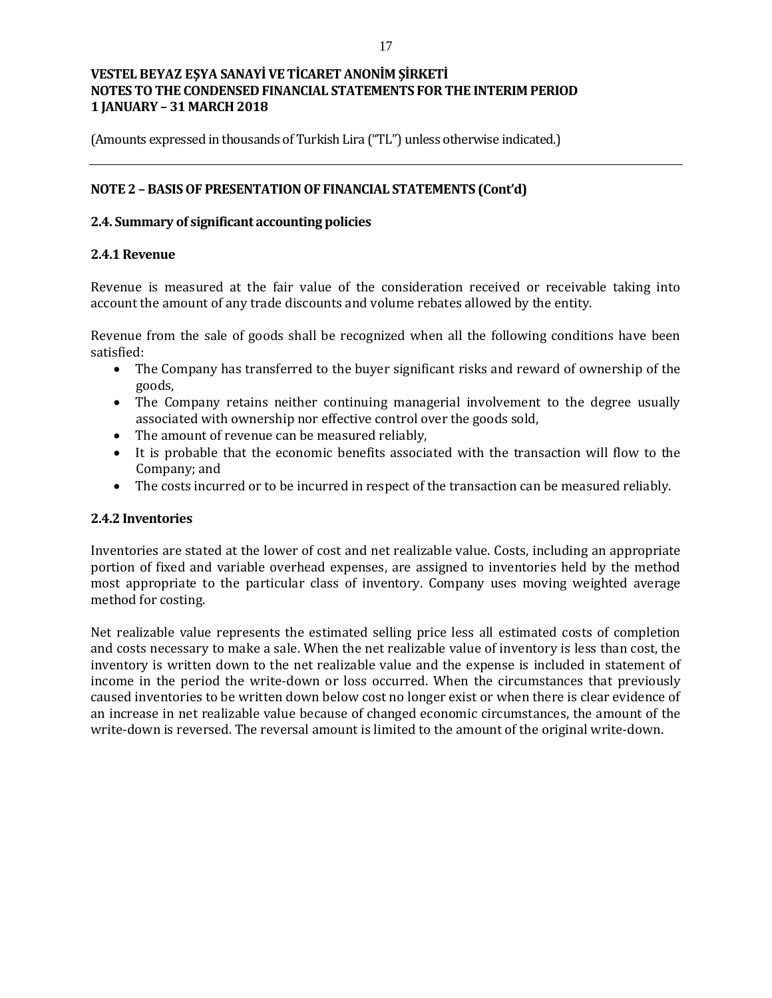(Amounts expressed in thousands of Turkish Lira ("TL") unless otherwise indicated.)

## **NOTE 2 – BASIS OF PRESENTATION OF FINANCIAL STATEMENTS (Cont'd)**

## **2.4. Summary of significant accounting policies**

## **2.4.1 Revenue**

Revenue is measured at the fair value of the consideration received or receivable taking into account the amount of any trade discounts and volume rebates allowed by the entity.

Revenue from the sale of goods shall be recognized when all the following conditions have been satisfied:

- The Company has transferred to the buyer significant risks and reward of ownership of the goods,
- The Company retains neither continuing managerial involvement to the degree usually associated with ownership nor effective control over the goods sold,
- The amount of revenue can be measured reliably,
- It is probable that the economic benefits associated with the transaction will flow to the Company; and
- The costs incurred or to be incurred in respect of the transaction can be measured reliably.

### **2.4.2 Inventories**

Inventories are stated at the lower of cost and net realizable value. Costs, including an appropriate portion of fixed and variable overhead expenses, are assigned to inventories held by the method most appropriate to the particular class of inventory. Company uses moving weighted average method for costing.

Net realizable value represents the estimated selling price less all estimated costs of completion and costs necessary to make a sale. When the net realizable value of inventory is less than cost, the inventory is written down to the net realizable value and the expense is included in statement of income in the period the write-down or loss occurred. When the circumstances that previously caused inventories to be written down below cost no longer exist or when there is clear evidence of an increase in net realizable value because of changed economic circumstances, the amount of the write-down is reversed. The reversal amount is limited to the amount of the original write-down.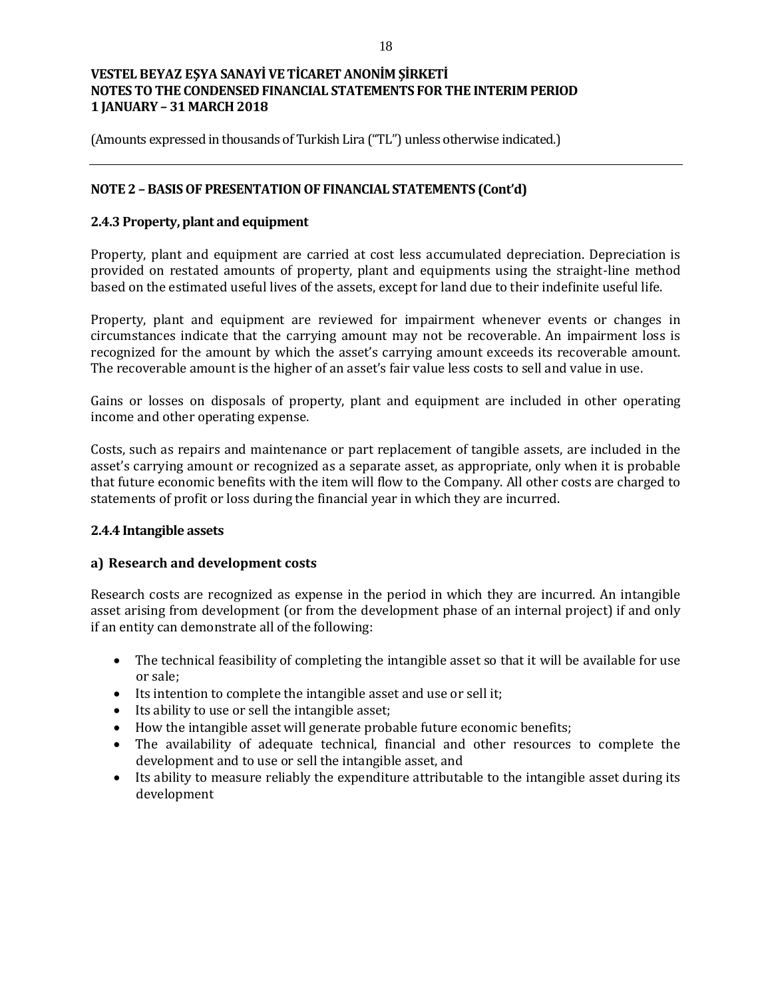(Amounts expressed in thousands of Turkish Lira ("TL") unless otherwise indicated.)

## **NOTE 2 – BASIS OF PRESENTATION OF FINANCIAL STATEMENTS (Cont'd)**

## **2.4.3 Property, plant and equipment**

Property, plant and equipment are carried at cost less accumulated depreciation. Depreciation is provided on restated amounts of property, plant and equipments using the straight-line method based on the estimated useful lives of the assets, except for land due to their indefinite useful life.

Property, plant and equipment are reviewed for impairment whenever events or changes in circumstances indicate that the carrying amount may not be recoverable. An impairment loss is recognized for the amount by which the asset's carrying amount exceeds its recoverable amount. The recoverable amount is the higher of an asset's fair value less costs to sell and value in use.

Gains or losses on disposals of property, plant and equipment are included in other operating income and other operating expense.

Costs, such as repairs and maintenance or part replacement of tangible assets, are included in the asset's carrying amount or recognized as a separate asset, as appropriate, only when it is probable that future economic benefits with the item will flow to the Company. All other costs are charged to statements of profit or loss during the financial year in which they are incurred.

### **2.4.4 Intangible assets**

## **a) Research and development costs**

Research costs are recognized as expense in the period in which they are incurred. An intangible asset arising from development (or from the development phase of an internal project) if and only if an entity can demonstrate all of the following:

- The technical feasibility of completing the intangible asset so that it will be available for use or sale;
- Its intention to complete the intangible asset and use or sell it;
- Its ability to use or sell the intangible asset;
- How the intangible asset will generate probable future economic benefits;
- The availability of adequate technical, financial and other resources to complete the development and to use or sell the intangible asset, and
- Its ability to measure reliably the expenditure attributable to the intangible asset during its development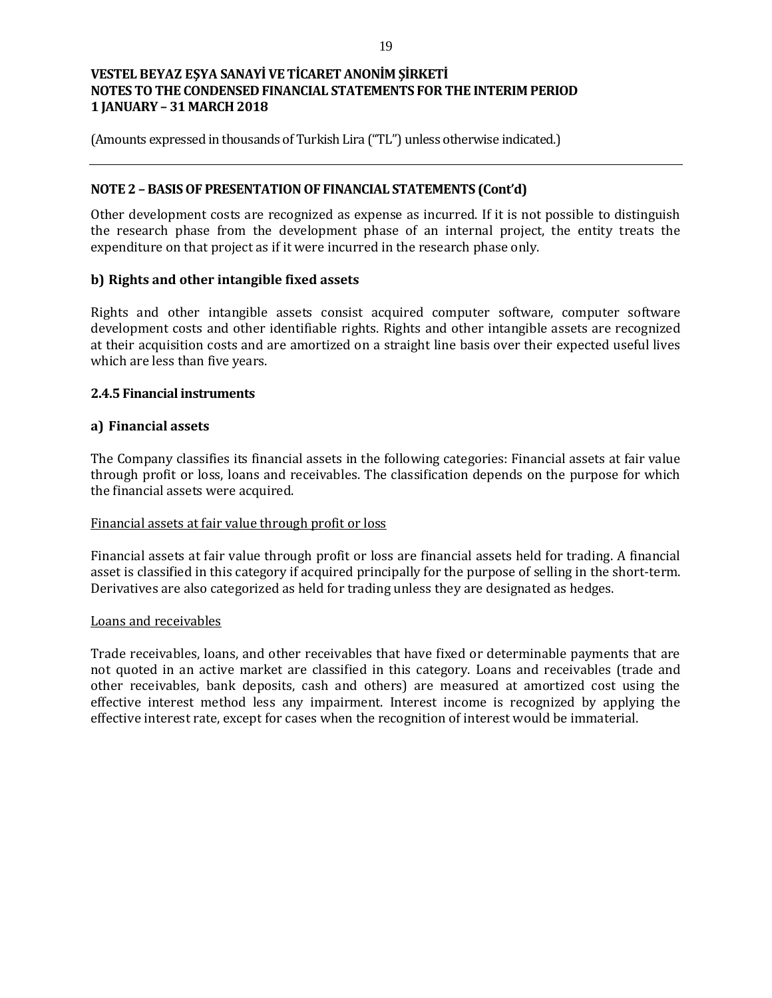(Amounts expressed in thousands of Turkish Lira ("TL") unless otherwise indicated.)

## **NOTE 2 – BASIS OF PRESENTATION OF FINANCIAL STATEMENTS (Cont'd)**

Other development costs are recognized as expense as incurred. If it is not possible to distinguish the research phase from the development phase of an internal project, the entity treats the expenditure on that project as if it were incurred in the research phase only.

## **b) Rights and other intangible fixed assets**

Rights and other intangible assets consist acquired computer software, computer software development costs and other identifiable rights. Rights and other intangible assets are recognized at their acquisition costs and are amortized on a straight line basis over their expected useful lives which are less than five years.

## **2.4.5 Financial instruments**

## **a) Financial assets**

The Company classifies its financial assets in the following categories: Financial assets at fair value through profit or loss, loans and receivables. The classification depends on the purpose for which the financial assets were acquired.

### Financial assets at fair value through profit or loss

Financial assets at fair value through profit or loss are financial assets held for trading. A financial asset is classified in this category if acquired principally for the purpose of selling in the short-term. Derivatives are also categorized as held for trading unless they are designated as hedges.

### Loans and receivables

Trade receivables, loans, and other receivables that have fixed or determinable payments that are not quoted in an active market are classified in this category. Loans and receivables (trade and other receivables, bank deposits, cash and others) are measured at amortized cost using the effective interest method less any impairment. Interest income is recognized by applying the effective interest rate, except for cases when the recognition of interest would be immaterial.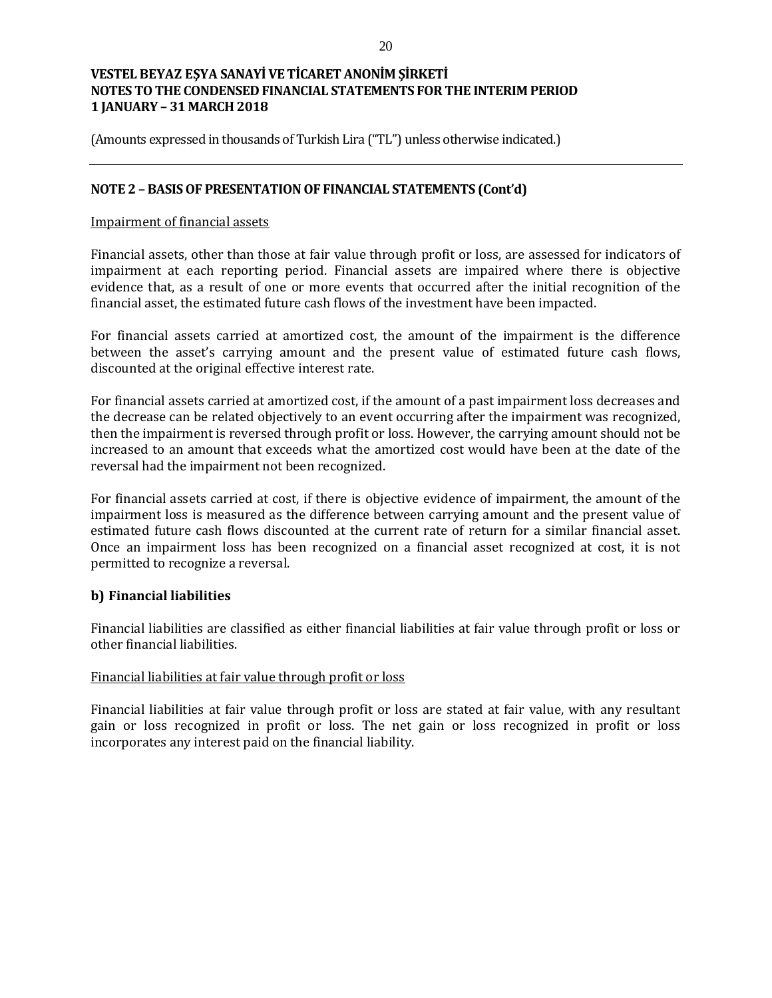(Amounts expressed in thousands of Turkish Lira ("TL") unless otherwise indicated.)

## **NOTE 2 – BASIS OF PRESENTATION OF FINANCIAL STATEMENTS (Cont'd)**

### Impairment of financial assets

Financial assets, other than those at fair value through profit or loss, are assessed for indicators of impairment at each reporting period. Financial assets are impaired where there is objective evidence that, as a result of one or more events that occurred after the initial recognition of the financial asset, the estimated future cash flows of the investment have been impacted.

For financial assets carried at amortized cost, the amount of the impairment is the difference between the asset's carrying amount and the present value of estimated future cash flows, discounted at the original effective interest rate.

For financial assets carried at amortized cost, if the amount of a past impairment loss decreases and the decrease can be related objectively to an event occurring after the impairment was recognized, then the impairment is reversed through profit or loss. However, the carrying amount should not be increased to an amount that exceeds what the amortized cost would have been at the date of the reversal had the impairment not been recognized.

For financial assets carried at cost, if there is objective evidence of impairment, the amount of the impairment loss is measured as the difference between carrying amount and the present value of estimated future cash flows discounted at the current rate of return for a similar financial asset. Once an impairment loss has been recognized on a financial asset recognized at cost, it is not permitted to recognize a reversal.

### **b) Financial liabilities**

Financial liabilities are classified as either financial liabilities at fair value through profit or loss or other financial liabilities.

### Financial liabilities at fair value through profit or loss

Financial liabilities at fair value through profit or loss are stated at fair value, with any resultant gain or loss recognized in profit or loss. The net gain or loss recognized in profit or loss incorporates any interest paid on the financial liability.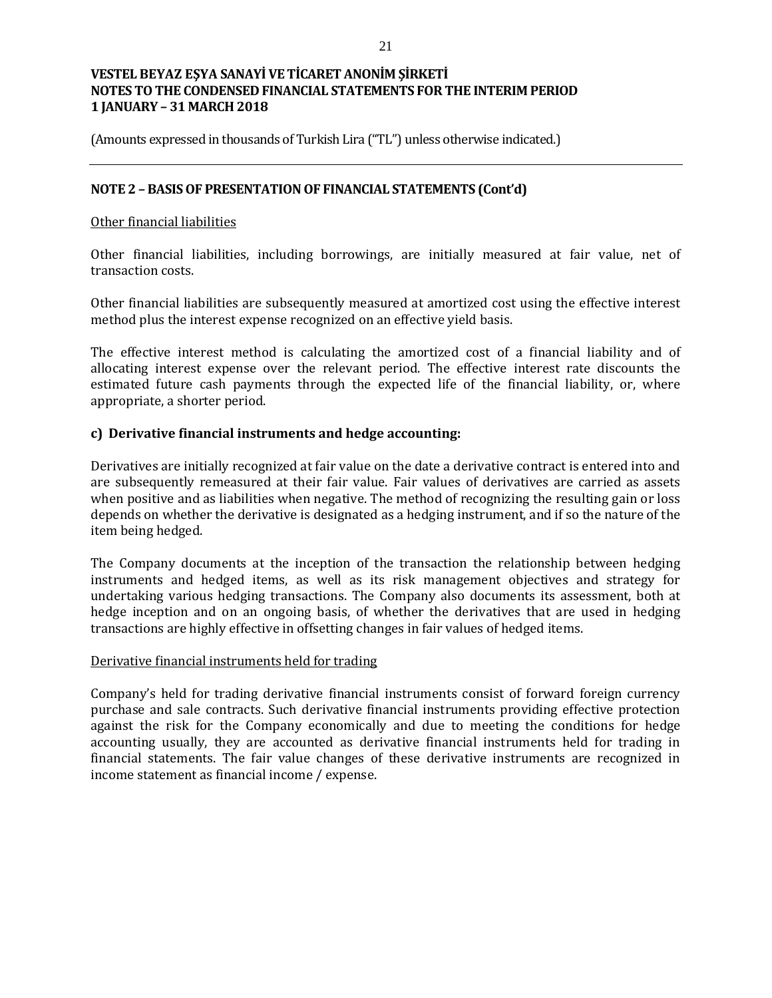(Amounts expressed in thousands of Turkish Lira ("TL") unless otherwise indicated.)

## **NOTE 2 – BASIS OF PRESENTATION OF FINANCIAL STATEMENTS (Cont'd)**

### Other financial liabilities

Other financial liabilities, including borrowings, are initially measured at fair value, net of transaction costs.

Other financial liabilities are subsequently measured at amortized cost using the effective interest method plus the interest expense recognized on an effective yield basis.

The effective interest method is calculating the amortized cost of a financial liability and of allocating interest expense over the relevant period. The effective interest rate discounts the estimated future cash payments through the expected life of the financial liability, or, where appropriate, a shorter period.

## **c) Derivative financial instruments and hedge accounting:**

Derivatives are initially recognized at fair value on the date a derivative contract is entered into and are subsequently remeasured at their fair value. Fair values of derivatives are carried as assets when positive and as liabilities when negative. The method of recognizing the resulting gain or loss depends on whether the derivative is designated as a hedging instrument, and if so the nature of the item being hedged.

The Company documents at the inception of the transaction the relationship between hedging instruments and hedged items, as well as its risk management objectives and strategy for undertaking various hedging transactions. The Company also documents its assessment, both at hedge inception and on an ongoing basis, of whether the derivatives that are used in hedging transactions are highly effective in offsetting changes in fair values of hedged items.

### Derivative financial instruments held for trading

Company's held for trading derivative financial instruments consist of forward foreign currency purchase and sale contracts. Such derivative financial instruments providing effective protection against the risk for the Company economically and due to meeting the conditions for hedge accounting usually, they are accounted as derivative financial instruments held for trading in financial statements. The fair value changes of these derivative instruments are recognized in income statement as financial income / expense.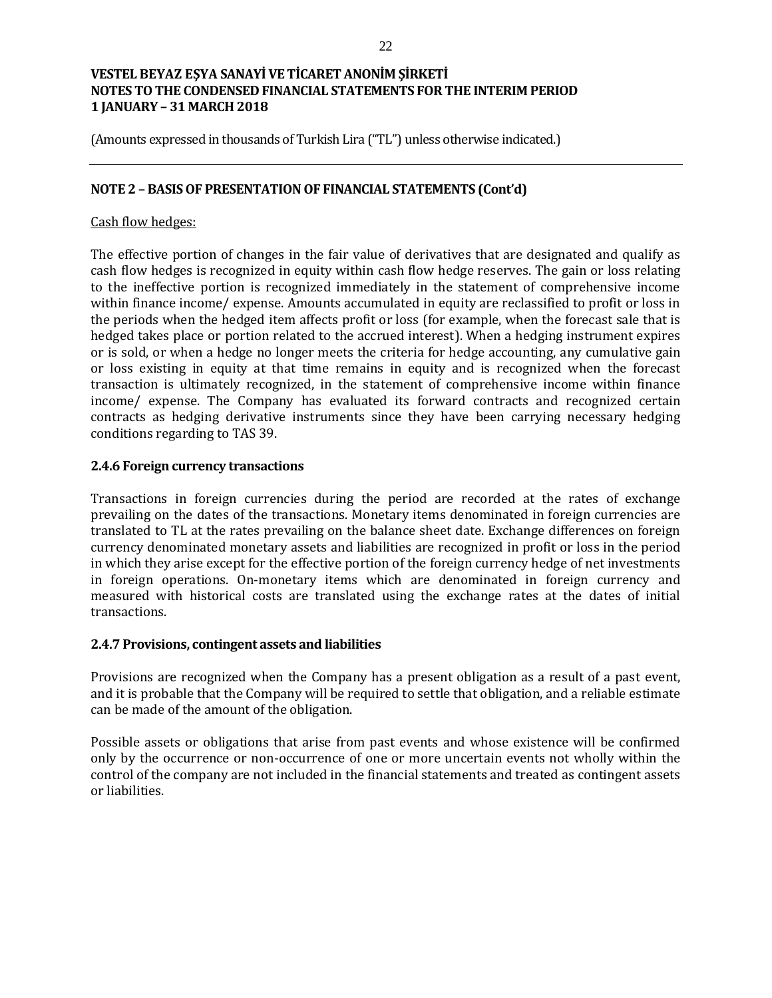(Amounts expressed in thousands of Turkish Lira ("TL") unless otherwise indicated.)

## **NOTE 2 – BASIS OF PRESENTATION OF FINANCIAL STATEMENTS (Cont'd)**

## Cash flow hedges:

The effective portion of changes in the fair value of derivatives that are designated and qualify as cash flow hedges is recognized in equity within cash flow hedge reserves. The gain or loss relating to the ineffective portion is recognized immediately in the statement of comprehensive income within finance income/ expense. Amounts accumulated in equity are reclassified to profit or loss in the periods when the hedged item affects profit or loss (for example, when the forecast sale that is hedged takes place or portion related to the accrued interest). When a hedging instrument expires or is sold, or when a hedge no longer meets the criteria for hedge accounting, any cumulative gain or loss existing in equity at that time remains in equity and is recognized when the forecast transaction is ultimately recognized, in the statement of comprehensive income within finance income/ expense. The Company has evaluated its forward contracts and recognized certain contracts as hedging derivative instruments since they have been carrying necessary hedging conditions regarding to TAS 39.

### **2.4.6 Foreign currency transactions**

Transactions in foreign currencies during the period are recorded at the rates of exchange prevailing on the dates of the transactions. Monetary items denominated in foreign currencies are translated to TL at the rates prevailing on the balance sheet date. Exchange differences on foreign currency denominated monetary assets and liabilities are recognized in profit or loss in the period in which they arise except for the effective portion of the foreign currency hedge of net investments in foreign operations. On-monetary items which are denominated in foreign currency and measured with historical costs are translated using the exchange rates at the dates of initial transactions.

### **2.4.7 Provisions, contingent assets and liabilities**

Provisions are recognized when the Company has a present obligation as a result of a past event, and it is probable that the Company will be required to settle that obligation, and a reliable estimate can be made of the amount of the obligation.

Possible assets or obligations that arise from past events and whose existence will be confirmed only by the occurrence or non-occurrence of one or more uncertain events not wholly within the control of the company are not included in the financial statements and treated as contingent assets or liabilities.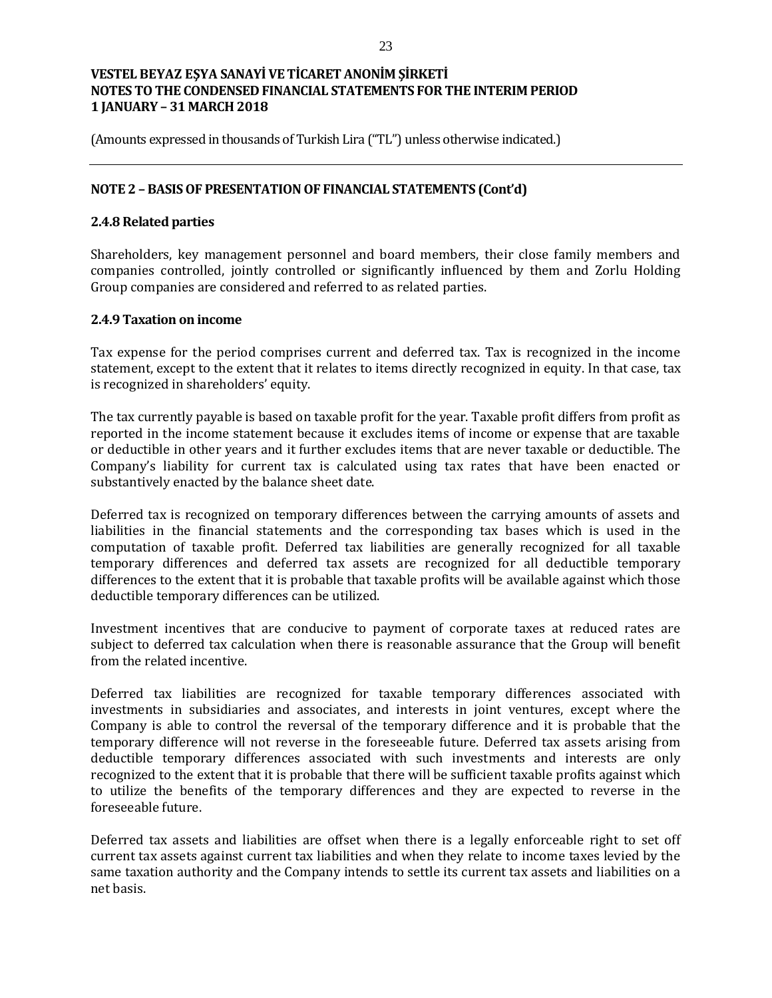(Amounts expressed in thousands of Turkish Lira ("TL") unless otherwise indicated.)

## **NOTE 2 – BASIS OF PRESENTATION OF FINANCIAL STATEMENTS (Cont'd)**

## **2.4.8 Related parties**

Shareholders, key management personnel and board members, their close family members and companies controlled, jointly controlled or significantly influenced by them and Zorlu Holding Group companies are considered and referred to as related parties.

### **2.4.9 Taxation on income**

Tax expense for the period comprises current and deferred tax. Tax is recognized in the income statement, except to the extent that it relates to items directly recognized in equity. In that case, tax is recognized in shareholders' equity.

The tax currently payable is based on taxable profit for the year. Taxable profit differs from profit as reported in the income statement because it excludes items of income or expense that are taxable or deductible in other years and it further excludes items that are never taxable or deductible. The Company's liability for current tax is calculated using tax rates that have been enacted or substantively enacted by the balance sheet date.

Deferred tax is recognized on temporary differences between the carrying amounts of assets and liabilities in the financial statements and the corresponding tax bases which is used in the computation of taxable profit. Deferred tax liabilities are generally recognized for all taxable temporary differences and deferred tax assets are recognized for all deductible temporary differences to the extent that it is probable that taxable profits will be available against which those deductible temporary differences can be utilized.

Investment incentives that are conducive to payment of corporate taxes at reduced rates are subject to deferred tax calculation when there is reasonable assurance that the Group will benefit from the related incentive.

Deferred tax liabilities are recognized for taxable temporary differences associated with investments in subsidiaries and associates, and interests in joint ventures, except where the Company is able to control the reversal of the temporary difference and it is probable that the temporary difference will not reverse in the foreseeable future. Deferred tax assets arising from deductible temporary differences associated with such investments and interests are only recognized to the extent that it is probable that there will be sufficient taxable profits against which to utilize the benefits of the temporary differences and they are expected to reverse in the foreseeable future.

Deferred tax assets and liabilities are offset when there is a legally enforceable right to set off current tax assets against current tax liabilities and when they relate to income taxes levied by the same taxation authority and the Company intends to settle its current tax assets and liabilities on a net basis.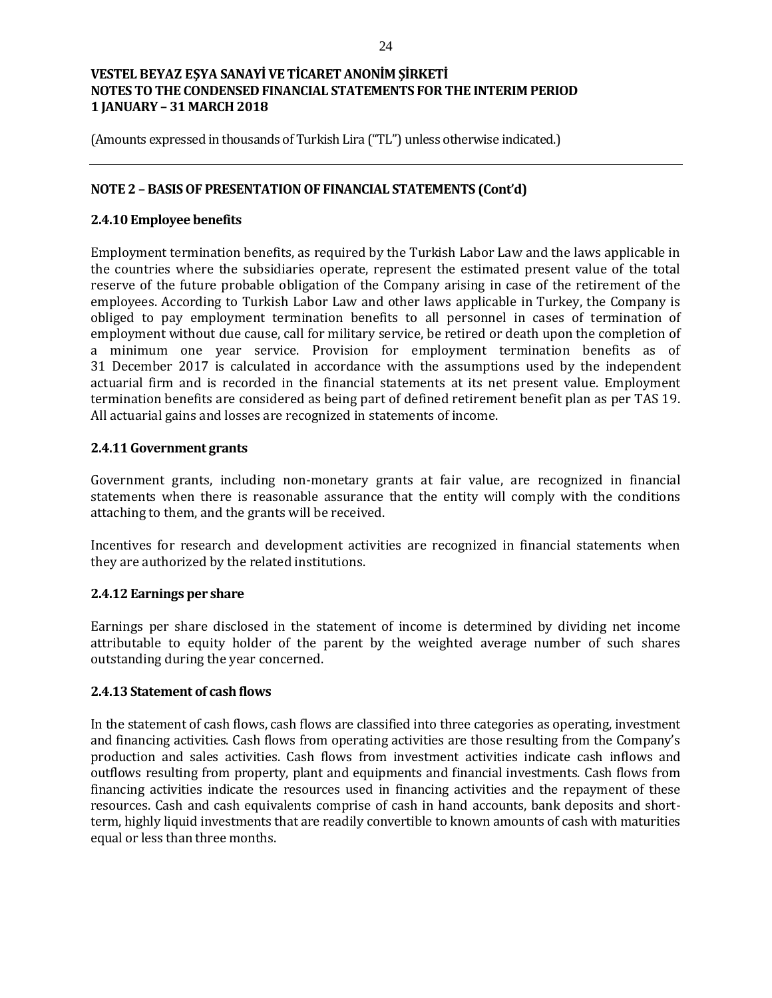(Amounts expressed in thousands of Turkish Lira ("TL") unless otherwise indicated.)

## **NOTE 2 – BASIS OF PRESENTATION OF FINANCIAL STATEMENTS (Cont'd)**

### **2.4.10 Employee benefits**

Employment termination benefits, as required by the Turkish Labor Law and the laws applicable in the countries where the subsidiaries operate, represent the estimated present value of the total reserve of the future probable obligation of the Company arising in case of the retirement of the employees. According to Turkish Labor Law and other laws applicable in Turkey, the Company is obliged to pay employment termination benefits to all personnel in cases of termination of employment without due cause, call for military service, be retired or death upon the completion of a minimum one year service. Provision for employment termination benefits as of 31 December 2017 is calculated in accordance with the assumptions used by the independent actuarial firm and is recorded in the financial statements at its net present value. Employment termination benefits are considered as being part of defined retirement benefit plan as per TAS 19. All actuarial gains and losses are recognized in statements of income.

### **2.4.11 Government grants**

Government grants, including non-monetary grants at fair value, are recognized in financial statements when there is reasonable assurance that the entity will comply with the conditions attaching to them, and the grants will be received.

Incentives for research and development activities are recognized in financial statements when they are authorized by the related institutions.

### **2.4.12 Earnings per share**

Earnings per share disclosed in the statement of income is determined by dividing net income attributable to equity holder of the parent by the weighted average number of such shares outstanding during the year concerned.

### **2.4.13 Statement of cash flows**

In the statement of cash flows, cash flows are classified into three categories as operating, investment and financing activities. Cash flows from operating activities are those resulting from the Company's production and sales activities. Cash flows from investment activities indicate cash inflows and outflows resulting from property, plant and equipments and financial investments. Cash flows from financing activities indicate the resources used in financing activities and the repayment of these resources. Cash and cash equivalents comprise of cash in hand accounts, bank deposits and shortterm, highly liquid investments that are readily convertible to known amounts of cash with maturities equal or less than three months.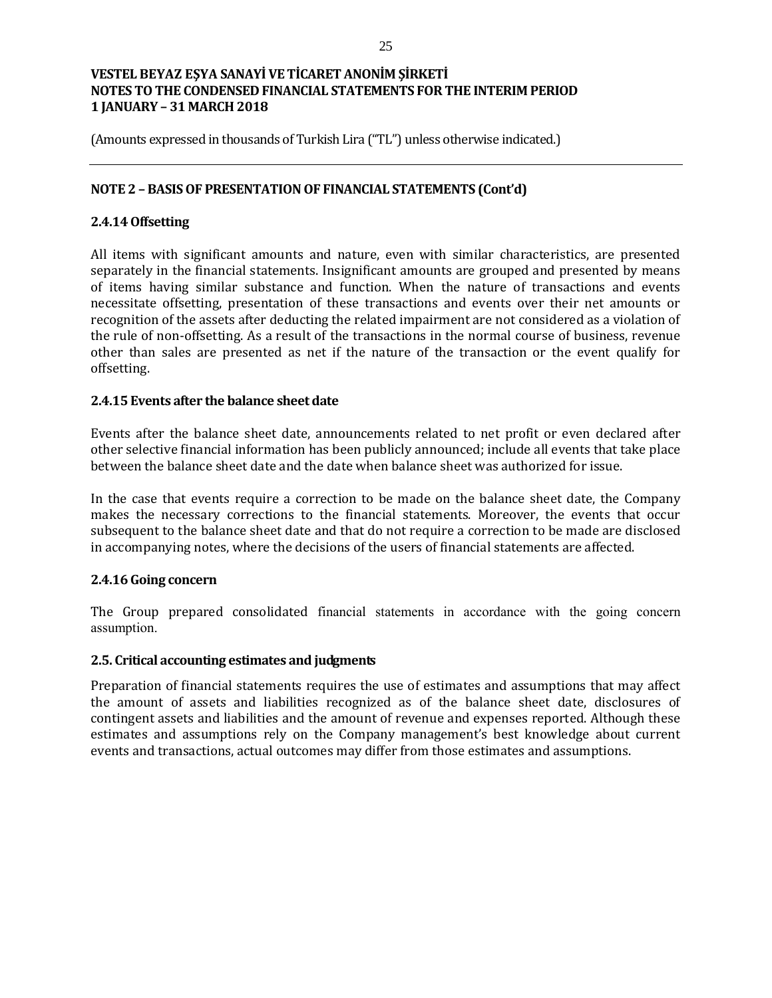(Amounts expressed in thousands of Turkish Lira ("TL") unless otherwise indicated.)

## **NOTE 2 – BASIS OF PRESENTATION OF FINANCIAL STATEMENTS (Cont'd)**

## **2.4.14 Offsetting**

All items with significant amounts and nature, even with similar characteristics, are presented separately in the financial statements. Insignificant amounts are grouped and presented by means of items having similar substance and function. When the nature of transactions and events necessitate offsetting, presentation of these transactions and events over their net amounts or recognition of the assets after deducting the related impairment are not considered as a violation of the rule of non-offsetting. As a result of the transactions in the normal course of business, revenue other than sales are presented as net if the nature of the transaction or the event qualify for offsetting.

### **2.4.15 Events after the balance sheet date**

Events after the balance sheet date, announcements related to net profit or even declared after other selective financial information has been publicly announced; include all events that take place between the balance sheet date and the date when balance sheet was authorized for issue.

In the case that events require a correction to be made on the balance sheet date, the Company makes the necessary corrections to the financial statements. Moreover, the events that occur subsequent to the balance sheet date and that do not require a correction to be made are disclosed in accompanying notes, where the decisions of the users of financial statements are affected.

### **2.4.16 Going concern**

The Group prepared consolidated financial statements in accordance with the going concern assumption.

### **2.5. Critical accounting estimates and judgments**

Preparation of financial statements requires the use of estimates and assumptions that may affect the amount of assets and liabilities recognized as of the balance sheet date, disclosures of contingent assets and liabilities and the amount of revenue and expenses reported. Although these estimates and assumptions rely on the Company management's best knowledge about current events and transactions, actual outcomes may differ from those estimates and assumptions.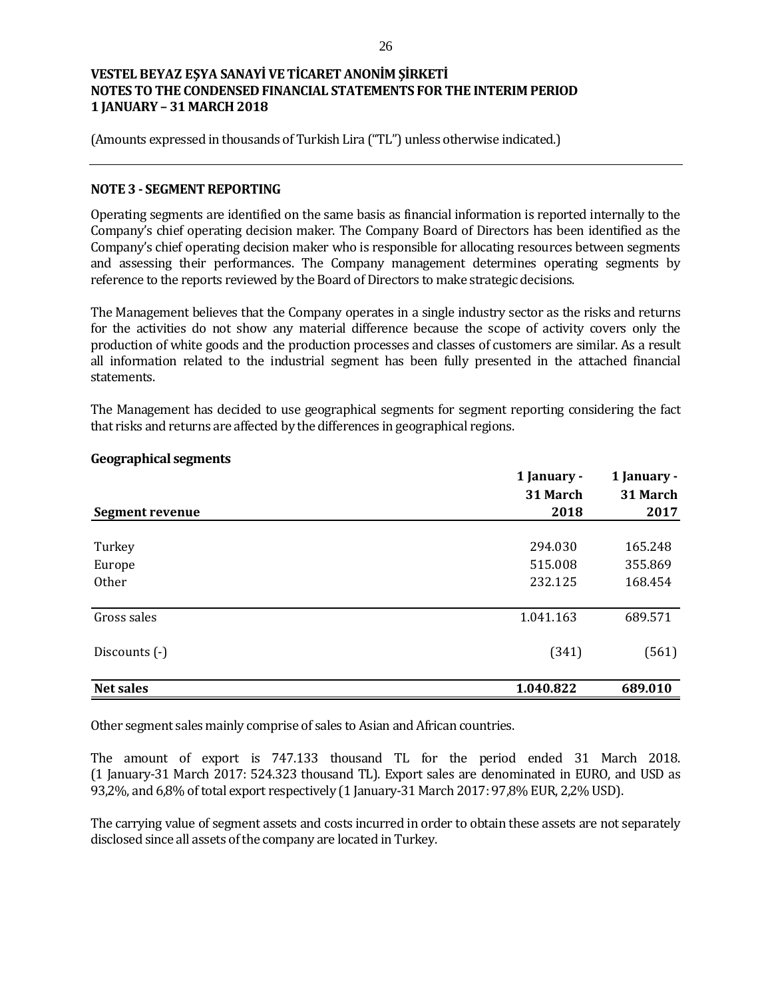(Amounts expressed in thousands of Turkish Lira ("TL") unless otherwise indicated.)

### **NOTE 3 - SEGMENT REPORTING**

Operating segments are identified on the same basis as financial information is reported internally to the Company's chief operating decision maker. The Company Board of Directors has been identified as the Company's chief operating decision maker who is responsible for allocating resources between segments and assessing their performances. The Company management determines operating segments by reference to the reports reviewed by the Board of Directors to make strategic decisions.

The Management believes that the Company operates in a single industry sector as the risks and returns for the activities do not show any material difference because the scope of activity covers only the production of white goods and the production processes and classes of customers are similar. As a result all information related to the industrial segment has been fully presented in the attached financial statements.

The Management has decided to use geographical segments for segment reporting considering the fact that risks and returns are affected by the differences in geographical regions.

|                        | 1 January - | 1 January -<br>31 March<br>2017 |  |
|------------------------|-------------|---------------------------------|--|
|                        | 31 March    |                                 |  |
| <b>Segment revenue</b> | 2018        |                                 |  |
|                        |             |                                 |  |
| Turkey                 | 294.030     | 165.248                         |  |
| Europe                 | 515.008     | 355.869                         |  |
| Other                  | 232.125     | 168.454                         |  |
| Gross sales            | 1.041.163   | 689.571                         |  |
| Discounts (-)          | (341)       | (561)                           |  |
| <b>Net sales</b>       | 1.040.822   | 689.010                         |  |

### **Geographical segments**

Other segment sales mainly comprise of sales to Asian and African countries.

The amount of export is 747.133 thousand TL for the period ended 31 March 2018. (1 January-31 March 2017: 524.323 thousand TL). Export sales are denominated in EURO, and USD as 93,2%, and 6,8% of total export respectively (1 January-31 March 2017: 97,8% EUR, 2,2% USD).

The carrying value of segment assets and costs incurred in order to obtain these assets are not separately disclosed since all assets of the company are located in Turkey.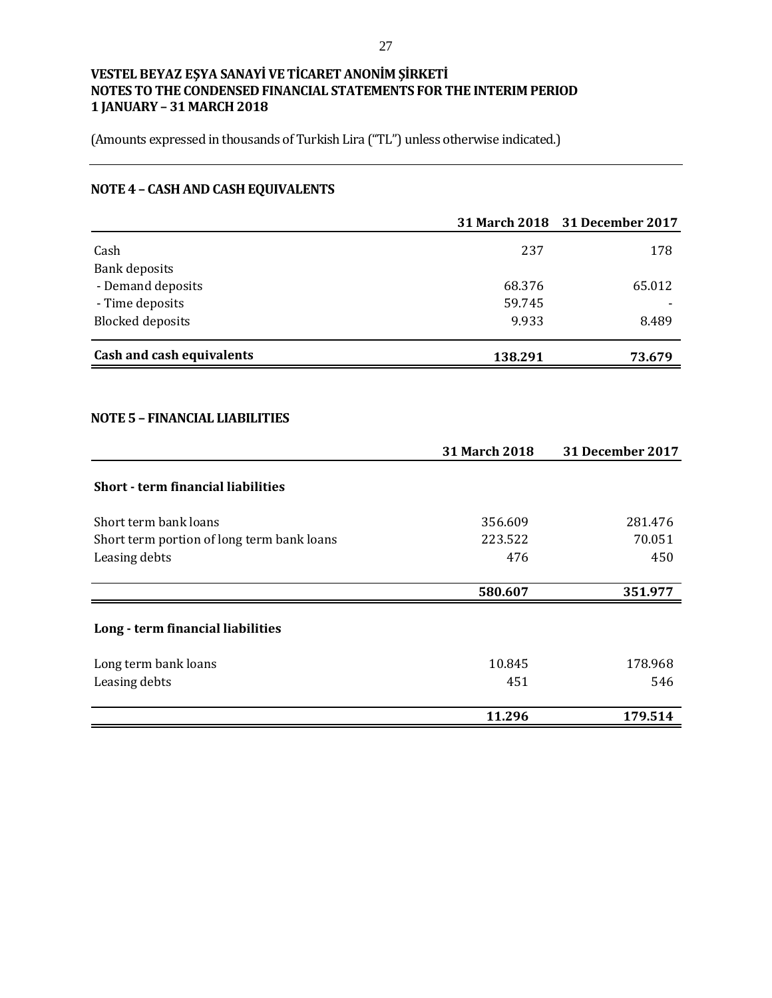(Amounts expressed in thousands of Turkish Lira ("TL") unless otherwise indicated.)

# **NOTE 4 – CASH AND CASH EQUIVALENTS**

|                                           |               | 31 March 2018 31 December 2017 |
|-------------------------------------------|---------------|--------------------------------|
| Cash                                      | 237           | 178                            |
| <b>Bank deposits</b>                      |               |                                |
| - Demand deposits                         | 68.376        | 65.012                         |
| - Time deposits                           | 59.745        |                                |
| <b>Blocked deposits</b>                   | 9.933         | 8.489                          |
| Cash and cash equivalents                 | 138.291       | 73.679                         |
| <b>NOTE 5 - FINANCIAL LIABILITIES</b>     |               |                                |
|                                           | 31 March 2018 | <b>31 December 2017</b>        |
| <b>Short - term financial liabilities</b> |               |                                |
| Short term hank loans                     | 356.609       | 281.476                        |

|                                            | 31 March 2018 | <b>31 December 2017</b> |
|--------------------------------------------|---------------|-------------------------|
| <b>Short - term financial liabilities</b>  |               |                         |
| Short term bank loans                      | 356.609       | 281.476                 |
| Short term portion of long term bank loans | 223.522       | 70.051                  |
| Leasing debts                              | 476           | 450                     |
|                                            | 580.607       | 351.977                 |
| Long - term financial liabilities          |               |                         |
| Long term bank loans                       | 10.845        | 178.968                 |
| Leasing debts                              | 451           | 546                     |
|                                            | 11.296        | 179.514                 |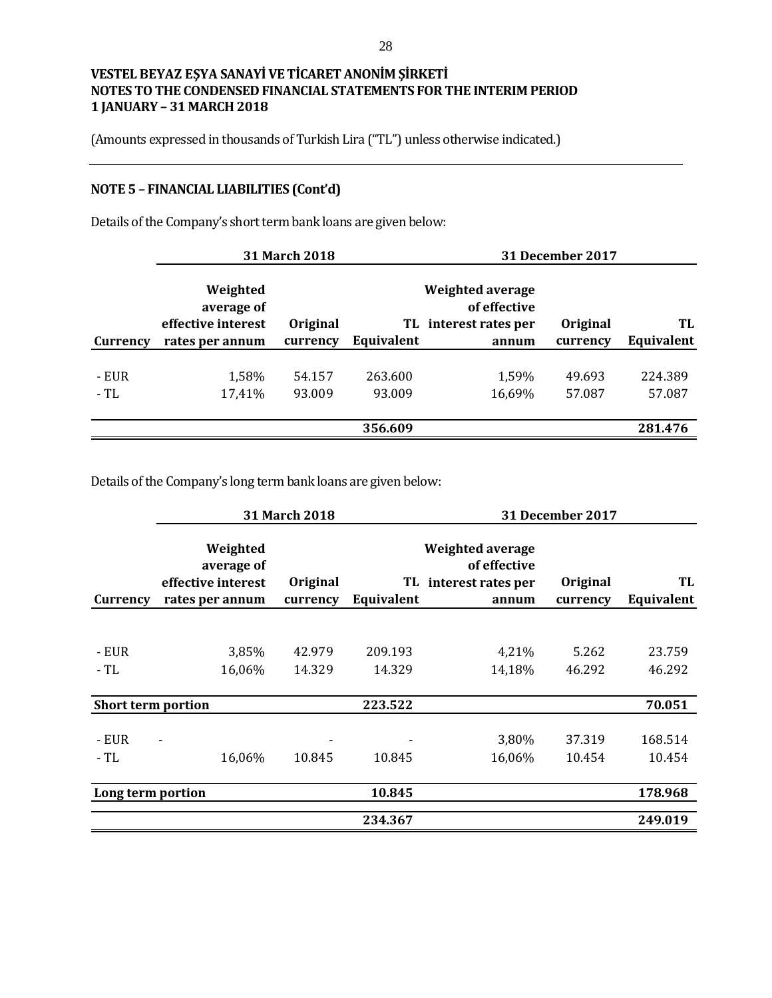(Amounts expressed in thousands of Turkish Lira ("TL") unless otherwise indicated.)

# **NOTE 5 – FINANCIAL LIABILITIES (Cont'd)**

Details of the Company's short term bank loans are given below:

|          |                                              | 31 March 2018 |            |                                                           | <b>31 December 2017</b> |            |
|----------|----------------------------------------------|---------------|------------|-----------------------------------------------------------|-------------------------|------------|
|          | Weighted<br>average of<br>effective interest | Original      |            | Weighted average<br>of effective<br>TL interest rates per | Original                | TL         |
| Currency | rates per annum                              | currency      | Equivalent | annum                                                     | currency                | Equivalent |
| - EUR    | 1,58%                                        | 54.157        | 263.600    | 1,59%                                                     | 49.693                  | 224.389    |
| $-TL$    | 17,41%                                       | 93.009        | 93.009     | 16,69%                                                    | 57.087                  | 57.087     |
|          |                                              |               | 356.609    |                                                           |                         | 281.476    |

Details of the Company's long term bank loans are given below:

|                           | 31 March 2018                                                   |                      |            | <b>31 December 2017</b>                                                   |                      |                  |
|---------------------------|-----------------------------------------------------------------|----------------------|------------|---------------------------------------------------------------------------|----------------------|------------------|
| Currency                  | Weighted<br>average of<br>effective interest<br>rates per annum | Original<br>currency | Equivalent | <b>Weighted average</b><br>of effective<br>TL interest rates per<br>annum | Original<br>currency | TL<br>Equivalent |
|                           |                                                                 |                      |            |                                                                           |                      |                  |
| - EUR                     | 3,85%                                                           | 42.979               | 209.193    | 4,21%                                                                     | 5.262                | 23.759           |
| - TL                      | 16,06%                                                          | 14.329               | 14.329     | 14,18%                                                                    | 46.292               | 46.292           |
| <b>Short term portion</b> |                                                                 |                      | 223.522    |                                                                           |                      | 70.051           |
| - EUR                     |                                                                 |                      |            | 3,80%                                                                     | 37.319               | 168.514          |
| - TL                      | 16,06%                                                          | 10.845               | 10.845     | 16,06%                                                                    | 10.454               | 10.454           |
| Long term portion         |                                                                 |                      | 10.845     |                                                                           |                      | 178.968          |
|                           |                                                                 |                      | 234.367    |                                                                           |                      | 249.019          |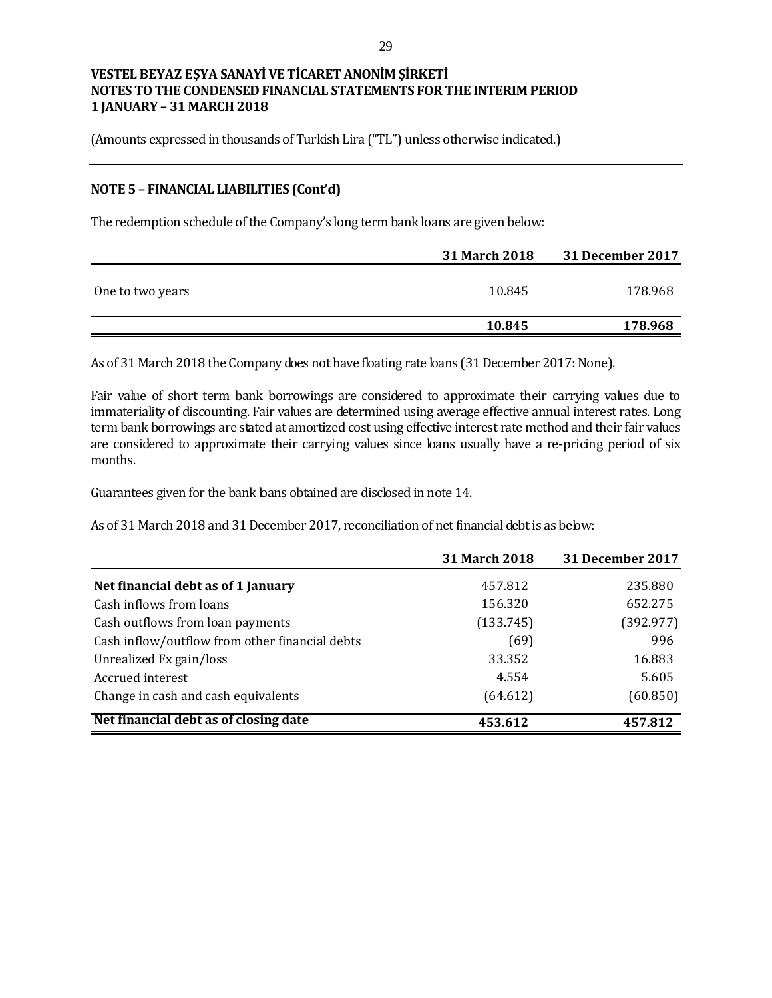(Amounts expressed in thousands of Turkish Lira ("TL") unless otherwise indicated.)

### **NOTE 5 – FINANCIAL LIABILITIES (Cont'd)**

The redemption schedule of the Company's long term bank loans are given below:

|                  | <b>31 March 2018</b> | 31 December 2017 |
|------------------|----------------------|------------------|
| One to two years | 10.845               | 178.968          |
|                  | 10.845               | 178.968          |

As of 31 March 2018 the Company does not have floating rate loans (31 December 2017: None).

Fair value of short term bank borrowings are considered to approximate their carrying values due to immateriality of discounting. Fair values are determined using average effective annual interest rates. Long term bank borrowings are stated at amortized cost using effective interest rate method and their fair values are considered to approximate their carrying values since loans usually have a re-pricing period of six months.

Guarantees given for the bank loans obtained are disclosed in note 14.

As of 31 March 2018 and 31 December 2017, reconciliation of net financial debt is as below:

|                                                | <b>31 March 2018</b> | 31 December 2017 |
|------------------------------------------------|----------------------|------------------|
| Net financial debt as of 1 January             | 457.812              | 235.880          |
| Cash inflows from loans                        | 156.320              | 652.275          |
| Cash outflows from loan payments               | (133.745)            | (392.977)        |
| Cash inflow/outflow from other financial debts | (69)                 | 996              |
| Unrealized Fx gain/loss                        | 33.352               | 16.883           |
| Accrued interest                               | 4.554                | 5.605            |
| Change in cash and cash equivalents            | (64.612)             | (60.850)         |
| Net financial debt as of closing date          | 453.612              | 457.812          |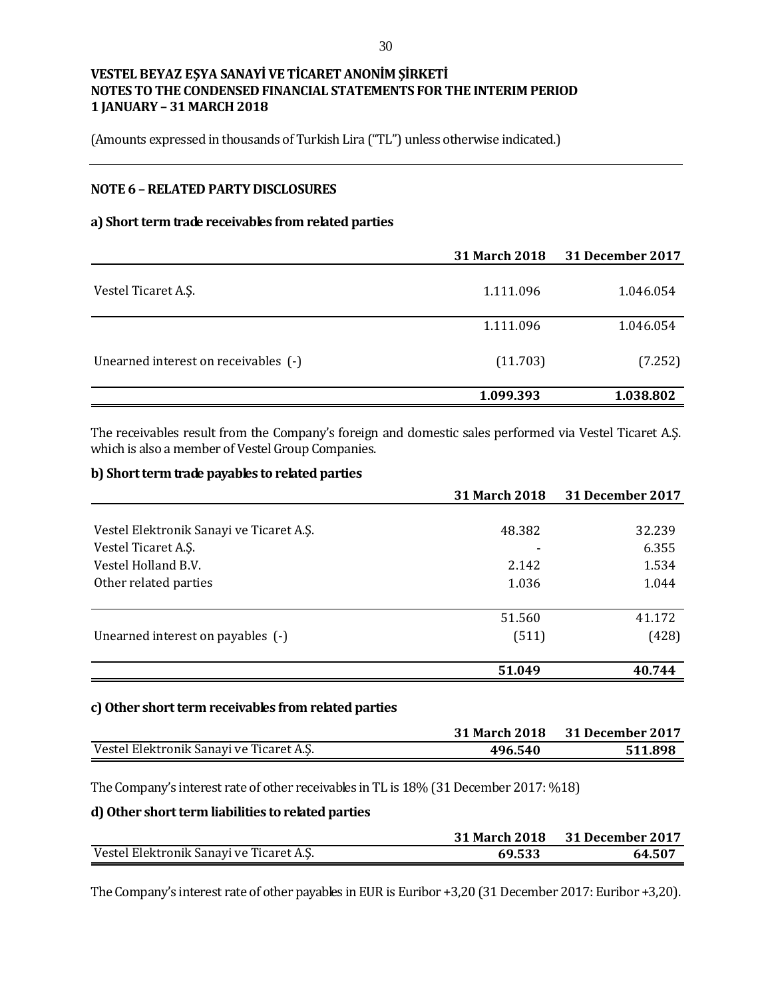(Amounts expressed in thousands of Turkish Lira ("TL") unless otherwise indicated.)

## **NOTE 6 –RELATED PARTY DISCLOSURES**

#### **a) Short term trade receivables from related parties**

|                                      | 31 March 2018 | 31 December 2017 |
|--------------------------------------|---------------|------------------|
| Vestel Ticaret A.S.                  | 1.111.096     | 1.046.054        |
|                                      | 1.111.096     | 1.046.054        |
| Unearned interest on receivables (-) | (11.703)      | (7.252)          |
|                                      | 1.099.393     | 1.038.802        |

The receivables result from the Company's foreign and domestic sales performed via Vestel Ticaret A.Ş. which is also a member of Vestel Group Companies.

### **b) Short term trade payables to related parties**

|                                          | <b>31 March 2018</b>     | 31 December 2017 |
|------------------------------------------|--------------------------|------------------|
|                                          |                          |                  |
| Vestel Elektronik Sanayi ve Ticaret A.Ş. | 48.382                   | 32.239           |
| Vestel Ticaret A.S.                      | $\overline{\phantom{0}}$ | 6.355            |
| Vestel Holland B.V.                      | 2.142                    | 1.534            |
| Other related parties                    | 1.036                    | 1.044            |
|                                          | 51.560                   | 41.172           |
| Unearned interest on payables (-)        | (511)                    | (428)            |
|                                          | 51.049                   | 40.744           |

#### **c)Other short term receivables from related parties**

|                                          |         | 31 March 2018 31 December 2017 |
|------------------------------------------|---------|--------------------------------|
| Vestel Elektronik Sanayi ve Ticaret A.Ş. | 496.540 | 511.898                        |

The Company's interest rate of other receivables in TL is 18% (31 December 2017: %18)

## **d) Other short term liabilities to related parties**

|                                          |        | 31 March 2018 31 December 2017 |
|------------------------------------------|--------|--------------------------------|
| Vestel Elektronik Sanayi ve Ticaret A.Ş. | 69.533 | 64.507                         |

The Company's interest rate of other payables in EUR is Euribor +3,20 (31 December 2017: Euribor +3,20).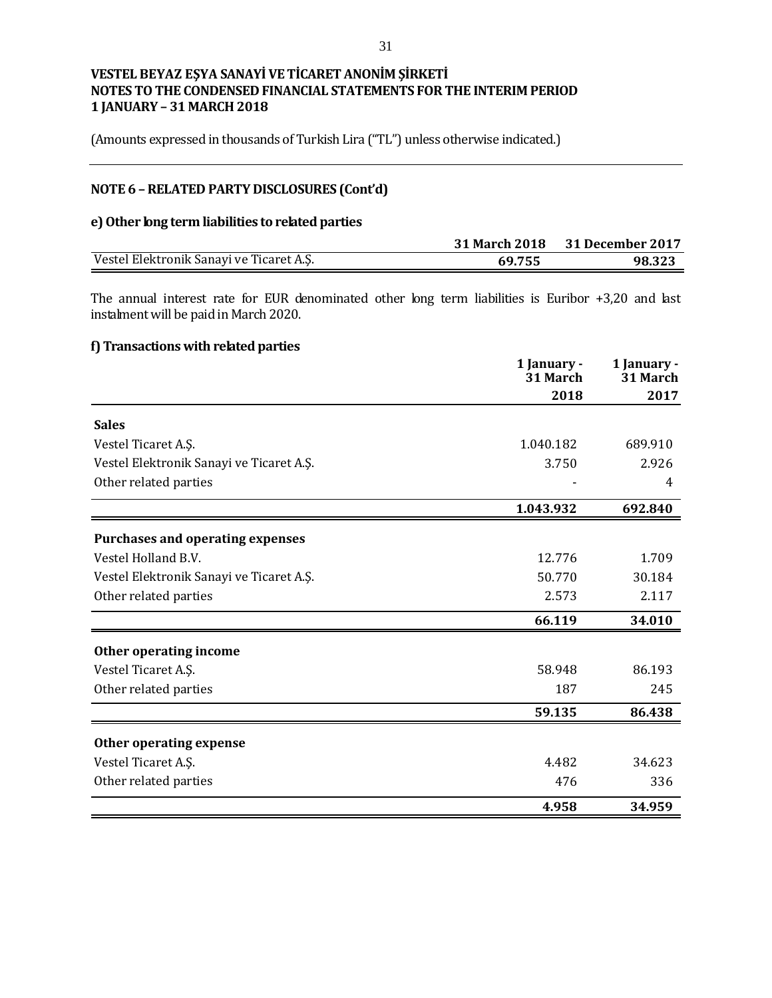(Amounts expressed in thousands of Turkish Lira ("TL") unless otherwise indicated.)

## **NOTE 6 –RELATED PARTY DISCLOSURES (Cont'd)**

### **e) Other long term liabilities to related parties**

|                                          |        | 31 March 2018 31 December 2017 |
|------------------------------------------|--------|--------------------------------|
| Vestel Elektronik Sanayi ve Ticaret A.Ş. | 69.755 | 98.323                         |

The annual interest rate for EUR denominated other long term liabilities is Euribor +3,20 and last instalment will be paid in March 2020.

## **f) Transactions with related parties**

|                                          | 1 January -<br>31 March | 1 January -<br>31 March |
|------------------------------------------|-------------------------|-------------------------|
|                                          | 2018                    | 2017                    |
| <b>Sales</b>                             |                         |                         |
| Vestel Ticaret A.Ş.                      | 1.040.182               | 689.910                 |
| Vestel Elektronik Sanayi ve Ticaret A.Ş. | 3.750                   | 2.926                   |
| Other related parties                    |                         | 4                       |
|                                          | 1.043.932               | 692.840                 |
| <b>Purchases and operating expenses</b>  |                         |                         |
| Vestel Holland B.V.                      | 12.776                  | 1.709                   |
| Vestel Elektronik Sanayi ve Ticaret A.Ş. | 50.770                  | 30.184                  |
| Other related parties                    | 2.573                   | 2.117                   |
|                                          | 66.119                  | 34.010                  |
| Other operating income                   |                         |                         |
| Vestel Ticaret A.Ş.                      | 58.948                  | 86.193                  |
| Other related parties                    | 187                     | 245                     |
|                                          | 59.135                  | 86.438                  |
| Other operating expense                  |                         |                         |
| Vestel Ticaret A.Ş.                      | 4.482                   | 34.623                  |
| Other related parties                    | 476                     | 336                     |
|                                          | 4.958                   | 34.959                  |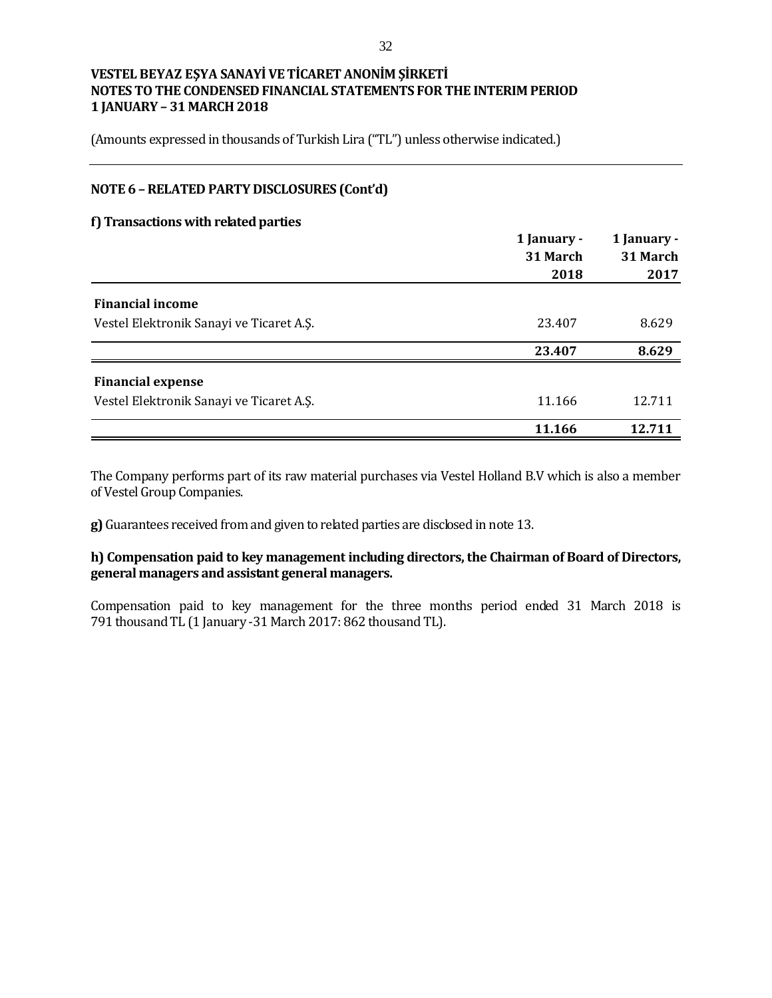(Amounts expressed in thousands of Turkish Lira ("TL") unless otherwise indicated.)

## **NOTE 6 –RELATED PARTY DISCLOSURES (Cont'd)**

#### **f) Transactions with related parties**

|                                          | 1 January -<br>31 March<br>2018 | 1 January -<br>31 March<br>2017 |
|------------------------------------------|---------------------------------|---------------------------------|
| <b>Financial income</b>                  |                                 |                                 |
| Vestel Elektronik Sanayi ve Ticaret A.Ş. | 23.407                          | 8.629                           |
|                                          | 23.407                          | 8.629                           |
| <b>Financial expense</b>                 |                                 |                                 |
| Vestel Elektronik Sanayi ve Ticaret A.Ş. | 11.166                          | 12.711                          |
|                                          | 11.166                          | 12.711                          |

The Company performs part of its raw material purchases via Vestel Holland B.V which is also a member of Vestel Group Companies.

**g)** Guarantees received from and given to related parties are disclosed in note 13.

**h) Compensation paid to key management including directors, the Chairman of Board of Directors, general managers and assistant general managers.**

Compensation paid to key management for the three months period ended 31 March 2018 is 791 thousand TL (1 January -31 March 2017: 862 thousand TL).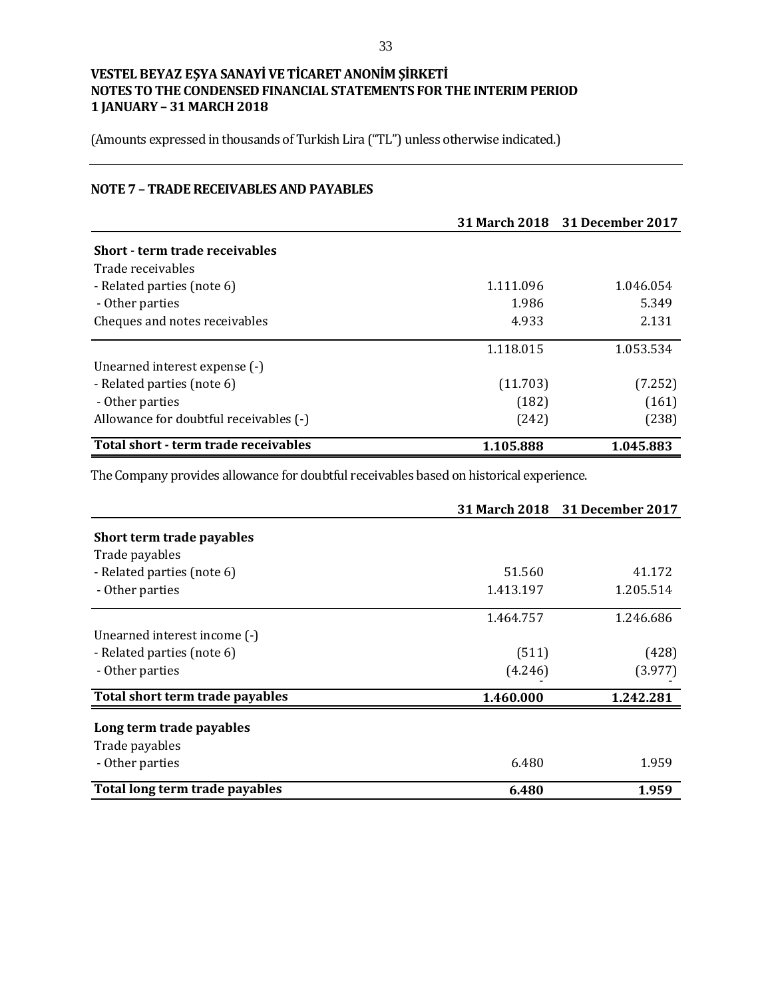(Amounts expressed in thousands of Turkish Lira ("TL") unless otherwise indicated.)

## **NOTE 7 – TRADE RECEIVABLES AND PAYABLES**

|                                        |           | 31 March 2018 31 December 2017 |
|----------------------------------------|-----------|--------------------------------|
| Short - term trade receivables         |           |                                |
| Trade receivables                      |           |                                |
| - Related parties (note 6)             | 1.111.096 | 1.046.054                      |
| - Other parties                        | 1.986     | 5.349                          |
| Cheques and notes receivables          | 4.933     | 2.131                          |
|                                        | 1.118.015 | 1.053.534                      |
| Unearned interest expense (-)          |           |                                |
| - Related parties (note 6)             | (11.703)  | (7.252)                        |
| - Other parties                        | (182)     | (161)                          |
| Allowance for doubtful receivables (-) | (242)     | (238)                          |
| Total short - term trade receivables   | 1.105.888 | 1.045.883                      |

The Company provides allowance for doubtful receivables based on historical experience.

|                                 |           | 31 March 2018 31 December 2017 |
|---------------------------------|-----------|--------------------------------|
| Short term trade payables       |           |                                |
| Trade payables                  |           |                                |
| - Related parties (note 6)      | 51.560    | 41.172                         |
| - Other parties                 | 1.413.197 | 1.205.514                      |
|                                 | 1.464.757 | 1.246.686                      |
| Unearned interest income (-)    |           |                                |
| - Related parties (note 6)      | (511)     | (428)                          |
| - Other parties                 | (4.246)   | (3.977)                        |
| Total short term trade payables | 1.460.000 | 1.242.281                      |
| Long term trade payables        |           |                                |
| Trade payables                  |           |                                |
| - Other parties                 | 6.480     | 1.959                          |
| Total long term trade payables  | 6.480     | 1.959                          |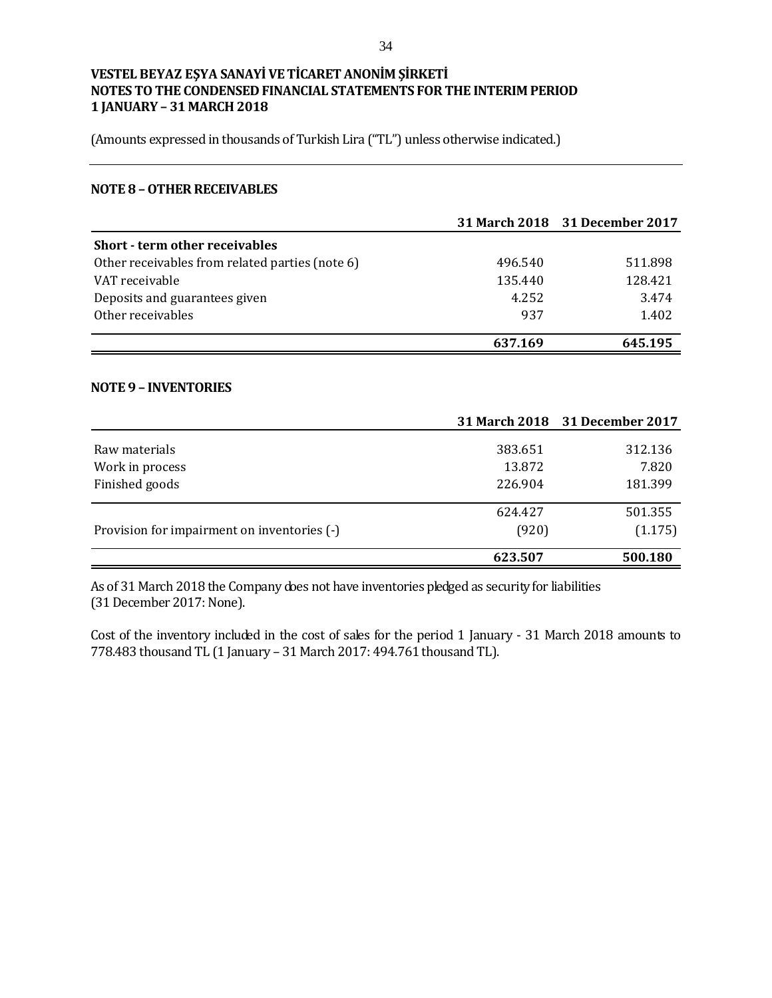(Amounts expressed in thousands of Turkish Lira ("TL") unless otherwise indicated.)

#### **NOTE 8 –OTHER RECEIVABLES**

|                                                 |         | 31 March 2018 31 December 2017 |
|-------------------------------------------------|---------|--------------------------------|
| <b>Short - term other receivables</b>           |         |                                |
| Other receivables from related parties (note 6) | 496.540 | 511.898                        |
| VAT receivable                                  | 135.440 | 128.421                        |
| Deposits and guarantees given                   | 4.252   | 3.474                          |
| Other receivables                               | 937     | 1.402                          |
|                                                 | 637.169 | 645.195                        |

#### **NOTE 9 – INVENTORIES**

|                                             |         | 31 March 2018 31 December 2017 |
|---------------------------------------------|---------|--------------------------------|
| Raw materials                               | 383.651 | 312.136                        |
| Work in process                             | 13.872  | 7.820                          |
| Finished goods                              | 226.904 | 181.399                        |
|                                             |         |                                |
|                                             | 624.427 | 501.355                        |
| Provision for impairment on inventories (-) | (920)   | (1.175)                        |
|                                             | 623.507 | 500.180                        |

As of 31 March 2018 the Company does not have inventories pledged as security for liabilities (31 December 2017: None).

Cost of the inventory included in the cost of sales for the period 1 January - 31 March 2018 amounts to 778.483 thousand TL (1 January – 31 March 2017: 494.761 thousand TL).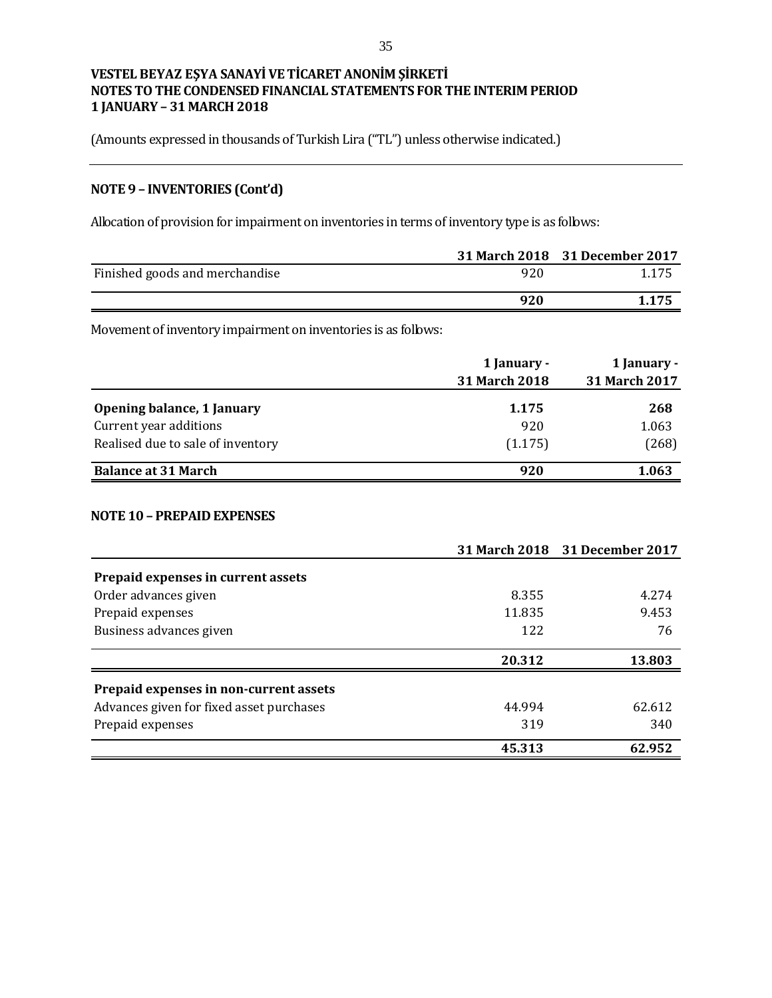(Amounts expressed in thousands of Turkish Lira ("TL") unless otherwise indicated.)

# **NOTE 9 – INVENTORIES (Cont'd)**

Allocation of provision for impairment on inventories in terms of inventory type is as follows:

|                                |     | 31 March 2018 31 December 2017 |
|--------------------------------|-----|--------------------------------|
| Finished goods and merchandise | 920 | 1.175                          |
|                                | 920 | 1.175                          |

Movement of inventory impairment on inventories is as follows:

|                                   | 1 January -          | 1 January -          |  |
|-----------------------------------|----------------------|----------------------|--|
|                                   | <b>31 March 2018</b> | <b>31 March 2017</b> |  |
| Opening balance, 1 January        | 1.175                | 268                  |  |
| Current year additions            | 920                  | 1.063                |  |
| Realised due to sale of inventory | (1.175)              | (268)                |  |
| <b>Balance at 31 March</b>        | 920                  | 1.063                |  |

### **NOTE 10 – PREPAID EXPENSES**

|                                          |        | 31 March 2018 31 December 2017 |
|------------------------------------------|--------|--------------------------------|
| Prepaid expenses in current assets       |        |                                |
| Order advances given                     | 8.355  | 4.274                          |
| Prepaid expenses                         | 11.835 | 9.453                          |
| Business advances given                  | 122    | 76                             |
|                                          | 20.312 | 13.803                         |
| Prepaid expenses in non-current assets   |        |                                |
| Advances given for fixed asset purchases | 44.994 | 62.612                         |
| Prepaid expenses                         | 319    | 340                            |
|                                          | 45.313 | 62.952                         |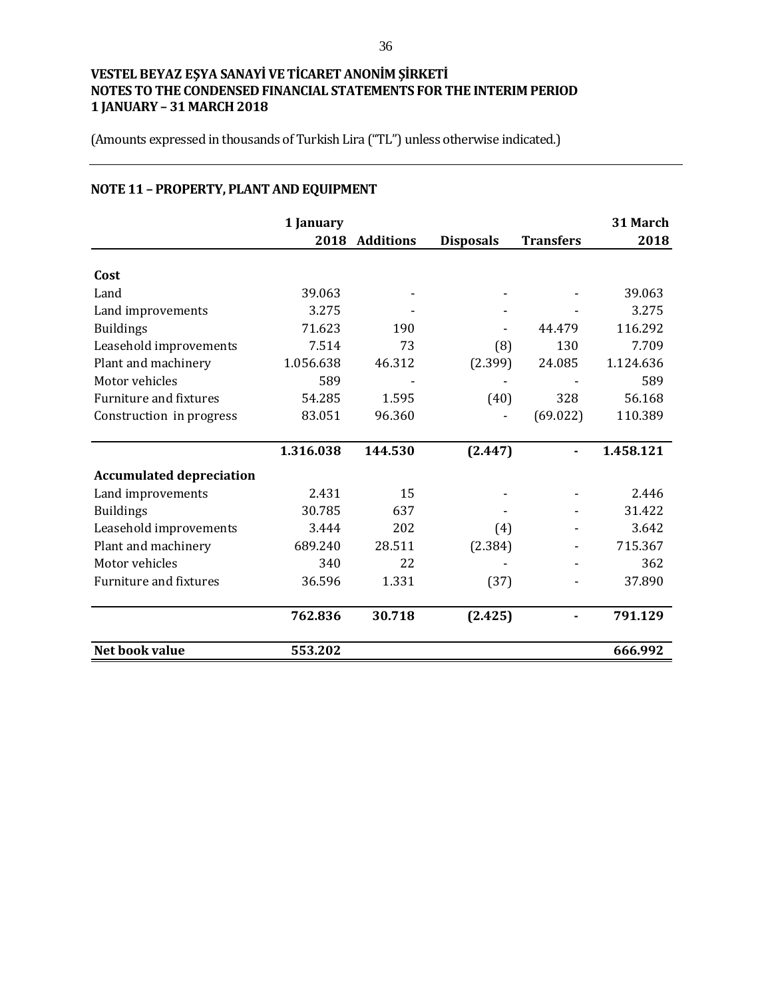(Amounts expressed in thousands of Turkish Lira ("TL") unless otherwise indicated.)

# **NOTE 11 – PROPERTY, PLANT AND EQUIPMENT**

|                                 | 1 January |                  |                  |                  | 31 March  |
|---------------------------------|-----------|------------------|------------------|------------------|-----------|
|                                 | 2018      | <b>Additions</b> | <b>Disposals</b> | <b>Transfers</b> | 2018      |
|                                 |           |                  |                  |                  |           |
| Cost                            |           |                  |                  |                  |           |
| Land                            | 39.063    |                  |                  |                  | 39.063    |
| Land improvements               | 3.275     |                  |                  |                  | 3.275     |
| <b>Buildings</b>                | 71.623    | 190              |                  | 44.479           | 116.292   |
| Leasehold improvements          | 7.514     | 73               | (8)              | 130              | 7.709     |
| Plant and machinery             | 1.056.638 | 46.312           | (2.399)          | 24.085           | 1.124.636 |
| Motor vehicles                  | 589       |                  |                  |                  | 589       |
| Furniture and fixtures          | 54.285    | 1.595            | (40)             | 328              | 56.168    |
| Construction in progress        | 83.051    | 96.360           |                  | (69.022)         | 110.389   |
|                                 |           |                  |                  |                  |           |
|                                 | 1.316.038 | 144.530          | (2.447)          |                  | 1.458.121 |
| <b>Accumulated depreciation</b> |           |                  |                  |                  |           |
| Land improvements               | 2.431     | 15               |                  |                  | 2.446     |
| <b>Buildings</b>                | 30.785    | 637              |                  |                  | 31.422    |
| Leasehold improvements          | 3.444     | 202              | (4)              |                  | 3.642     |
| Plant and machinery             | 689.240   | 28.511           | (2.384)          |                  | 715.367   |
| Motor vehicles                  | 340       | 22               |                  |                  | 362       |
| Furniture and fixtures          | 36.596    | 1.331            | (37)             |                  | 37.890    |
|                                 | 762.836   | 30.718           | (2.425)          |                  | 791.129   |
| Net book value                  | 553.202   |                  |                  |                  | 666.992   |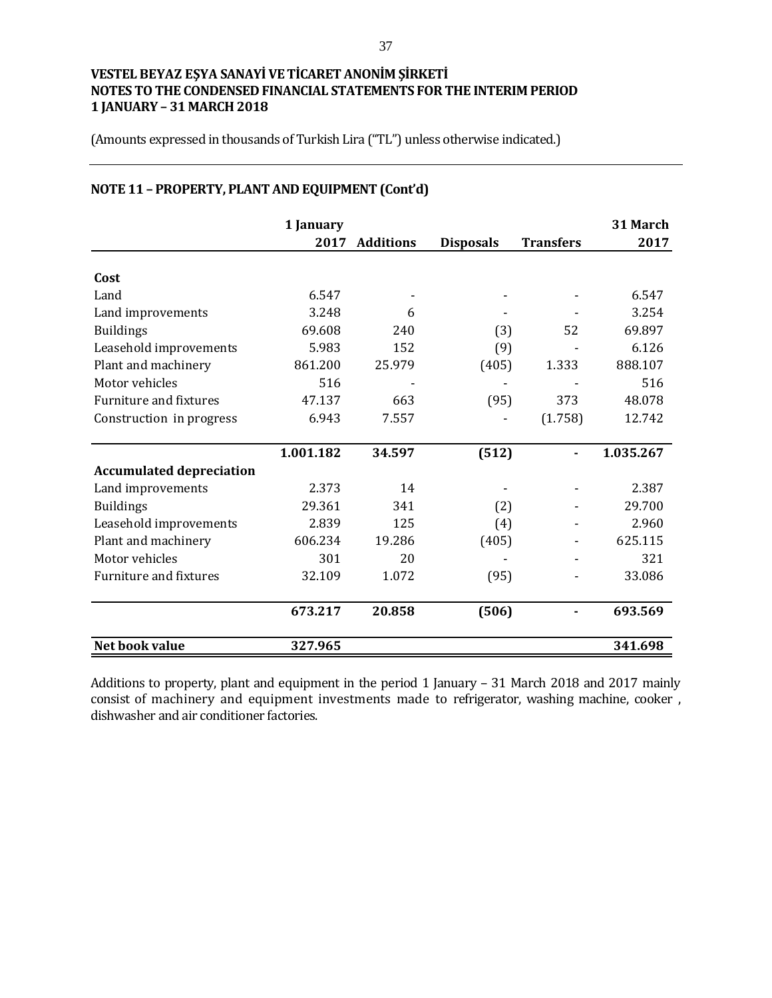(Amounts expressed in thousands of Turkish Lira ("TL") unless otherwise indicated.)

|                                 | 1 January |                  |                  |                  | 31 March  |
|---------------------------------|-----------|------------------|------------------|------------------|-----------|
|                                 | 2017      | <b>Additions</b> | <b>Disposals</b> | <b>Transfers</b> | 2017      |
| Cost                            |           |                  |                  |                  |           |
| Land                            | 6.547     |                  |                  |                  | 6.547     |
| Land improvements               | 3.248     | 6                |                  |                  | 3.254     |
| <b>Buildings</b>                | 69.608    | 240              | (3)              | 52               | 69.897    |
| Leasehold improvements          | 5.983     | 152              | (9)              |                  | 6.126     |
| Plant and machinery             | 861.200   | 25.979           | (405)            | 1.333            | 888.107   |
| Motor vehicles                  | 516       |                  |                  |                  | 516       |
| <b>Furniture and fixtures</b>   | 47.137    | 663              | (95)             | 373              | 48.078    |
| Construction in progress        | 6.943     | 7.557            |                  | (1.758)          | 12.742    |
|                                 | 1.001.182 | 34.597           | (512)            |                  | 1.035.267 |
| <b>Accumulated depreciation</b> |           |                  |                  |                  |           |
| Land improvements               | 2.373     | 14               |                  |                  | 2.387     |
| <b>Buildings</b>                | 29.361    | 341              | (2)              |                  | 29.700    |
| Leasehold improvements          | 2.839     | 125              | (4)              |                  | 2.960     |
| Plant and machinery             | 606.234   | 19.286           | (405)            |                  | 625.115   |
| Motor vehicles                  | 301       | 20               |                  |                  | 321       |
| <b>Furniture and fixtures</b>   | 32.109    | 1.072            | (95)             |                  | 33.086    |
|                                 | 673.217   | 20.858           | (506)            |                  | 693.569   |
| Net book value                  | 327.965   |                  |                  |                  | 341.698   |

# **NOTE 11 – PROPERTY, PLANT AND EQUIPMENT (Cont'd)**

Additions to property, plant and equipment in the period 1 January – 31 March 2018 and 2017 mainly consist of machinery and equipment investments made to refrigerator, washing machine, cooker , dishwasher and air conditioner factories.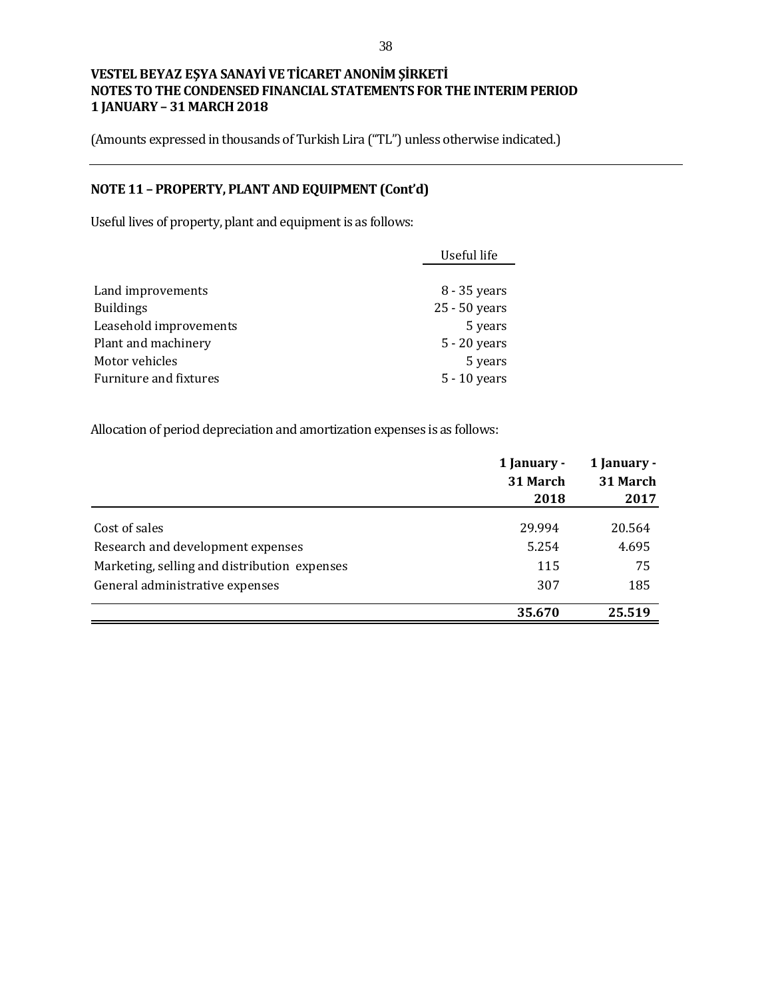(Amounts expressed in thousands of Turkish Lira ("TL") unless otherwise indicated.)

# **NOTE 11 – PROPERTY, PLANT AND EQUIPMENT (Cont'd)**

Useful lives of property, plant and equipment is as follows:

|                        | Useful life    |
|------------------------|----------------|
|                        |                |
| Land improvements      | 8 - 35 years   |
| <b>Buildings</b>       | 25 - 50 years  |
| Leasehold improvements | 5 years        |
| Plant and machinery    | $5 - 20$ years |
| Motor vehicles         | 5 years        |
| Furniture and fixtures | $5 - 10$ years |

Allocation of period depreciation and amortization expenses is as follows:

|                                              | 1 January - | 1 January - |  |
|----------------------------------------------|-------------|-------------|--|
|                                              | 31 March    | 31 March    |  |
|                                              | 2018        | 2017        |  |
| Cost of sales                                | 29.994      | 20.564      |  |
| Research and development expenses            | 5.254       | 4.695       |  |
| Marketing, selling and distribution expenses | 115         | 75          |  |
| General administrative expenses              | 307         | 185         |  |
|                                              | 35.670      | 25.519      |  |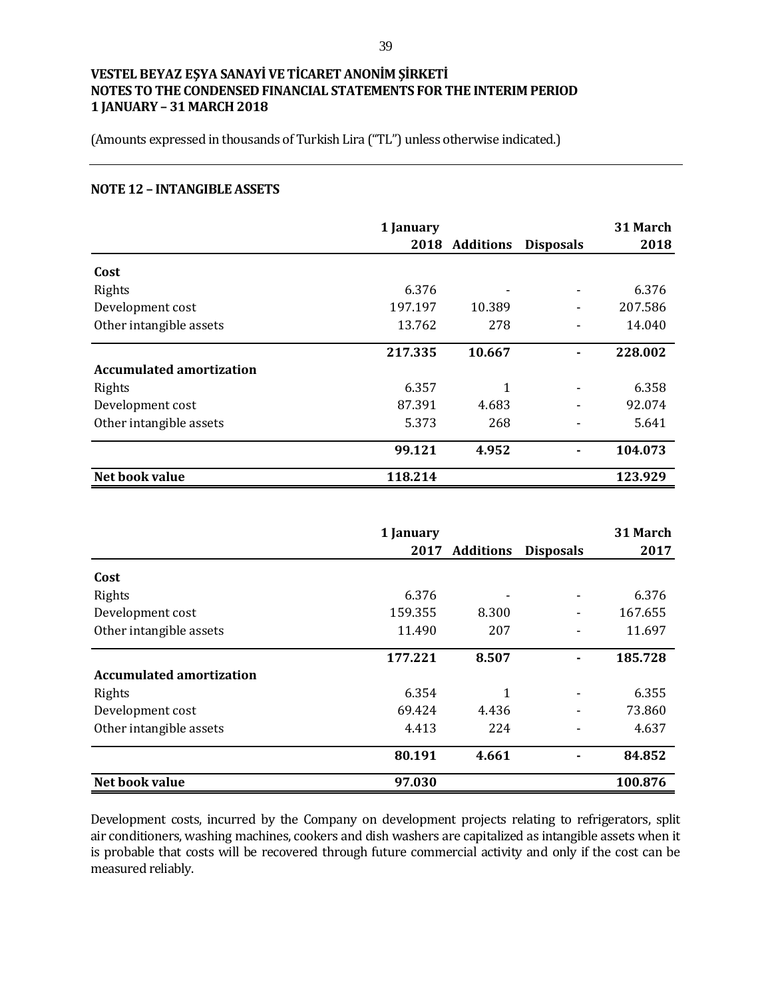(Amounts expressed in thousands of Turkish Lira ("TL") unless otherwise indicated.)

#### **NOTE 12 – INTANGIBLE ASSETS**

|                                 | 1 January |                |                  | 31 March |
|---------------------------------|-----------|----------------|------------------|----------|
|                                 |           | 2018 Additions | <b>Disposals</b> | 2018     |
| Cost                            |           |                |                  |          |
| Rights                          | 6.376     |                |                  | 6.376    |
| Development cost                | 197.197   | 10.389         |                  | 207.586  |
| Other intangible assets         | 13.762    | 278            |                  | 14.040   |
|                                 | 217.335   | 10.667         |                  | 228.002  |
| <b>Accumulated amortization</b> |           |                |                  |          |
| Rights                          | 6.357     | 1              |                  | 6.358    |
| Development cost                | 87.391    | 4.683          |                  | 92.074   |
| Other intangible assets         | 5.373     | 268            |                  | 5.641    |
|                                 | 99.121    | 4.952          |                  | 104.073  |
| Net book value                  | 118.214   |                |                  | 123.929  |

|                                 | 1 January |                  |                  | 31 March |
|---------------------------------|-----------|------------------|------------------|----------|
|                                 | 2017      | <b>Additions</b> | <b>Disposals</b> | 2017     |
| Cost                            |           |                  |                  |          |
| Rights                          | 6.376     |                  |                  | 6.376    |
| Development cost                | 159.355   | 8.300            |                  | 167.655  |
| Other intangible assets         | 11.490    | 207              |                  | 11.697   |
|                                 | 177.221   | 8.507            |                  | 185.728  |
| <b>Accumulated amortization</b> |           |                  |                  |          |
| Rights                          | 6.354     | 1                |                  | 6.355    |
| Development cost                | 69.424    | 4.436            |                  | 73.860   |
| Other intangible assets         | 4.413     | 224              |                  | 4.637    |
|                                 | 80.191    | 4.661            |                  | 84.852   |
| Net book value                  | 97.030    |                  |                  | 100.876  |

Development costs, incurred by the Company on development projects relating to refrigerators, split air conditioners, washing machines, cookers and dish washers are capitalized as intangible assets when it is probable that costs will be recovered through future commercial activity and only if the cost can be measured reliably.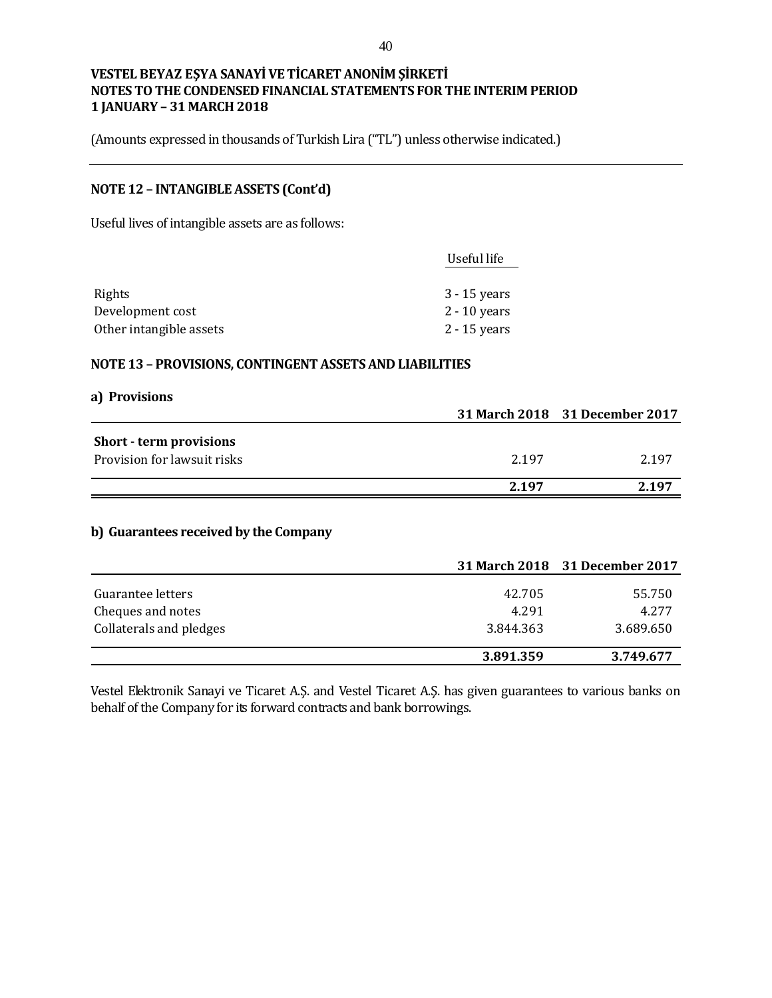(Amounts expressed in thousands of Turkish Lira ("TL") unless otherwise indicated.)

## **NOTE 12 – INTANGIBLE ASSETS (Cont'd)**

Useful lives of intangible assets are as follows:

| Useful life    |
|----------------|
|                |
| $3 - 15$ years |
| $2 - 10$ years |
| $2 - 15$ years |
|                |

#### **NOTE 13 – PROVISIONS, CONTINGENT ASSETS AND LIABILITIES**

#### **a) Provisions**

|                                       |       | 31 March 2018 31 December 2017 |
|---------------------------------------|-------|--------------------------------|
| Short - term provisions               |       |                                |
| Provision for lawsuit risks           | 2.197 | 2.197                          |
|                                       | 2.197 | 2.197                          |
| b) Guarantees received by the Company |       |                                |
|                                       |       | 31 March 2018 31 December 2017 |
|                                       |       |                                |

|                         | 3.891.359 | 3.749.677 |
|-------------------------|-----------|-----------|
| Collaterals and pledges | 3.844.363 | 3.689.650 |
| Cheques and notes       | 4.291     | 4.277     |
| Guarantee letters       | 42.705    | 55.750    |

Vestel Elektronik Sanayi ve Ticaret A.Ş. and Vestel Ticaret A.Ş. has given guarantees to various banks on behalf of the Company for its forward contracts and bank borrowings.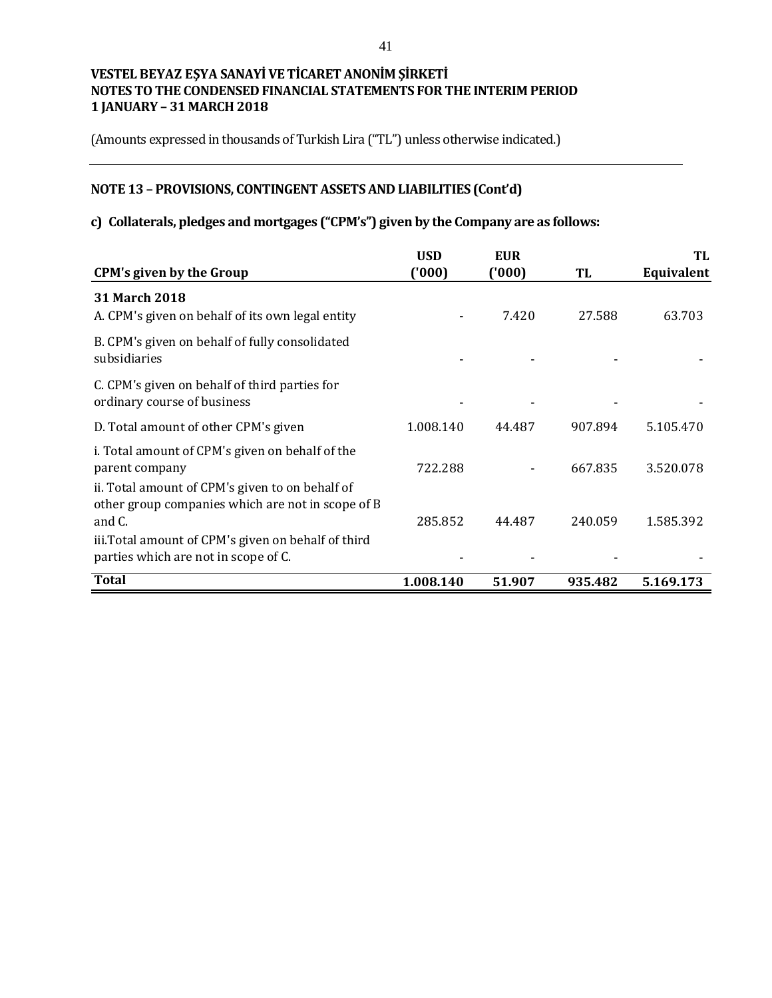(Amounts expressed in thousands of Turkish Lira ("TL") unless otherwise indicated.)

# **NOTE 13 – PROVISIONS, CONTINGENT ASSETS AND LIABILITIES (Cont'd)**

# **c) Collaterals, pledges and mortgages ("CPM's") given by the Company are as follows:**

|                                                                                                                                                                                                               | <b>USD</b> | <b>EUR</b> |         | TL         |
|---------------------------------------------------------------------------------------------------------------------------------------------------------------------------------------------------------------|------------|------------|---------|------------|
| <b>CPM's given by the Group</b>                                                                                                                                                                               | (000)      | (1000)     | TL      | Equivalent |
| <b>31 March 2018</b><br>A. CPM's given on behalf of its own legal entity                                                                                                                                      |            | 7.420      | 27.588  | 63.703     |
| B. CPM's given on behalf of fully consolidated<br>subsidiaries                                                                                                                                                |            |            |         |            |
| C. CPM's given on behalf of third parties for<br>ordinary course of business                                                                                                                                  |            |            |         |            |
| D. Total amount of other CPM's given                                                                                                                                                                          | 1.008.140  | 44.487     | 907.894 | 5.105.470  |
| i. Total amount of CPM's given on behalf of the<br>parent company                                                                                                                                             | 722.288    |            | 667.835 | 3.520.078  |
| ii. Total amount of CPM's given to on behalf of<br>other group companies which are not in scope of B<br>and C.<br>iii. Total amount of CPM's given on behalf of third<br>parties which are not in scope of C. | 285.852    | 44.487     | 240.059 | 1.585.392  |
| <b>Total</b>                                                                                                                                                                                                  | 1.008.140  | 51.907     | 935.482 | 5.169.173  |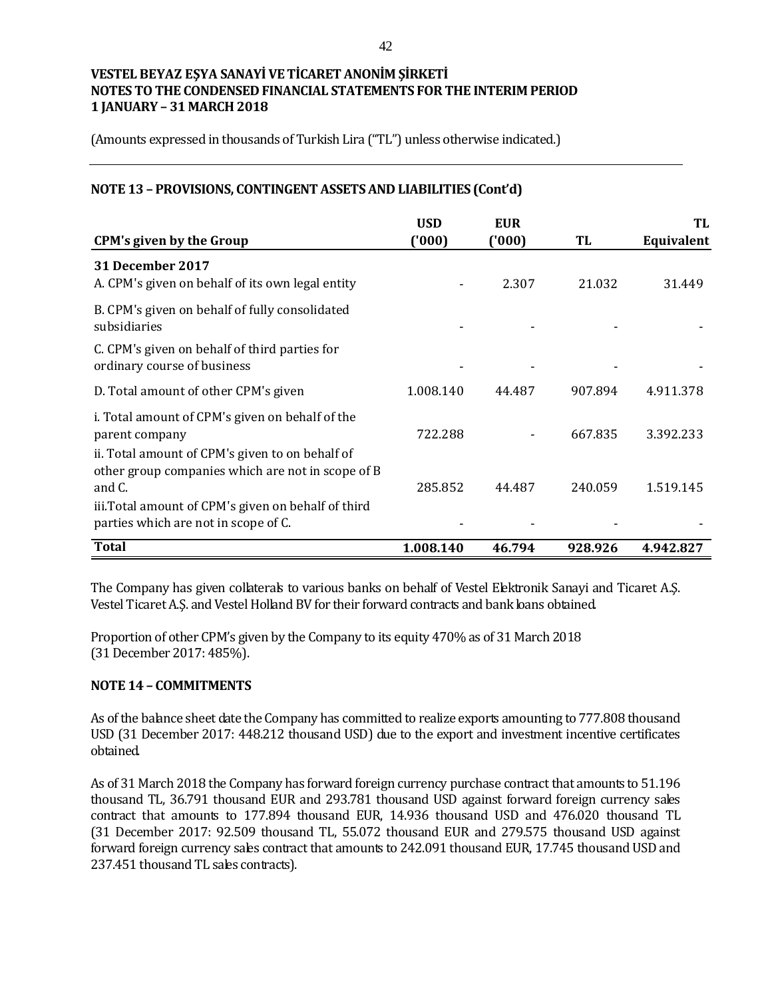(Amounts expressed in thousands of Turkish Lira ("TL") unless otherwise indicated.)

## **NOTE 13 – PROVISIONS, CONTINGENT ASSETS AND LIABILITIES (Cont'd)**

| <b>CPM's given by the Group</b>                                                                                | <b>USD</b><br>('000) | <b>EUR</b><br>(1000) | TL      | TL<br>Equivalent |
|----------------------------------------------------------------------------------------------------------------|----------------------|----------------------|---------|------------------|
| <b>31 December 2017</b><br>A. CPM's given on behalf of its own legal entity                                    |                      | 2.307                | 21.032  | 31.449           |
| B. CPM's given on behalf of fully consolidated<br>subsidiaries                                                 |                      |                      |         |                  |
| C. CPM's given on behalf of third parties for<br>ordinary course of business                                   |                      |                      |         |                  |
| D. Total amount of other CPM's given                                                                           | 1.008.140            | 44.487               | 907.894 | 4.911.378        |
| i. Total amount of CPM's given on behalf of the<br>parent company                                              | 722.288              |                      | 667.835 | 3.392.233        |
| ii. Total amount of CPM's given to on behalf of<br>other group companies which are not in scope of B<br>and C. | 285.852              | 44.487               | 240.059 | 1.519.145        |
| iii. Total amount of CPM's given on behalf of third<br>parties which are not in scope of C.                    |                      |                      |         |                  |
| <b>Total</b>                                                                                                   | 1.008.140            | 46.794               | 928.926 | 4.942.827        |

The Company has given collaterals to various banks on behalf of Vestel Elektronik Sanayi and Ticaret A.Ş. Vestel Ticaret A.S. and Vestel Holland BV for their forward contracts and bank bans obtained.

Proportion of other CPM's given by the Company to its equity 470% as of 31 March 2018 (31 December 2017: 485%).

### **NOTE 14 – COMMITMENTS**

As of the balance sheet date the Company has committed to realize exports amounting to 777.808 thousand USD (31 December 2017: 448.212 thousand USD) due to the export and investment incentive certificates obtained.

As of 31 March 2018 the Company has forward foreign currency purchase contract that amounts to 51.196 thousand TL, 36.791 thousand EUR and 293.781 thousand USD against forward foreign currency sales contract that amounts to 177.894 thousand EUR, 14.936 thousand USD and 476.020 thousand TL (31 December 2017: 92.509 thousand TL, 55.072 thousand EUR and 279.575 thousand USD against forward foreign currency sales contract that amounts to 242.091 thousand EUR, 17.745 thousand USD and 237.451 thousand TL sales contracts).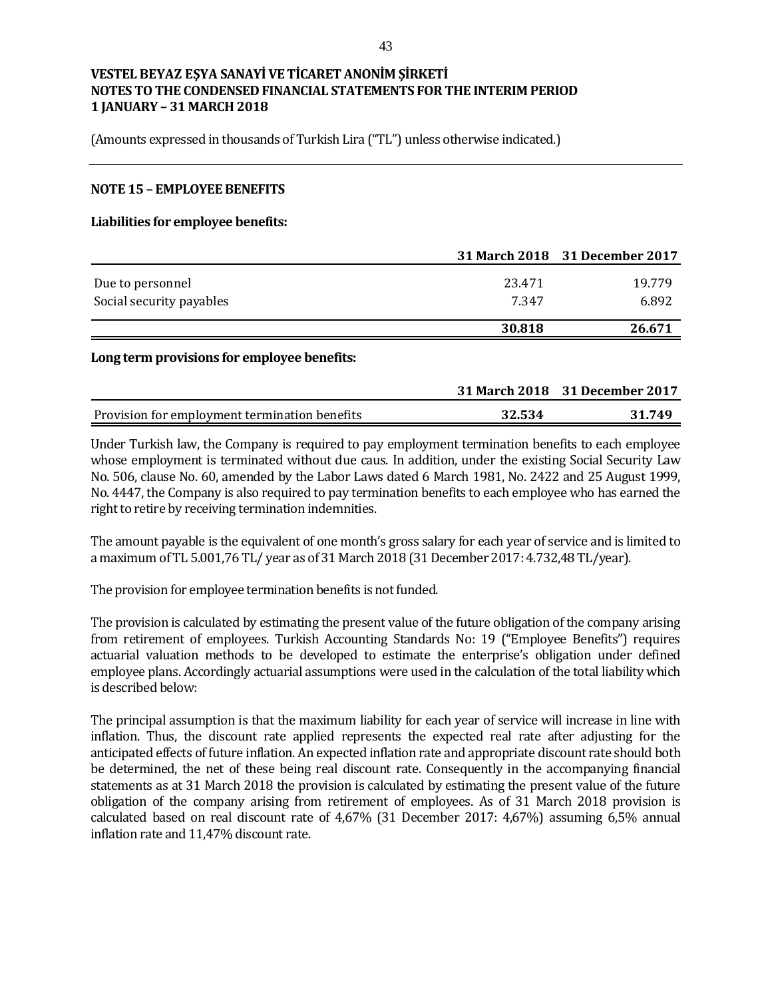(Amounts expressed in thousands of Turkish Lira ("TL") unless otherwise indicated.)

#### **NOTE 15 – EMPLOYEE BENEFITS**

#### **Liabilities for employee benefits:**

|                          |        | 31 March 2018 31 December 2017 |
|--------------------------|--------|--------------------------------|
| Due to personnel         | 23.471 | 19.779                         |
| Social security payables | 7.347  | 6.892                          |
|                          | 30.818 | 26.671                         |

#### **Long term provisions for employee benefits:**

|                                               |        | 31 March 2018 31 December 2017 |
|-----------------------------------------------|--------|--------------------------------|
| Provision for employment termination benefits | 32.534 | 31.749                         |

Under Turkish law, the Company is required to pay employment termination benefits to each employee whose employment is terminated without due caus. In addition, under the existing Social Security Law No. 506, clause No. 60, amended by the Labor Laws dated 6 March 1981, No. 2422 and 25 August 1999, No. 4447, the Company is also required to pay termination benefits to each employee who has earned the right to retire by receiving termination indemnities.

The amount payable is the equivalent of one month's gross salary for each year of service and is limited to a maximum of TL 5.001,76 TL/ year as of 31 March 2018 (31 December 2017: 4.732,48 TL/year).

The provision for employee termination benefits is not funded.

The provision is calculated by estimating the present value of the future obligation of the company arising from retirement of employees. Turkish Accounting Standards No: 19 ("Employee Benefits") requires actuarial valuation methods to be developed to estimate the enterprise's obligation under defined employee plans. Accordingly actuarial assumptions were used in the calculation of the total liability which is described below:

The principal assumption is that the maximum liability for each year of service will increase in line with inflation. Thus, the discount rate applied represents the expected real rate after adjusting for the anticipated effects of future inflation. An expected inflation rate and appropriate discount rate should both be determined, the net of these being real discount rate. Consequently in the accompanying financial statements as at 31 March 2018 the provision is calculated by estimating the present value of the future obligation of the company arising from retirement of employees. As of 31 March 2018 provision is calculated based on real discount rate of 4,67% (31 December 2017: 4,67%) assuming 6,5% annual inflation rate and 11,47% discount rate.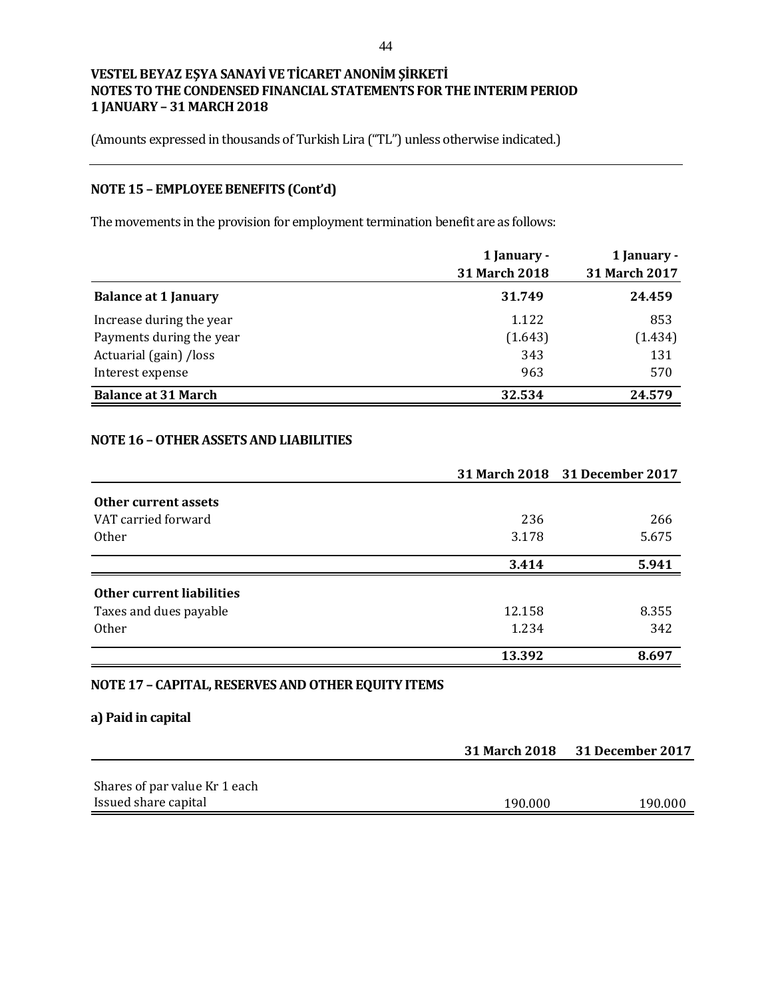(Amounts expressed in thousands of Turkish Lira ("TL") unless otherwise indicated.)

# **NOTE 15 – EMPLOYEE BENEFITS (Cont'd)**

The movements in the provision for employment termination benefit are as follows:

|                             | 1 January -<br>31 March 2018 | 1 January -<br>31 March 2017 |
|-----------------------------|------------------------------|------------------------------|
| <b>Balance at 1 January</b> | 31.749                       | 24.459                       |
| Increase during the year    | 1.122                        | 853                          |
| Payments during the year    | (1.643)                      | (1.434)                      |
| Actuarial (gain) /loss      | 343                          | 131                          |
| Interest expense            | 963                          | 570                          |
| <b>Balance at 31 March</b>  | 32.534                       | 24.579                       |

## **NOTE 16 –OTHER ASSETS AND LIABILITIES**

|                                                    |        | 31 March 2018 31 December 2017 |
|----------------------------------------------------|--------|--------------------------------|
| Other current assets                               |        |                                |
| VAT carried forward                                | 236    | 266                            |
| <b>Other</b>                                       | 3.178  | 5.675                          |
|                                                    | 3.414  | 5.941                          |
| Other current liabilities                          |        |                                |
| Taxes and dues payable                             | 12.158 | 8.355                          |
| 0 <sub>ther</sub>                                  | 1.234  | 342                            |
|                                                    | 13.392 | 8.697                          |
| NOTE 17 - CAPITAL, RESERVES AND OTHER EQUITY ITEMS |        |                                |

## **a) Paid in capital**

|                               |         | 31 March 2018 31 December 2017 |
|-------------------------------|---------|--------------------------------|
|                               |         |                                |
| Shares of par value Kr 1 each |         |                                |
| Issued share capital          | 190.000 | 190.000                        |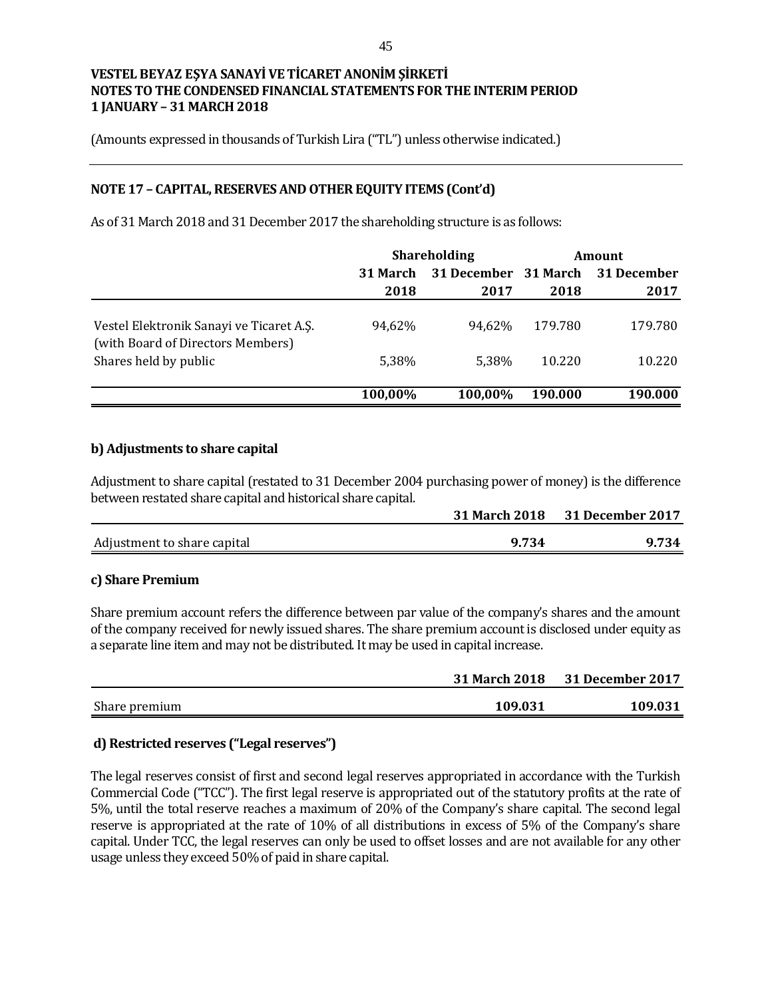(Amounts expressed in thousands of Turkish Lira ("TL") unless otherwise indicated.)

## **NOTE 17 – CAPITAL, RESERVES AND OTHER EQUITY ITEMS (Cont'd)**

As of 31 March 2018 and 31 December 2017 the shareholding structure is as follows:

|                                                                               |                 | <b>Shareholding</b>  |         | Amount      |
|-------------------------------------------------------------------------------|-----------------|----------------------|---------|-------------|
|                                                                               | <b>31 March</b> | 31 December 31 March |         | 31 December |
|                                                                               | 2018            | 2017                 | 2018    | 2017        |
| Vestel Elektronik Sanayi ve Ticaret A.S.<br>(with Board of Directors Members) | 94,62%          | 94.62%               | 179.780 | 179.780     |
| Shares held by public                                                         | 5.38%           | 5.38%                | 10.220  | 10.220      |
|                                                                               | 100,00%         | 100,00%              | 190.000 | 190.000     |
|                                                                               |                 |                      |         |             |

### **b) Adjustments to share capital**

Adjustment to share capital (restated to 31 December 2004 purchasing power of money) is the difference between restated share capital and historical share capital.

|                             | <b>31 March 2018</b> | <b>31 December 2017</b> |
|-----------------------------|----------------------|-------------------------|
| Adjustment to share capital | 9.734                | 9.734                   |

### **c) Share Premium**

Share premium account refers the difference between par value of the company's shares and the amount of the company received for newly issued shares. The share premium account is disclosed under equity as a separate line item and may not be distributed. It may be used in capital increase.

|               | <b>31 March 2018</b> | <b>31 December 2017</b> |
|---------------|----------------------|-------------------------|
| Share premium | 109.031              | 109.031                 |

## **d) Restricted reserves ("Legal reserves")**

The legal reserves consist of first and second legal reserves appropriated in accordance with the Turkish Commercial Code ("TCC"). The first legal reserve is appropriated out of the statutory profits at the rate of 5%, until the total reserve reaches a maximum of 20% of the Company's share capital. The second legal reserve is appropriated at the rate of 10% of all distributions in excess of 5% of the Company's share capital. Under TCC, the legal reserves can only be used to offset losses and are not available for any other usage unless they exceed 50% of paid in share capital.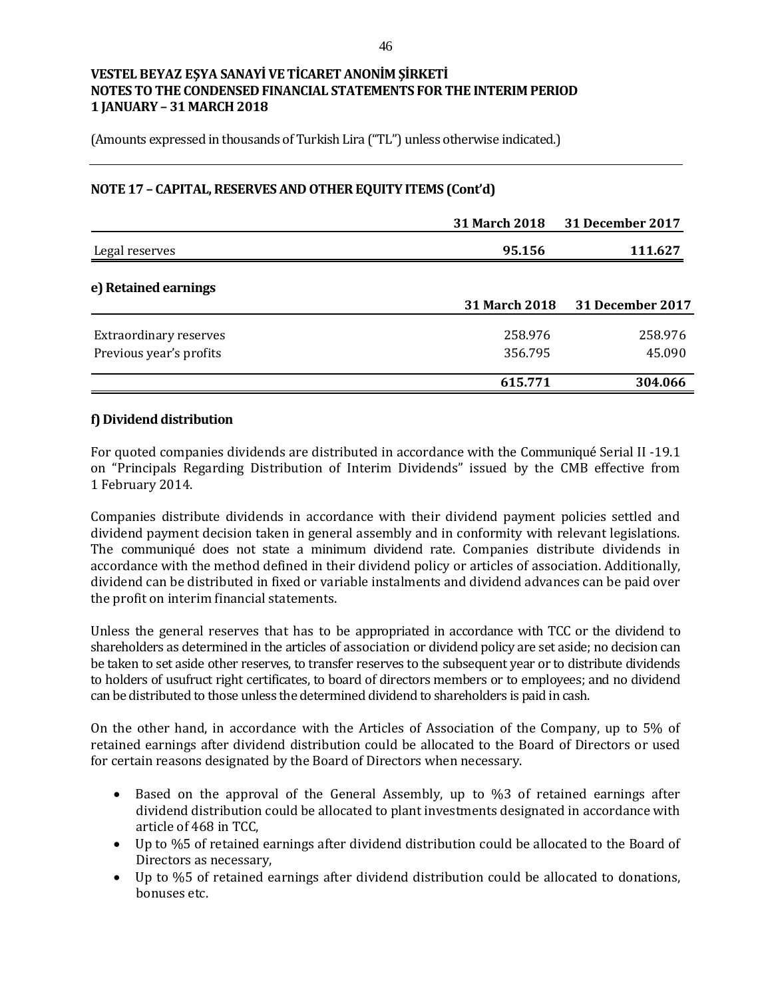(Amounts expressed in thousands of Turkish Lira ("TL") unless otherwise indicated.)

## **NOTE 17 – CAPITAL, RESERVES AND OTHER EQUITY ITEMS (Cont'd)**

|                         | <b>31 March 2018</b> | 31 December 2017        |
|-------------------------|----------------------|-------------------------|
| Legal reserves          | 95.156               | 111.627                 |
| e) Retained earnings    |                      |                         |
|                         | <b>31 March 2018</b> | <b>31 December 2017</b> |
| Extraordinary reserves  | 258.976              | 258.976                 |
| Previous year's profits | 356.795              | 45.090                  |
|                         | 615.771              | 304.066                 |

## **f) Dividend distribution**

For quoted companies dividends are distributed in accordance with the Communiqué Serial II -19.1 on "Principals Regarding Distribution of Interim Dividends" issued by the CMB effective from 1 February 2014.

Companies distribute dividends in accordance with their dividend payment policies settled and dividend payment decision taken in general assembly and in conformity with relevant legislations. The communiqué does not state a minimum dividend rate. Companies distribute dividends in accordance with the method defined in their dividend policy or articles of association. Additionally, dividend can be distributed in fixed or variable instalments and dividend advances can be paid over the profit on interim financial statements.

Unless the general reserves that has to be appropriated in accordance with TCC or the dividend to shareholders as determined in the articles of association or dividend policy are set aside; no decision can be taken to set aside other reserves, to transfer reserves to the subsequent year or to distribute dividends to holders of usufruct right certificates, to board of directors members or to employees; and no dividend can be distributed to those unless the determined dividend to shareholders is paid in cash.

On the other hand, in accordance with the Articles of Association of the Company, up to 5% of retained earnings after dividend distribution could be allocated to the Board of Directors or used for certain reasons designated by the Board of Directors when necessary.

- Based on the approval of the General Assembly, up to %3 of retained earnings after dividend distribution could be allocated to plant investments designated in accordance with article of 468 in TCC,
- Up to %5 of retained earnings after dividend distribution could be allocated to the Board of Directors as necessary,
- Up to %5 of retained earnings after dividend distribution could be allocated to donations, bonuses etc.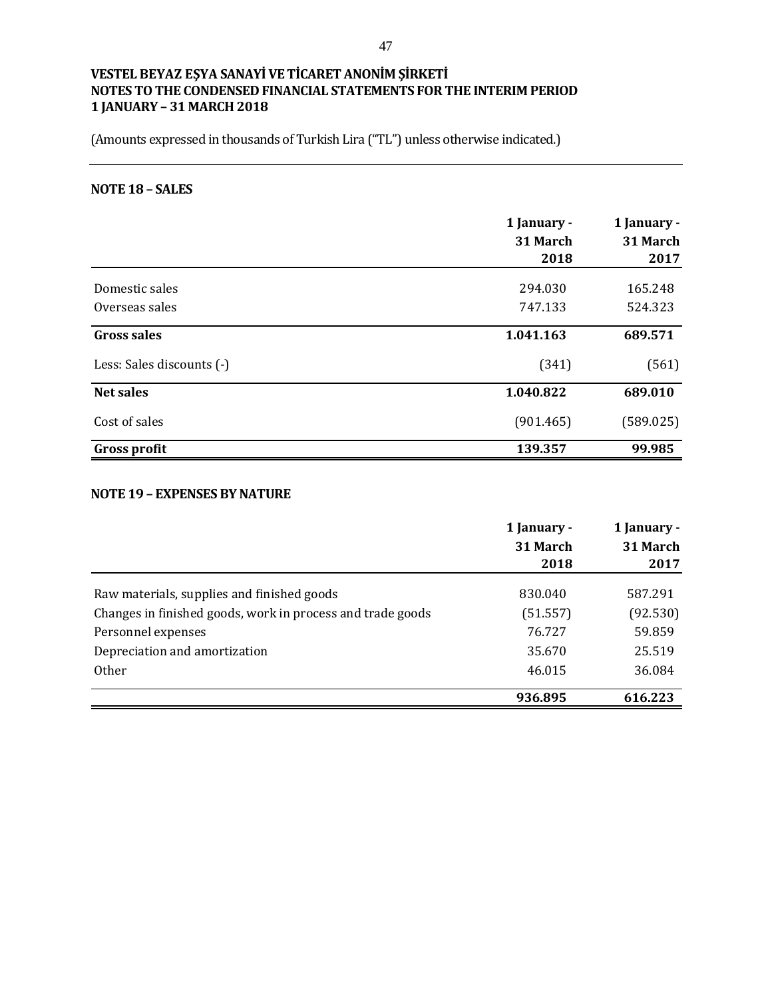(Amounts expressed in thousands of Turkish Lira ("TL") unless otherwise indicated.)

## **NOTE 18 – SALES**

|                           | 1 January -<br>31 March<br>2018 | 1 January -<br>31 March<br>2017 |
|---------------------------|---------------------------------|---------------------------------|
| Domestic sales            | 294.030                         | 165.248                         |
| Overseas sales            | 747.133                         | 524.323                         |
| Gross sales               | 1.041.163                       | 689.571                         |
| Less: Sales discounts (-) | (341)                           | (561)                           |
| <b>Net sales</b>          | 1.040.822                       | 689.010                         |
| Cost of sales             | (901.465)                       | (589.025)                       |
| <b>Gross profit</b>       | 139.357                         | 99.985                          |

## **NOTE 19 – EXPENSES BY NATURE**

|                                                            | 1 January - | 1 January - |
|------------------------------------------------------------|-------------|-------------|
|                                                            | 31 March    | 31 March    |
|                                                            | 2018        | 2017        |
| Raw materials, supplies and finished goods                 | 830.040     | 587.291     |
| Changes in finished goods, work in process and trade goods | (51.557)    | (92.530)    |
| Personnel expenses                                         | 76.727      | 59.859      |
| Depreciation and amortization                              | 35.670      | 25.519      |
| <b>Other</b>                                               | 46.015      | 36.084      |
|                                                            | 936.895     | 616.223     |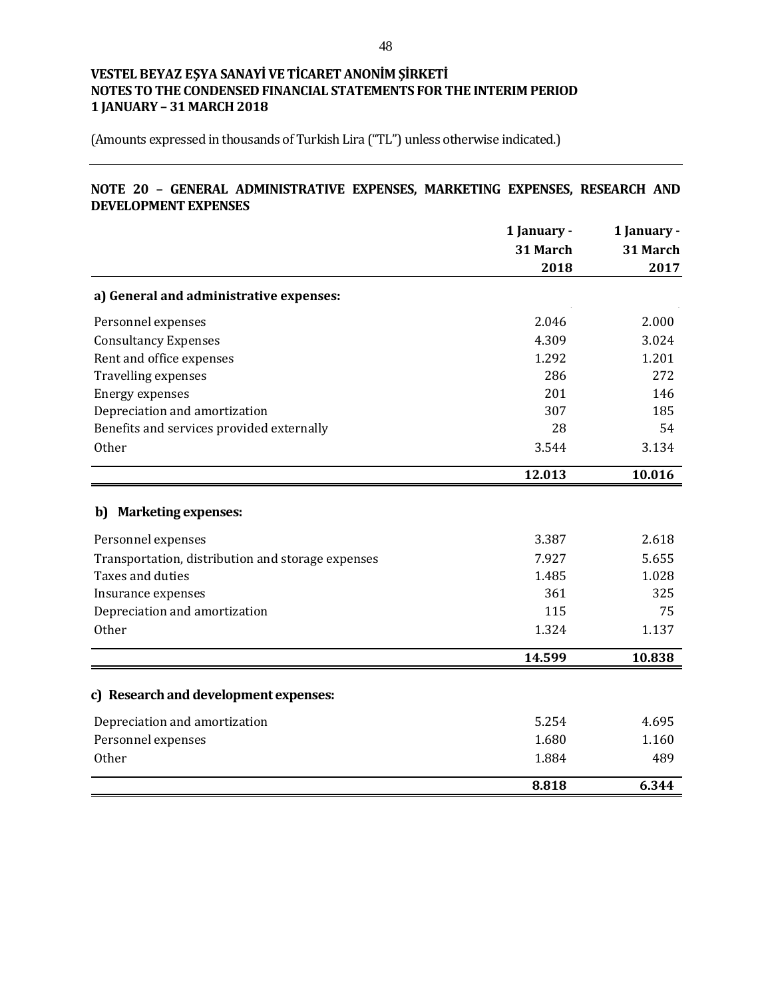(Amounts expressed in thousands of Turkish Lira ("TL") unless otherwise indicated.)

## **NOTE 20 – GENERAL ADMINISTRATIVE EXPENSES, MARKETING EXPENSES, RESEARCH AND DEVELOPMENT EXPENSES**

|                                                   | 1 January - | 1 January -<br>31 March |
|---------------------------------------------------|-------------|-------------------------|
|                                                   | 31 March    |                         |
|                                                   | 2018        | 2017                    |
| a) General and administrative expenses:           |             |                         |
| Personnel expenses                                | 2.046       | 2.000                   |
| <b>Consultancy Expenses</b>                       | 4.309       | 3.024                   |
| Rent and office expenses                          | 1.292       | 1.201                   |
| Travelling expenses                               | 286         | 272                     |
| <b>Energy expenses</b>                            | 201         | 146                     |
| Depreciation and amortization                     | 307         | 185                     |
| Benefits and services provided externally         | 28          | 54                      |
| Other                                             | 3.544       | 3.134                   |
|                                                   | 12.013      | 10.016                  |
| b) Marketing expenses:                            |             |                         |
| Personnel expenses                                | 3.387       | 2.618                   |
| Transportation, distribution and storage expenses | 7.927       | 5.655                   |
| Taxes and duties                                  | 1.485       | 1.028                   |
| Insurance expenses                                | 361         | 325                     |
| Depreciation and amortization                     | 115         | 75                      |
| Other                                             | 1.324       | 1.137                   |
|                                                   | 14.599      | 10.838                  |
|                                                   |             |                         |
| c) Research and development expenses:             |             |                         |
| Depreciation and amortization                     | 5.254       | 4.695                   |
| Personnel expenses                                | 1.680       | 1.160                   |
| <b>Other</b>                                      | 1.884       | 489                     |
|                                                   | 8.818       | 6.344                   |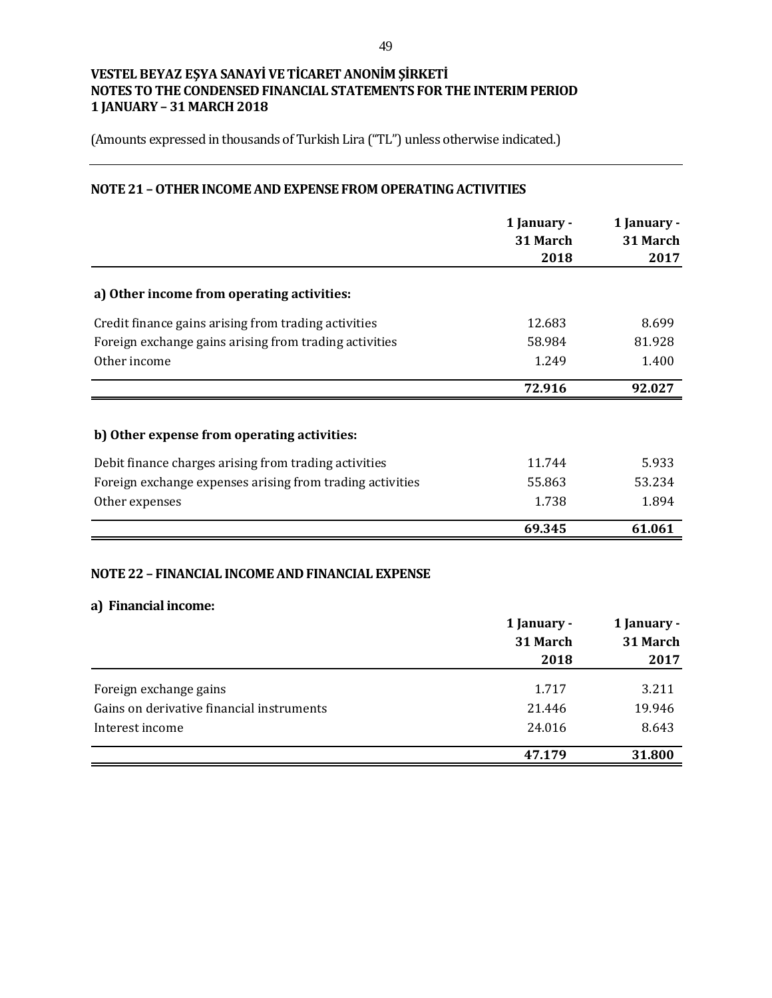(Amounts expressed in thousands of Turkish Lira ("TL") unless otherwise indicated.)

## **NOTE 21 –OTHER INCOME AND EXPENSE FROM OPERATING ACTIVITIES**

|                                                           | 1 January -<br>31 March<br>2018 | 1 January -<br>31 March<br>2017 |
|-----------------------------------------------------------|---------------------------------|---------------------------------|
| a) Other income from operating activities:                |                                 |                                 |
| Credit finance gains arising from trading activities      | 12.683                          | 8.699                           |
| Foreign exchange gains arising from trading activities    | 58.984                          | 81.928                          |
| Other income                                              | 1.249                           | 1.400                           |
|                                                           | 72.916                          | 92.027                          |
| b) Other expense from operating activities:               |                                 |                                 |
| Debit finance charges arising from trading activities     | 11.744                          | 5.933                           |
| Foreign exchange expenses arising from trading activities | 55.863                          | 53.234                          |
| Other expenses                                            | 1.738                           | 1.894                           |
|                                                           | 69.345                          | 61.061                          |

## **NOTE 22 – FINANCIAL INCOME AND FINANCIAL EXPENSE**

#### **a) Financial income:**

|                                           | 1 January - | 1 January -<br>31 March |  |
|-------------------------------------------|-------------|-------------------------|--|
|                                           | 31 March    |                         |  |
|                                           | 2018        | 2017                    |  |
|                                           |             |                         |  |
| Foreign exchange gains                    | 1.717       | 3.211                   |  |
| Gains on derivative financial instruments | 21.446      | 19.946                  |  |
| Interest income                           | 24.016      | 8.643                   |  |
|                                           | 47.179      | 31.800                  |  |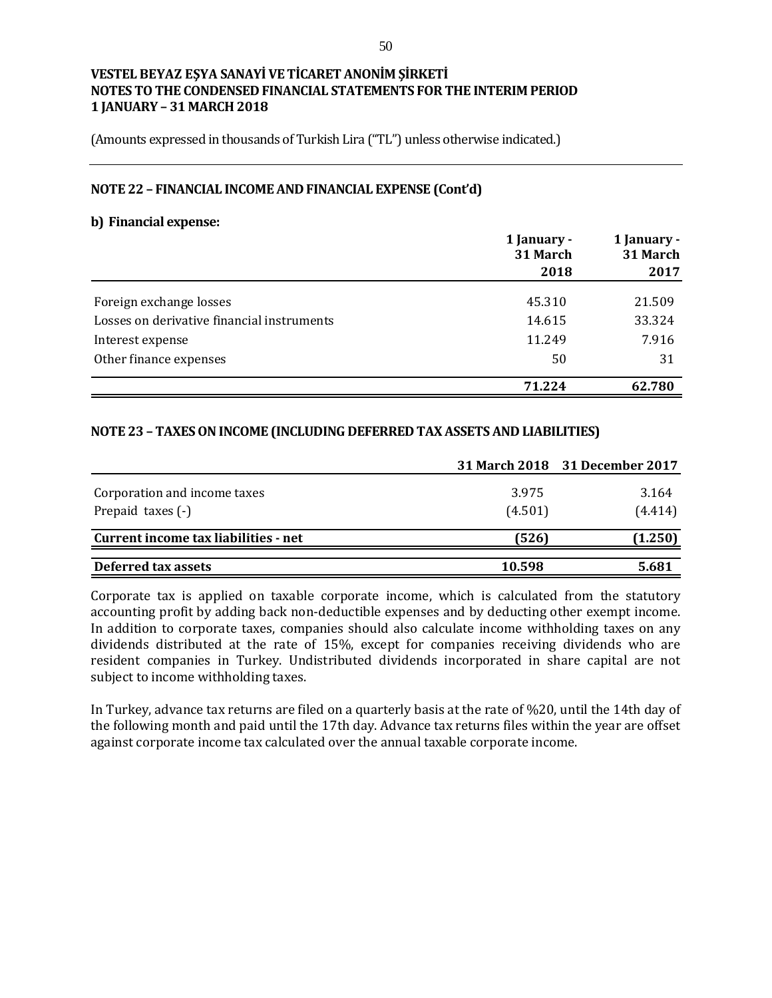(Amounts expressed in thousands of Turkish Lira ("TL") unless otherwise indicated.)

#### **NOTE 22 – FINANCIAL INCOME AND FINANCIAL EXPENSE (Cont'd)**

#### **b) Financial expense:**

|                                            | 1 January -<br>31 March | 1 January -<br>31 March |  |
|--------------------------------------------|-------------------------|-------------------------|--|
|                                            | 2018                    | 2017                    |  |
| Foreign exchange losses                    | 45.310                  | 21.509                  |  |
| Losses on derivative financial instruments | 14.615                  | 33.324                  |  |
| Interest expense                           | 11.249                  | 7.916                   |  |
| Other finance expenses                     | 50                      | 31                      |  |
|                                            | 71.224                  | 62.780                  |  |

### **NOTE 23 – TAXES ON INCOME (INCLUDING DEFERRED TAX ASSETS AND LIABILITIES)**

|                                                   |                  | 31 March 2018 31 December 2017 |
|---------------------------------------------------|------------------|--------------------------------|
| Corporation and income taxes<br>Prepaid taxes (-) | 3.975<br>(4.501) | 3.164<br>(4.414)               |
| Current income tax liabilities - net              | (526)            | (1.250)                        |
| Deferred tax assets                               | 10.598           | 5.681                          |

Corporate tax is applied on taxable corporate income, which is calculated from the statutory accounting profit by adding back non-deductible expenses and by deducting other exempt income. In addition to corporate taxes, companies should also calculate income withholding taxes on any dividends distributed at the rate of 15%, except for companies receiving dividends who are resident companies in Turkey. Undistributed dividends incorporated in share capital are not subject to income withholding taxes.

In Turkey, advance tax returns are filed on a quarterly basis at the rate of %20, until the 14th day of the following month and paid until the 17th day. Advance tax returns files within the year are offset against corporate income tax calculated over the annual taxable corporate income.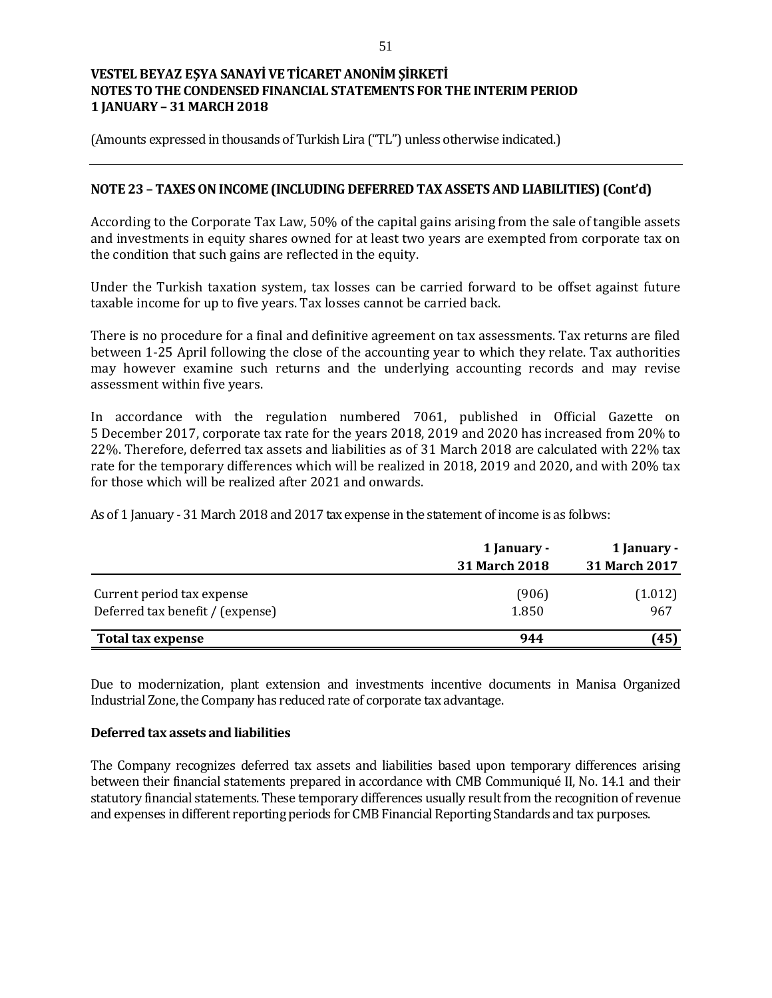(Amounts expressed in thousands of Turkish Lira ("TL") unless otherwise indicated.)

## **NOTE 23 – TAXES ON INCOME (INCLUDING DEFERRED TAX ASSETS AND LIABILITIES) (Cont'd)**

According to the Corporate Tax Law, 50% of the capital gains arising from the sale of tangible assets and investments in equity shares owned for at least two years are exempted from corporate tax on the condition that such gains are reflected in the equity.

Under the Turkish taxation system, tax losses can be carried forward to be offset against future taxable income for up to five years. Tax losses cannot be carried back.

There is no procedure for a final and definitive agreement on tax assessments. Tax returns are filed between 1-25 April following the close of the accounting year to which they relate. Tax authorities may however examine such returns and the underlying accounting records and may revise assessment within five years.

In accordance with the regulation numbered 7061, published in Official Gazette on 5 December 2017, corporate tax rate for the years 2018, 2019 and 2020 has increased from 20% to 22%. Therefore, deferred tax assets and liabilities as of 31 March 2018 are calculated with 22% tax rate for the temporary differences which will be realized in 2018, 2019 and 2020, and with 20% tax for those which will be realized after 2021 and onwards.

As of 1 January - 31 March 2018 and 2017 tax expense in the statement of income is as follows:

|                                  | 1 January -   | 1 January -   |  |
|----------------------------------|---------------|---------------|--|
|                                  | 31 March 2018 | 31 March 2017 |  |
| Current period tax expense       | (906)         | (1.012)       |  |
| Deferred tax benefit / (expense) | 1.850         | 967           |  |
| Total tax expense                | 944           | (45)          |  |

Due to modernization, plant extension and investments incentive documents in Manisa Organized Industrial Zone, the Company has reduced rate of corporate tax advantage.

### **Deferred tax assets and liabilities**

The Company recognizes deferred tax assets and liabilities based upon temporary differences arising between their financial statements prepared in accordance with CMB Communiqué II, No. 14.1 and their statutory financial statements. These temporary differences usually result from the recognition of revenue and expenses in different reporting periods for CMB Financial Reporting Standards and tax purposes.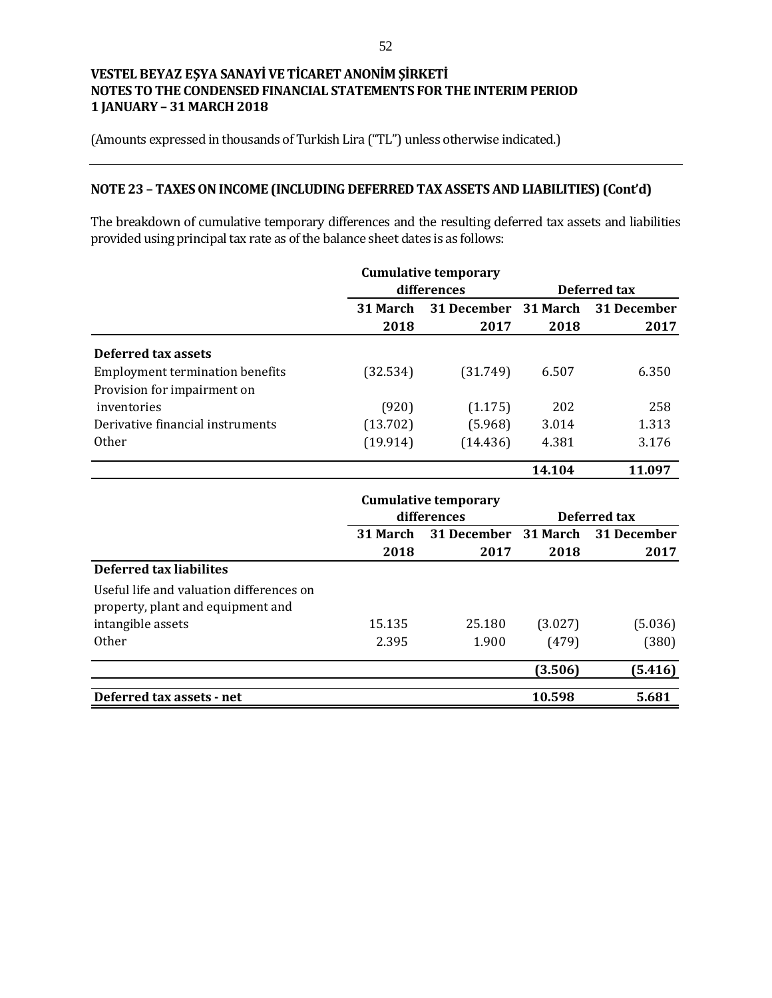(Amounts expressed in thousands of Turkish Lira ("TL") unless otherwise indicated.)

# **NOTE 23 – TAXES ON INCOME (INCLUDING DEFERRED TAX ASSETS AND LIABILITIES) (Cont'd)**

The breakdown of cumulative temporary differences and the resulting deferred tax assets and liabilities provided using principal tax rate as of the balance sheet dates is as follows:

|                                          |             | <b>Cumulative temporary</b> |          |              |
|------------------------------------------|-------------|-----------------------------|----------|--------------|
|                                          | differences |                             |          | Deferred tax |
|                                          | 31 March    | 31 December                 | 31 March | 31 December  |
|                                          | 2018        | 2017                        | 2018     | 2017         |
| Deferred tax assets                      |             |                             |          |              |
| <b>Employment termination benefits</b>   | (32.534)    | (31.749)                    | 6.507    | 6.350        |
| Provision for impairment on              |             |                             |          |              |
| inventories                              | (920)       | (1.175)                     | 202      | 258          |
| Derivative financial instruments         | (13.702)    | (5.968)                     | 3.014    | 1.313        |
| <b>Other</b>                             | (19.914)    | (14.436)                    | 4.381    | 3.176        |
|                                          |             |                             | 14.104   | 11.097       |
|                                          |             | <b>Cumulative temporary</b> |          |              |
|                                          |             | differences                 |          | Deferred tax |
|                                          | 31 March    | 31 December                 | 31 March | 31 December  |
|                                          | 2018        | 2017                        | 2018     | 2017         |
| <b>Deferred tax liabilites</b>           |             |                             |          |              |
| Useful life and valuation differences on |             |                             |          |              |
| property, plant and equipment and        |             |                             |          |              |
| intangible assets                        | 15.135      | 25.180                      | (3.027)  | (5.036)      |
| Other                                    | 2.395       | 1.900                       | (479)    | (380)        |
|                                          |             |                             | (3.506)  | (5.416)      |
| Deferred tax assets - net                |             |                             | 10.598   | 5.681        |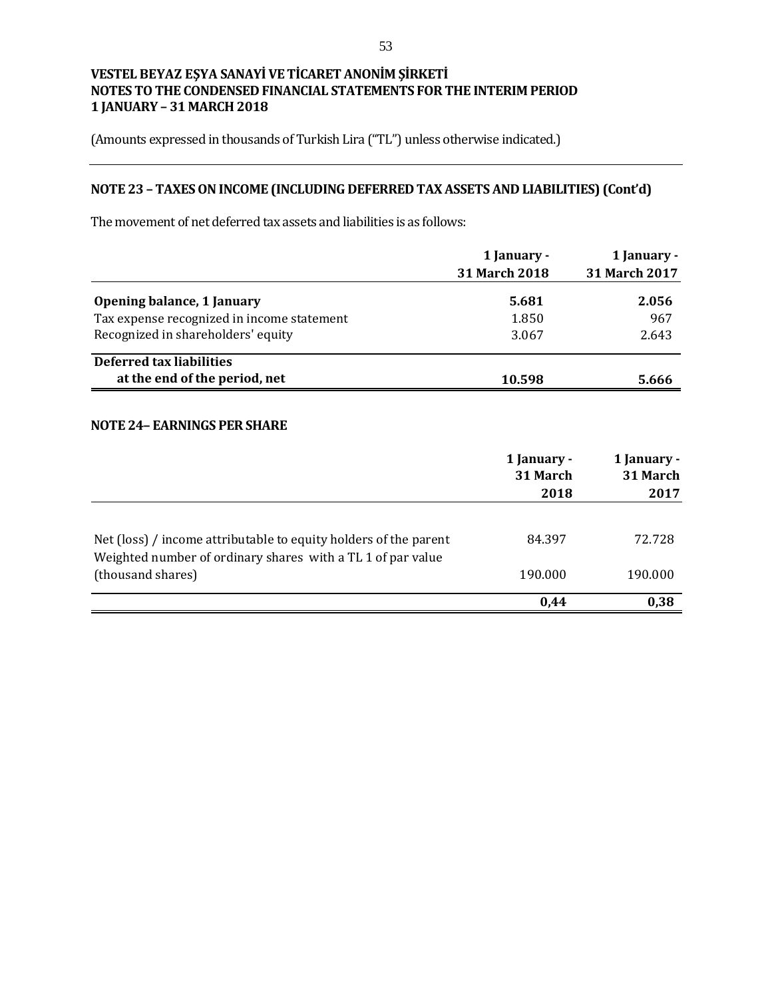(Amounts expressed in thousands of Turkish Lira ("TL") unless otherwise indicated.)

# **NOTE 23 – TAXES ON INCOME (INCLUDING DEFERRED TAX ASSETS AND LIABILITIES) (Cont'd)**

The movement of net deferred tax assets and liabilities is as follows:

|                                            | 1 January -          | 1 January -          |
|--------------------------------------------|----------------------|----------------------|
|                                            | <b>31 March 2018</b> | <b>31 March 2017</b> |
| Opening balance, 1 January                 | 5.681                | 2.056                |
| Tax expense recognized in income statement | 1.850                | 967                  |
| Recognized in shareholders' equity         | 3.067                | 2.643                |
| Deferred tax liabilities                   |                      |                      |
| at the end of the period, net              | 10.598               | 5.666                |

## **NOTE 24– EARNINGS PER SHARE**

|                                                                                                                                 | 1 January -<br>31 March<br>2018 | 1 January -<br>31 March<br>2017 |
|---------------------------------------------------------------------------------------------------------------------------------|---------------------------------|---------------------------------|
| Net (loss) / income attributable to equity holders of the parent<br>Weighted number of ordinary shares with a TL 1 of par value | 84.397                          | 72.728                          |
| (thousand shares)                                                                                                               | 190.000                         | 190.000                         |
|                                                                                                                                 | 0,44                            | 0,38                            |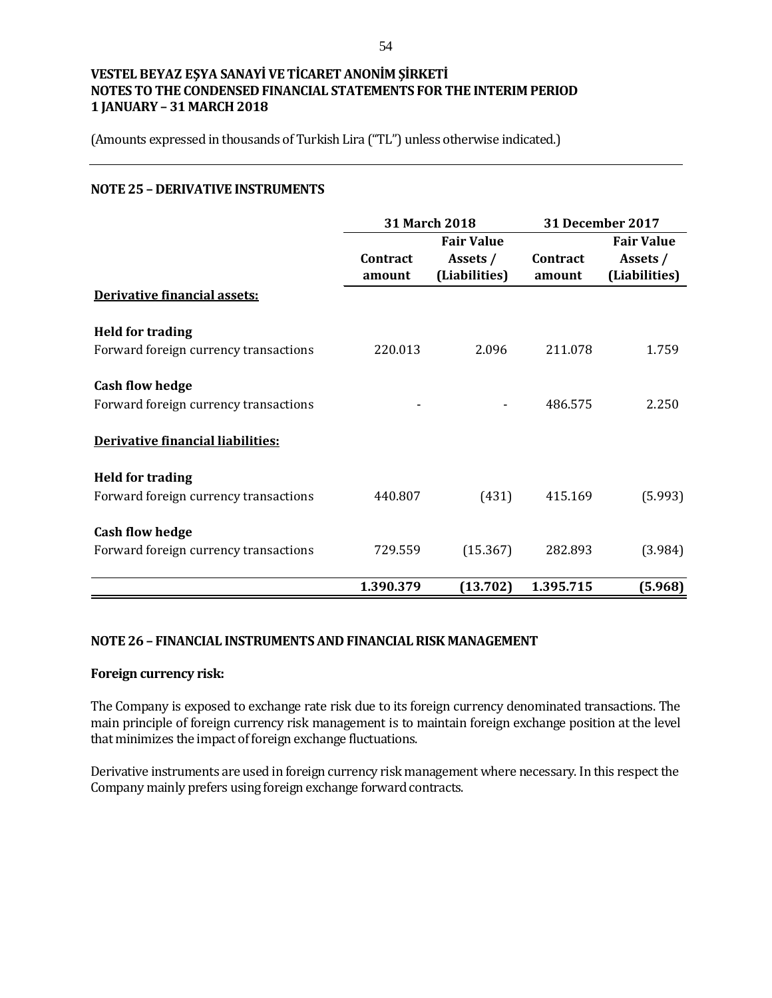(Amounts expressed in thousands of Turkish Lira ("TL") unless otherwise indicated.)

## **NOTE 25 – DERIVATIVE INSTRUMENTS**

|                                       | <b>31 March 2018</b> |                   | <b>31 December 2017</b> |                   |  |
|---------------------------------------|----------------------|-------------------|-------------------------|-------------------|--|
|                                       |                      | <b>Fair Value</b> |                         | <b>Fair Value</b> |  |
|                                       | Contract             | Assets /          | Contract                | Assets /          |  |
|                                       | amount               | (Liabilities)     | amount                  | (Liabilities)     |  |
| Derivative financial assets:          |                      |                   |                         |                   |  |
| <b>Held for trading</b>               |                      |                   |                         |                   |  |
| Forward foreign currency transactions | 220.013              | 2.096             | 211.078                 | 1.759             |  |
| <b>Cash flow hedge</b>                |                      |                   |                         |                   |  |
| Forward foreign currency transactions |                      |                   | 486.575                 | 2.250             |  |
| Derivative financial liabilities:     |                      |                   |                         |                   |  |
| <b>Held for trading</b>               |                      |                   |                         |                   |  |
| Forward foreign currency transactions | 440.807              | (431)             | 415.169                 | (5.993)           |  |
| <b>Cash flow hedge</b>                |                      |                   |                         |                   |  |
| Forward foreign currency transactions | 729.559              | (15.367)          | 282.893                 | (3.984)           |  |
|                                       | 1.390.379            | (13.702)          | 1.395.715               | (5.968)           |  |

### **NOTE 26 – FINANCIAL INSTRUMENTS AND FINANCIAL RISK MANAGEMENT**

## **Foreign currency risk:**

The Company is exposed to exchange rate risk due to its foreign currency denominated transactions. The main principle of foreign currency risk management is to maintain foreign exchange position at the level that minimizes the impact of foreign exchange fluctuations.

Derivative instruments are used in foreign currency risk management where necessary. In this respect the Company mainly prefers using foreign exchange forward contracts.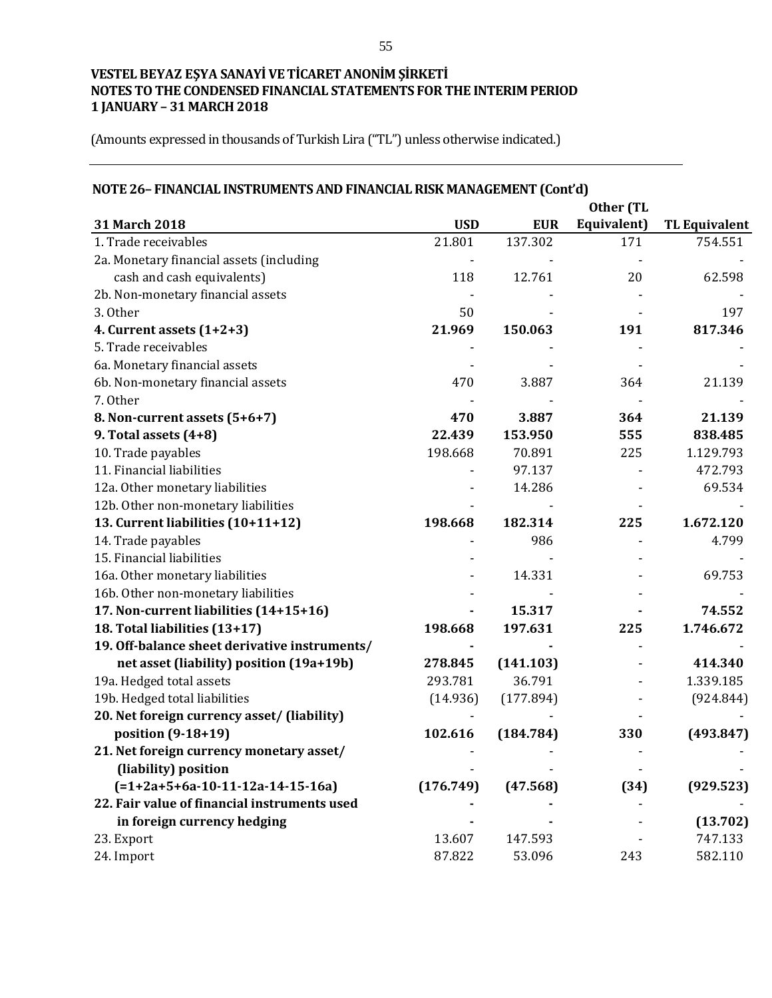(Amounts expressed in thousands of Turkish Lira ("TL") unless otherwise indicated.)

|                                               |            |            | Other (TL   |                      |
|-----------------------------------------------|------------|------------|-------------|----------------------|
| 31 March 2018                                 | <b>USD</b> | <b>EUR</b> | Equivalent) | <b>TL Equivalent</b> |
| 1. Trade receivables                          | 21.801     | 137.302    | 171         | 754.551              |
| 2a. Monetary financial assets (including      |            |            |             |                      |
| cash and cash equivalents)                    | 118        | 12.761     | 20          | 62.598               |
| 2b. Non-monetary financial assets             |            |            |             |                      |
| 3. Other                                      | 50         |            |             | 197                  |
| 4. Current assets (1+2+3)                     | 21.969     | 150.063    | 191         | 817.346              |
| 5. Trade receivables                          |            |            |             |                      |
| 6a. Monetary financial assets                 |            |            |             |                      |
| 6b. Non-monetary financial assets             | 470        | 3.887      | 364         | 21.139               |
| 7. Other                                      |            |            |             |                      |
| 8. Non-current assets (5+6+7)                 | 470        | 3.887      | 364         | 21.139               |
| 9. Total assets (4+8)                         | 22.439     | 153.950    | 555         | 838.485              |
| 10. Trade payables                            | 198.668    | 70.891     | 225         | 1.129.793            |
| 11. Financial liabilities                     |            | 97.137     |             | 472.793              |
| 12a. Other monetary liabilities               |            | 14.286     |             | 69.534               |
| 12b. Other non-monetary liabilities           |            |            |             |                      |
| 13. Current liabilities (10+11+12)            | 198.668    | 182.314    | 225         | 1.672.120            |
| 14. Trade payables                            |            | 986        |             | 4.799                |
| 15. Financial liabilities                     |            |            |             |                      |
| 16a. Other monetary liabilities               |            | 14.331     |             | 69.753               |
| 16b. Other non-monetary liabilities           |            |            |             |                      |
| 17. Non-current liabilities (14+15+16)        |            | 15.317     |             | 74.552               |
| 18. Total liabilities (13+17)                 | 198.668    | 197.631    | 225         | 1.746.672            |
| 19. Off-balance sheet derivative instruments/ |            |            |             |                      |
| net asset (liability) position (19a+19b)      | 278.845    | (141.103)  |             | 414.340              |
| 19a. Hedged total assets                      | 293.781    | 36.791     |             | 1.339.185            |
| 19b. Hedged total liabilities                 | (14.936)   | (177.894)  |             | (924.844)            |
| 20. Net foreign currency asset/ (liability)   |            |            |             |                      |
| position (9-18+19)                            | 102.616    | (184.784)  | 330         | (493.847)            |
| 21. Net foreign currency monetary asset/      |            |            |             |                      |
| (liability) position                          |            |            |             |                      |
| $(=1+2a+5+6a-10-11-12a-14-15-16a)$            | (176.749)  | (47.568)   | (34)        | (929.523)            |
| 22. Fair value of financial instruments used  |            |            |             |                      |
| in foreign currency hedging                   |            |            |             | (13.702)             |
| 23. Export                                    | 13.607     | 147.593    |             | 747.133              |
| 24. Import                                    | 87.822     | 53.096     | 243         | 582.110              |

## **NOTE 26– FINANCIAL INSTRUMENTS AND FINANCIAL RISK MANAGEMENT (Cont'd)**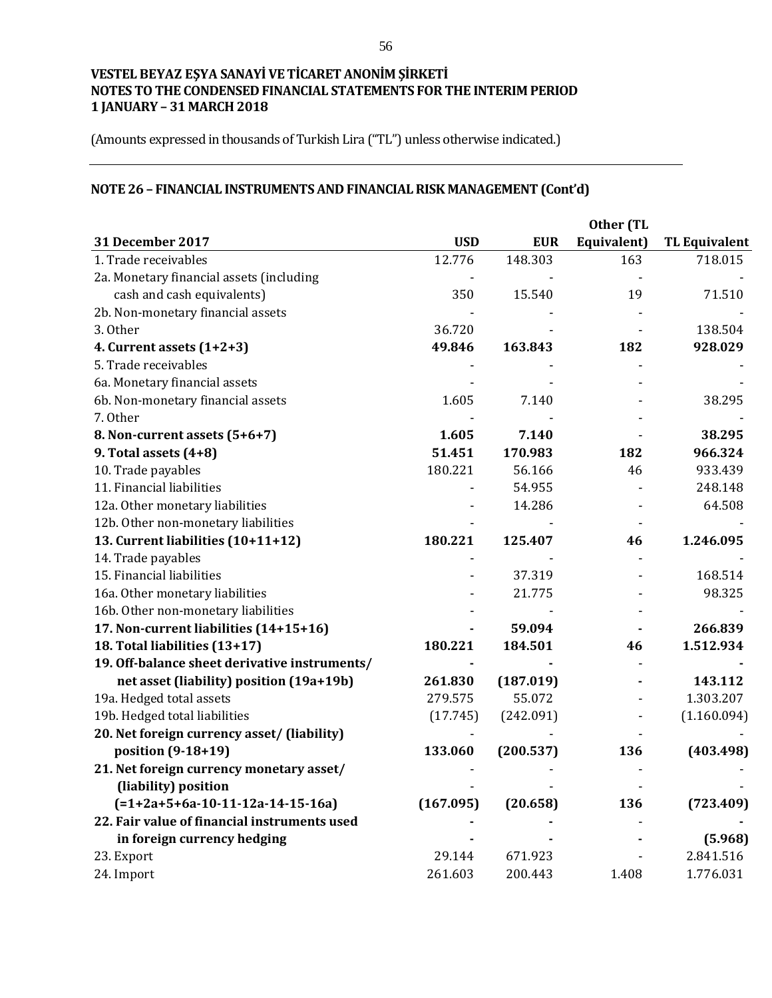(Amounts expressed in thousands of Turkish Lira ("TL") unless otherwise indicated.)

# **NOTE 26 – FINANCIAL INSTRUMENTS AND FINANCIAL RISK MANAGEMENT (Cont'd)**

|                                               | Other (TL  |            |             |                      |  |
|-----------------------------------------------|------------|------------|-------------|----------------------|--|
| 31 December 2017                              | <b>USD</b> | <b>EUR</b> | Equivalent) | <b>TL Equivalent</b> |  |
| 1. Trade receivables                          | 12.776     | 148.303    | 163         | 718.015              |  |
| 2a. Monetary financial assets (including      |            |            |             |                      |  |
| cash and cash equivalents)                    | 350        | 15.540     | 19          | 71.510               |  |
| 2b. Non-monetary financial assets             |            |            |             |                      |  |
| 3. Other                                      | 36.720     |            |             | 138.504              |  |
| 4. Current assets $(1+2+3)$                   | 49.846     | 163.843    | 182         | 928.029              |  |
| 5. Trade receivables                          |            |            |             |                      |  |
| 6a. Monetary financial assets                 |            |            |             |                      |  |
| 6b. Non-monetary financial assets             | 1.605      | 7.140      |             | 38.295               |  |
| 7. Other                                      |            |            |             |                      |  |
| 8. Non-current assets (5+6+7)                 | 1.605      | 7.140      |             | 38.295               |  |
| 9. Total assets $(4+8)$                       | 51.451     | 170.983    | 182         | 966.324              |  |
| 10. Trade payables                            | 180.221    | 56.166     | 46          | 933.439              |  |
| 11. Financial liabilities                     |            | 54.955     |             | 248.148              |  |
| 12a. Other monetary liabilities               |            | 14.286     |             | 64.508               |  |
| 12b. Other non-monetary liabilities           |            |            |             |                      |  |
| 13. Current liabilities (10+11+12)            | 180.221    | 125.407    | 46          | 1.246.095            |  |
| 14. Trade payables                            |            |            |             |                      |  |
| 15. Financial liabilities                     |            | 37.319     |             | 168.514              |  |
| 16a. Other monetary liabilities               |            | 21.775     |             | 98.325               |  |
| 16b. Other non-monetary liabilities           |            |            |             |                      |  |
| 17. Non-current liabilities (14+15+16)        |            | 59.094     |             | 266.839              |  |
| 18. Total liabilities (13+17)                 | 180.221    | 184.501    | 46          | 1.512.934            |  |
| 19. Off-balance sheet derivative instruments/ |            |            |             |                      |  |
| net asset (liability) position (19a+19b)      | 261.830    | (187.019)  |             | 143.112              |  |
| 19a. Hedged total assets                      | 279.575    | 55.072     |             | 1.303.207            |  |
| 19b. Hedged total liabilities                 | (17.745)   | (242.091)  |             | (1.160.094)          |  |
| 20. Net foreign currency asset/ (liability)   |            |            |             |                      |  |
| position (9-18+19)                            | 133.060    | (200.537)  | 136         | (403.498)            |  |
| 21. Net foreign currency monetary asset/      |            |            |             |                      |  |
| (liability) position                          |            |            |             |                      |  |
| $(=1+2a+5+6a-10-11-12a-14-15-16a)$            | (167.095)  | (20.658)   | 136         | (723.409)            |  |
| 22. Fair value of financial instruments used  |            |            |             |                      |  |
| in foreign currency hedging                   |            |            |             | (5.968)              |  |
| 23. Export                                    | 29.144     | 671.923    |             | 2.841.516            |  |
| 24. Import                                    | 261.603    | 200.443    | 1.408       | 1.776.031            |  |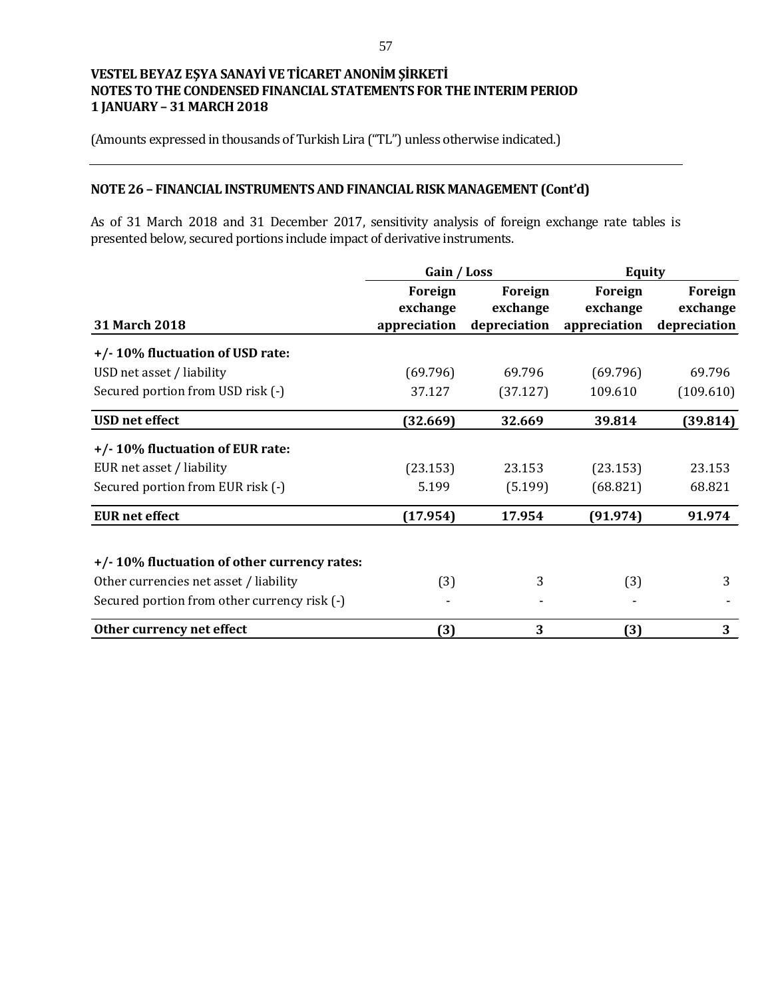(Amounts expressed in thousands of Turkish Lira ("TL") unless otherwise indicated.)

## **NOTE 26 – FINANCIAL INSTRUMENTS AND FINANCIAL RISK MANAGEMENT (Cont'd)**

As of 31 March 2018 and 31 December 2017, sensitivity analysis of foreign exchange rate tables is presented below, secured portions include impact of derivative instruments.

|                                              | Gain / Loss                         |                                     | Equity                              |                                     |  |
|----------------------------------------------|-------------------------------------|-------------------------------------|-------------------------------------|-------------------------------------|--|
| 31 March 2018                                | Foreign<br>exchange<br>appreciation | Foreign<br>exchange<br>depreciation | Foreign<br>exchange<br>appreciation | Foreign<br>exchange<br>depreciation |  |
| +/-10% fluctuation of USD rate:              |                                     |                                     |                                     |                                     |  |
| USD net asset / liability                    | (69.796)                            | 69.796                              | (69.796)                            | 69.796                              |  |
| Secured portion from USD risk (-)            | 37.127                              | (37.127)                            | 109.610                             | (109.610)                           |  |
| <b>USD</b> net effect                        | (32.669)                            | 32.669                              | 39.814                              | (39.814)                            |  |
| +/-10% fluctuation of EUR rate:              |                                     |                                     |                                     |                                     |  |
| EUR net asset / liability                    | (23.153)                            | 23.153                              | (23.153)                            | 23.153                              |  |
| Secured portion from EUR risk (-)            | 5.199                               | (5.199)                             | (68.821)                            | 68.821                              |  |
| <b>EUR</b> net effect                        | (17.954)                            | 17.954                              | (91.974)                            | 91.974                              |  |
| +/-10% fluctuation of other currency rates:  |                                     |                                     |                                     |                                     |  |
| Other currencies net asset / liability       | (3)                                 | 3                                   | (3)                                 | 3                                   |  |
| Secured portion from other currency risk (-) |                                     |                                     |                                     |                                     |  |
| Other currency net effect                    | (3)                                 | 3                                   | (3)                                 | 3                                   |  |